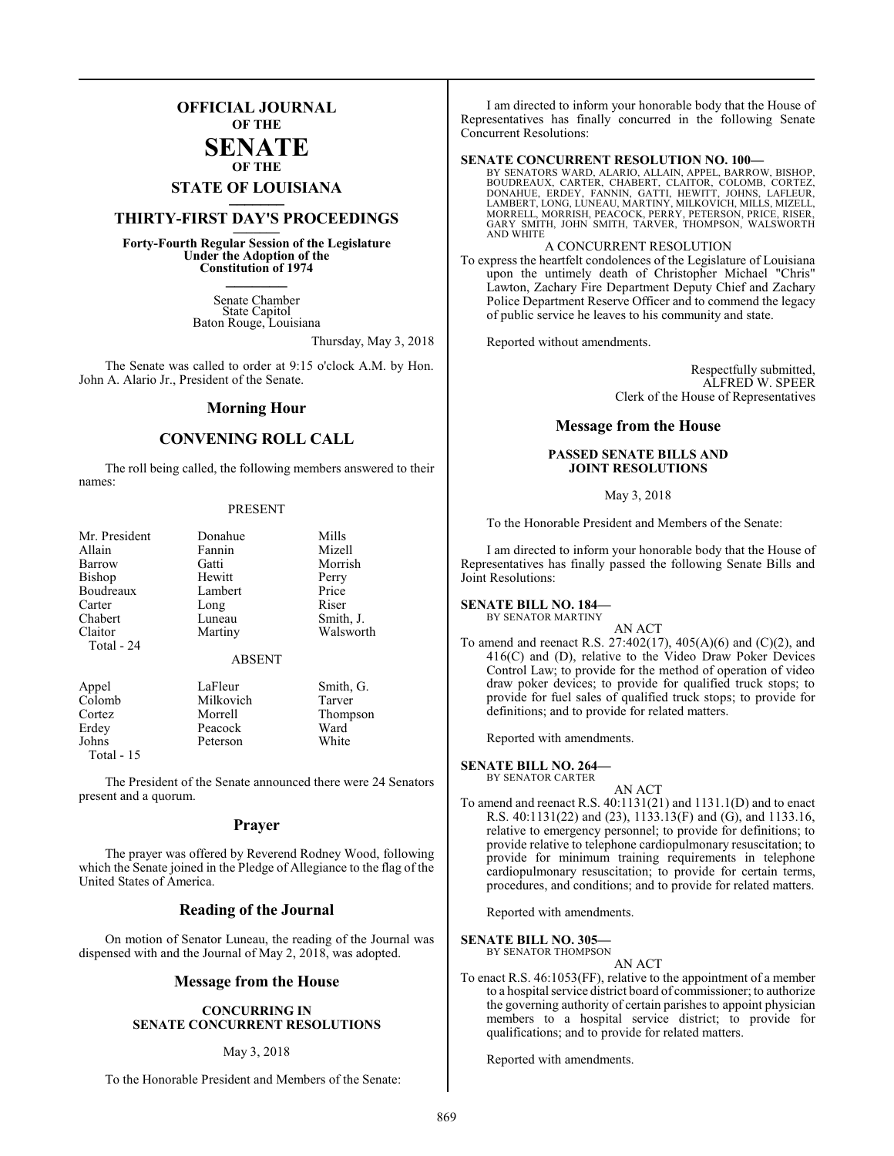### **OFFICIAL JOURNAL OF THE**

#### **SENATE OF THE**

## **STATE OF LOUISIANA \_\_\_\_\_\_\_**

### **THIRTY-FIRST DAY'S PROCEEDINGS \_\_\_\_\_\_\_**

**Forty-Fourth Regular Session of the Legislature Under the Adoption of the Constitution of 1974 \_\_\_\_\_\_\_**

> Senate Chamber State Capitol Baton Rouge, Louisiana

> > Thursday, May 3, 2018

The Senate was called to order at 9:15 o'clock A.M. by Hon. John A. Alario Jr., President of the Senate.

#### **Morning Hour**

#### **CONVENING ROLL CALL**

The roll being called, the following members answered to their names:

#### PRESENT

| Mr. President<br>Allain | Donahue<br>Fannin | Mills<br>Mizell |
|-------------------------|-------------------|-----------------|
| Barrow                  | Gatti             | Morrish         |
| Bishop                  | Hewitt            | Perry           |
| Boudreaux               | Lambert           | Price           |
| Carter                  | Long              | Riser           |
| Chabert                 | Luneau            | Smith, J.       |
| Claitor                 | Martiny           | Walsworth       |
| Total - 24              |                   |                 |
|                         | <b>ABSENT</b>     |                 |
| Appel                   | LaFleur           | Smith, G.       |
| Colomb                  | Milkovich         | Tarver          |
| Cortez                  | Morrell           | Thompson        |
| Erdey                   | Peacock           | Ward            |
| Johns                   | Peterson          | White           |

Total - 15

The President of the Senate announced there were 24 Senators present and a quorum.

#### **Prayer**

The prayer was offered by Reverend Rodney Wood, following which the Senate joined in the Pledge of Allegiance to the flag of the United States of America.

### **Reading of the Journal**

On motion of Senator Luneau, the reading of the Journal was dispensed with and the Journal of May 2, 2018, was adopted.

#### **Message from the House**

#### **CONCURRING IN SENATE CONCURRENT RESOLUTIONS**

#### May 3, 2018

To the Honorable President and Members of the Senate:

I am directed to inform your honorable body that the House of Representatives has finally concurred in the following Senate Concurrent Resolutions:

#### **SENATE CONCURRENT RESOLUTION NO. 100—**

BY SENATORS WARD, ALARIO, ALLAIN, APPEL, BARROW, BISHOP,<br>BOUDREAUX, CARTER, CHABERT, CLAITOR, COLOMB, CORTEZ,<br>DONAHUE, ERDEY, FANNIN, GATTI, HEWITT, JOHNS, LAFLEUR,<br>LAMBERT, LONG, LUNEAU, MARTINY, MILKOVICH, MILLS, MIZELL, MORRELL, MORRISH, PEACOCK, PERRY, PETERSON, PRICE, RISER, GARY SMITH, JOHN SMITH, TARVER, THOMPSON, WALSWORTH AND WHITE

#### A CONCURRENT RESOLUTION

To express the heartfelt condolences of the Legislature of Louisiana upon the untimely death of Christopher Michael "Chris" Lawton, Zachary Fire Department Deputy Chief and Zachary Police Department Reserve Officer and to commend the legacy of public service he leaves to his community and state.

Reported without amendments.

Respectfully submitted, ALFRED W. SPEER Clerk of the House of Representatives

#### **Message from the House**

#### **PASSED SENATE BILLS AND JOINT RESOLUTIONS**

#### May 3, 2018

To the Honorable President and Members of the Senate:

I am directed to inform your honorable body that the House of Representatives has finally passed the following Senate Bills and Joint Resolutions:

#### **SENATE BILL NO. 184—** BY SENATOR MARTINY

AN ACT To amend and reenact R.S. 27:402(17), 405(A)(6) and (C)(2), and 416(C) and (D), relative to the Video Draw Poker Devices Control Law; to provide for the method of operation of video draw poker devices; to provide for qualified truck stops; to provide for fuel sales of qualified truck stops; to provide for definitions; and to provide for related matters.

Reported with amendments.

#### **SENATE BILL NO. 264—**

BY SENATOR CARTER AN ACT

To amend and reenact R.S. 40:1131(21) and 1131.1(D) and to enact R.S. 40:1131(22) and (23), 1133.13(F) and (G), and 1133.16, relative to emergency personnel; to provide for definitions; to provide relative to telephone cardiopulmonary resuscitation; to provide for minimum training requirements in telephone cardiopulmonary resuscitation; to provide for certain terms, procedures, and conditions; and to provide for related matters.

Reported with amendments.

#### **SENATE BILL NO. 305—**

BY SENATOR THOMPSON AN ACT

To enact R.S. 46:1053(FF), relative to the appointment of a member to a hospital service district board of commissioner; to authorize the governing authority of certain parishes to appoint physician members to a hospital service district; to provide for qualifications; and to provide for related matters.

Reported with amendments.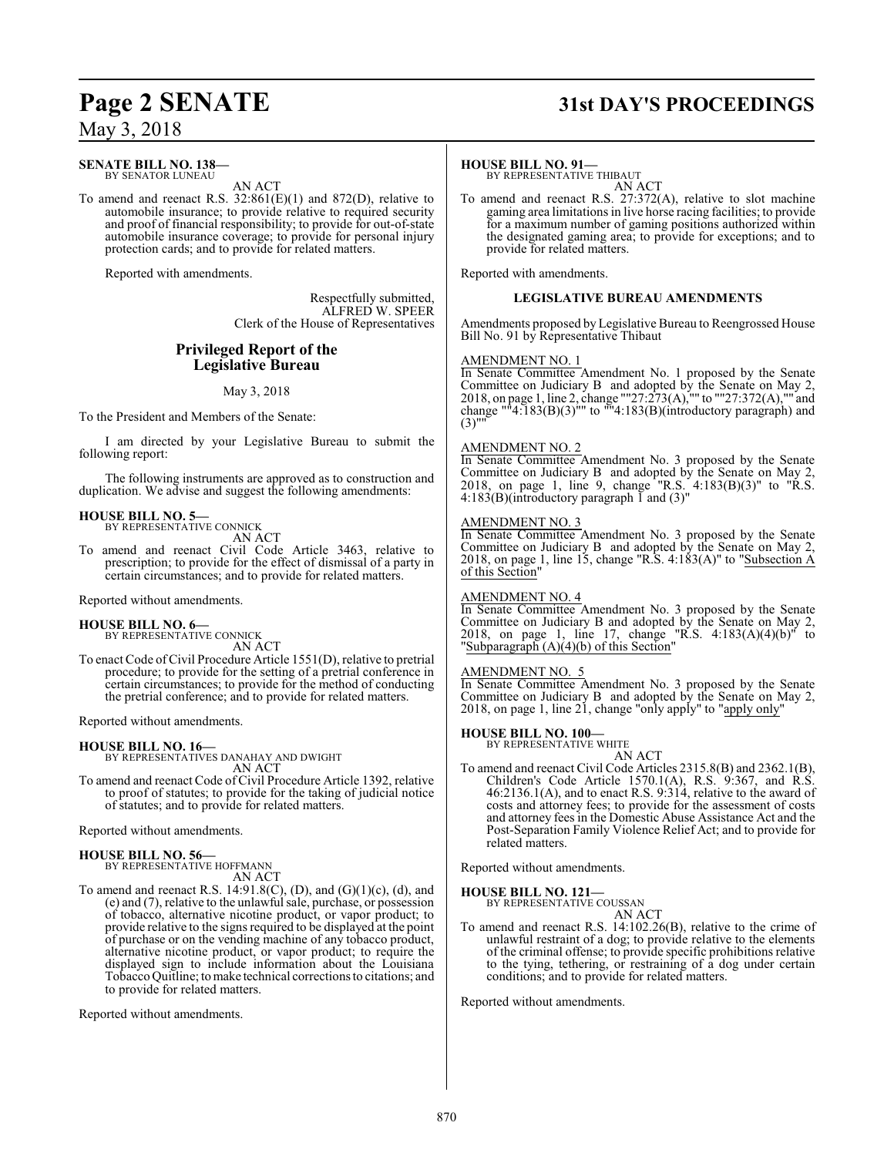## **Page 2 SENATE 31st DAY'S PROCEEDINGS**

May 3, 2018

#### **SENATE BILL NO. 138—** BY SENATOR LUNEAU

AN ACT

To amend and reenact R.S. 32:861(E)(1) and 872(D), relative to automobile insurance; to provide relative to required security and proof of financial responsibility; to provide for out-of-state automobile insurance coverage; to provide for personal injury protection cards; and to provide for related matters.

Reported with amendments.

Respectfully submitted, ALFRED W. SPEER Clerk of the House of Representatives

### **Privileged Report of the Legislative Bureau**

May 3, 2018

To the President and Members of the Senate:

I am directed by your Legislative Bureau to submit the following report:

The following instruments are approved as to construction and duplication. We advise and suggest the following amendments:

## **HOUSE BILL NO. 5—** BY REPRESENTATIVE CONNICK

AN ACT

To amend and reenact Civil Code Article 3463, relative to prescription; to provide for the effect of dismissal of a party in certain circumstances; and to provide for related matters.

Reported without amendments.

## **HOUSE BILL NO. 6—** BY REPRESENTATIVE CONNICK

AN ACT

To enact Code ofCivil Procedure Article 1551(D), relative to pretrial procedure; to provide for the setting of a pretrial conference in certain circumstances; to provide for the method of conducting the pretrial conference; and to provide for related matters.

Reported without amendments.

**HOUSE BILL NO. 16—** BY REPRESENTATIVES DANAHAY AND DWIGHT AN ACT

To amend and reenact Code of Civil Procedure Article 1392, relative to proof of statutes; to provide for the taking of judicial notice of statutes; and to provide for related matters.

Reported without amendments.

## **HOUSE BILL NO. 56—** BY REPRESENTATIVE HOFFMANN

AN ACT

To amend and reenact R.S. 14:91.8(C), (D), and  $(G)(1)(c)$ , (d), and (e) and (7), relative to the unlawful sale, purchase, or possession of tobacco, alternative nicotine product, or vapor product; to provide relative to the signs required to be displayed at the point of purchase or on the vending machine of any tobacco product, alternative nicotine product, or vapor product; to require the displayed sign to include information about the Louisiana TobaccoQuitline; tomake technical corrections to citations; and to provide for related matters.

Reported without amendments.

#### **HOUSE BILL NO. 91—**

BY REPRESENTATIVE THIBAUT AN ACT

To amend and reenact R.S. 27:372(A), relative to slot machine gaming area limitations in live horse racing facilities; to provide for a maximum number of gaming positions authorized within the designated gaming area; to provide for exceptions; and to provide for related matters.

Reported with amendments.

#### **LEGISLATIVE BUREAU AMENDMENTS**

Amendments proposed by Legislative Bureau to Reengrossed House Bill No. 91 by Representative Thibaut

#### AMENDMENT NO. 1

In Senate Committee Amendment No. 1 proposed by the Senate Committee on Judiciary B and adopted by the Senate on May 2, 2018, on page 1, line 2, change ""27:273(A),"" to ""27:372(A),"" and change ""4:183 $(B)(3)$ "" to ""4:183 $(B)($ introductory paragraph) and  $(3)$ "

#### AMENDMENT NO. 2

In Senate Committee Amendment No. 3 proposed by the Senate Committee on Judiciary B and adopted by the Senate on May 2, 2018, on page 1, line 9, change "R.S. 4:183(B)(3)" to "R.S. 4:183(B)(introductory paragraph  $\overline{1}$  and (3)"

#### AMENDMENT NO. 3

In Senate Committee Amendment No. 3 proposed by the Senate Committee on Judiciary B and adopted by the Senate on May 2, 2018, on page 1, line 15, change "R.S. 4:183(A)" to "Subsection A of this Section"

#### AMENDMENT NO. 4

In Senate Committee Amendment No. 3 proposed by the Senate Committee on Judiciary B and adopted by the Senate on May 2, 2018, on page 1, line 17, change "R.S. 4:183(A)(4)(b)" to "Subparagraph  $(A)(4)(b)$  of this Section"

#### AMENDMENT NO. 5

In Senate Committee Amendment No. 3 proposed by the Senate Committee on Judiciary B and adopted by the Senate on May 2, 2018, on page 1, line 21, change "only apply" to "apply only"

## **HOUSE BILL NO. 100—** BY REPRESENTATIVE WHITE

AN ACT

To amend and reenact Civil Code Articles 2315.8(B) and 2362.1(B), Children's Code Article 1570.1(A), R.S. 9:367, and R.S. 46:2136.1(A), and to enact R.S. 9:314, relative to the award of costs and attorney fees; to provide for the assessment of costs and attorney fees in the Domestic Abuse Assistance Act and the Post-Separation Family Violence Relief Act; and to provide for related matters.

Reported without amendments.

#### **HOUSE BILL NO. 121—**

BY REPRESENTATIVE COUSSAN AN ACT

To amend and reenact R.S. 14:102.26(B), relative to the crime of unlawful restraint of a dog; to provide relative to the elements of the criminal offense; to provide specific prohibitions relative to the tying, tethering, or restraining of a dog under certain conditions; and to provide for related matters.

Reported without amendments.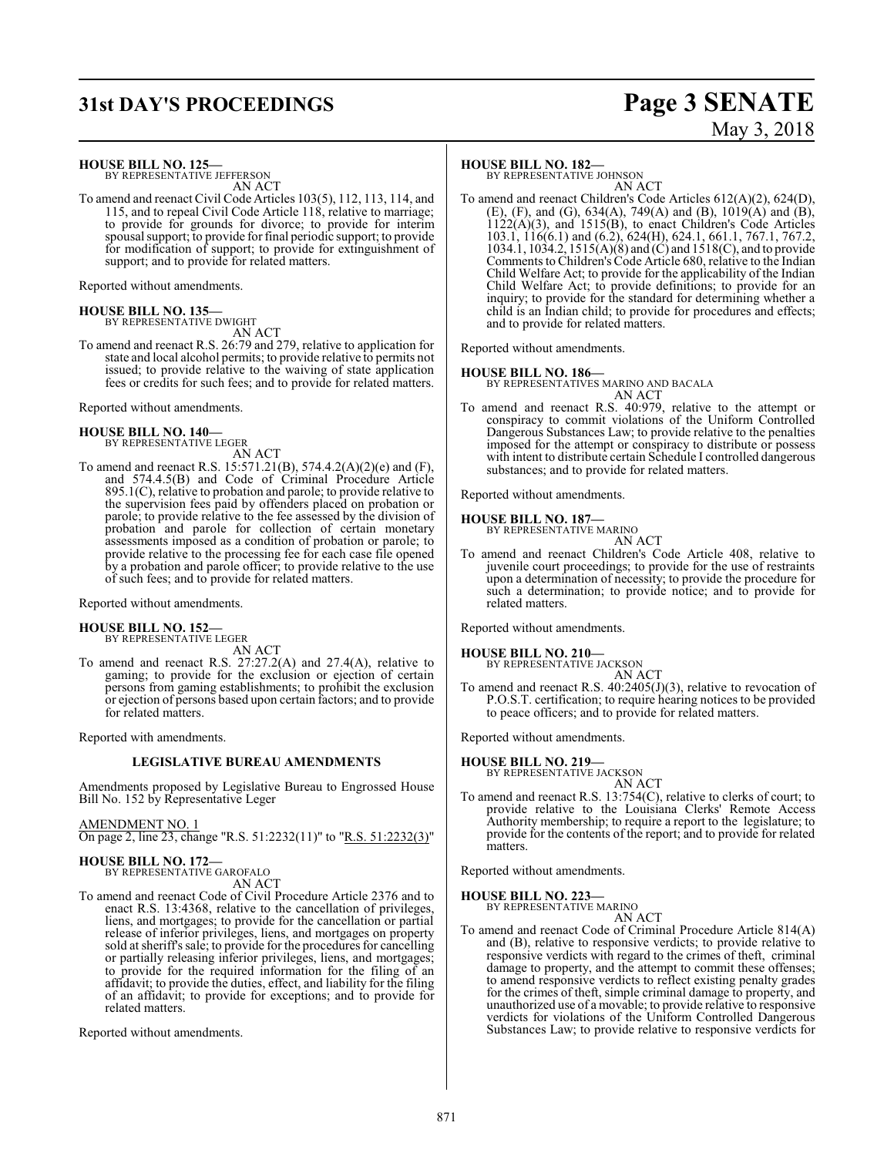## **31st DAY'S PROCEEDINGS Page 3 SENATE**

# May 3, 2018

**HOUSE BILL NO. 125—**

BY REPRESENTATIVE JEFFERSON AN ACT

To amend and reenact Civil Code Articles 103(5), 112, 113, 114, and 115, and to repeal Civil Code Article 118, relative to marriage; to provide for grounds for divorce; to provide for interim spousal support; to provide for final periodic support; to provide for modification of support; to provide for extinguishment of support; and to provide for related matters.

Reported without amendments.

**HOUSE BILL NO. 135—** BY REPRESENTATIVE DWIGHT

AN ACT

To amend and reenact R.S. 26:79 and 279, relative to application for state and local alcohol permits; to provide relative to permits not issued; to provide relative to the waiving of state application fees or credits for such fees; and to provide for related matters.

Reported without amendments.

#### **HOUSE BILL NO. 140—** BY REPRESENTATIVE LEGER

AN ACT

To amend and reenact R.S. 15:571.21(B), 574.4.2(A)(2)(e) and (F), and 574.4.5(B) and Code of Criminal Procedure Article 895.1(C), relative to probation and parole; to provide relative to the supervision fees paid by offenders placed on probation or parole; to provide relative to the fee assessed by the division of probation and parole for collection of certain monetary assessments imposed as a condition of probation or parole; to provide relative to the processing fee for each case file opened by a probation and parole officer; to provide relative to the use of such fees; and to provide for related matters.

Reported without amendments.

#### **HOUSE BILL NO. 152—** BY REPRESENTATIVE LEGER

AN ACT

To amend and reenact R.S. 27:27.2(A) and 27.4(A), relative to gaming; to provide for the exclusion or ejection of certain persons from gaming establishments; to prohibit the exclusion or ejection of persons based upon certain factors; and to provide for related matters.

Reported with amendments.

#### **LEGISLATIVE BUREAU AMENDMENTS**

Amendments proposed by Legislative Bureau to Engrossed House Bill No. 152 by Representative Leger

AMENDMENT NO. 1 On page 2, line 23, change "R.S. 51:2232(11)" to "R.S. 51:2232(3)"

**HOUSE BILL NO. 172—** BY REPRESENTATIVE GAROFALO AN ACT

To amend and reenact Code of Civil Procedure Article 2376 and to enact R.S. 13:4368, relative to the cancellation of privileges, liens, and mortgages; to provide for the cancellation or partial release of inferior privileges, liens, and mortgages on property sold at sheriff's sale; to provide for the procedures for cancelling or partially releasing inferior privileges, liens, and mortgages; to provide for the required information for the filing of an affidavit; to provide the duties, effect, and liability for the filing of an affidavit; to provide for exceptions; and to provide for related matters.

Reported without amendments.

#### **HOUSE BILL NO. 182—**

BY REPRESENTATIVE JOHNSON AN ACT

To amend and reenact Children's Code Articles 612(A)(2), 624(D), (E), (F), and (G),  $634(A)$ ,  $749(A)$  and (B),  $1019(A)$  and (B),  $1122(A)(3)$ , and  $1515(B)$ , to enact Children's Code Articles 103.1, 116(6.1) and (6.2), 624(H), 624.1, 661.1, 767.1, 767.2, 1034.1, 1034.2, 1515(A)(8) and (C) and 1518(C), and to provide Comments to Children's Code Article 680, relative to the Indian Child Welfare Act; to provide for the applicability of the Indian Child Welfare Act; to provide definitions; to provide for an inquiry; to provide for the standard for determining whether a child is an Indian child; to provide for procedures and effects; and to provide for related matters.

Reported without amendments.

#### **HOUSE BILL NO. 186—**

BY REPRESENTATIVES MARINO AND BACALA

AN ACT To amend and reenact R.S. 40:979, relative to the attempt or conspiracy to commit violations of the Uniform Controlled Dangerous Substances Law; to provide relative to the penalties imposed for the attempt or conspiracy to distribute or possess with intent to distribute certain Schedule I controlled dangerous substances; and to provide for related matters.

Reported without amendments.

#### **HOUSE BILL NO. 187—**

BY REPRESENTATIVE MARINO AN ACT

To amend and reenact Children's Code Article 408, relative to juvenile court proceedings; to provide for the use of restraints upon a determination of necessity; to provide the procedure for such a determination; to provide notice; and to provide for related matters.

Reported without amendments.

### **HOUSE BILL NO. 210—** BY REPRESENTATIVE JACKSON

AN ACT To amend and reenact R.S. 40:2405(J)(3), relative to revocation of P.O.S.T. certification; to require hearing notices to be provided to peace officers; and to provide for related matters.

Reported without amendments.

### **HOUSE BILL NO. 219—** BY REPRESENTATIVE JACKSON

AN ACT

To amend and reenact R.S. 13:754(C), relative to clerks of court; to provide relative to the Louisiana Clerks' Remote Access Authority membership; to require a report to the legislature; to provide for the contents of the report; and to provide for related matters.

Reported without amendments.

#### **HOUSE BILL NO. 223—**

BY REPRESENTATIVE MARINO

- AN ACT
- To amend and reenact Code of Criminal Procedure Article 814(A) and (B), relative to responsive verdicts; to provide relative to responsive verdicts with regard to the crimes of theft, criminal damage to property, and the attempt to commit these offenses; to amend responsive verdicts to reflect existing penalty grades for the crimes of theft, simple criminal damage to property, and unauthorized use of a movable; to provide relative to responsive verdicts for violations of the Uniform Controlled Dangerous Substances Law; to provide relative to responsive verdicts for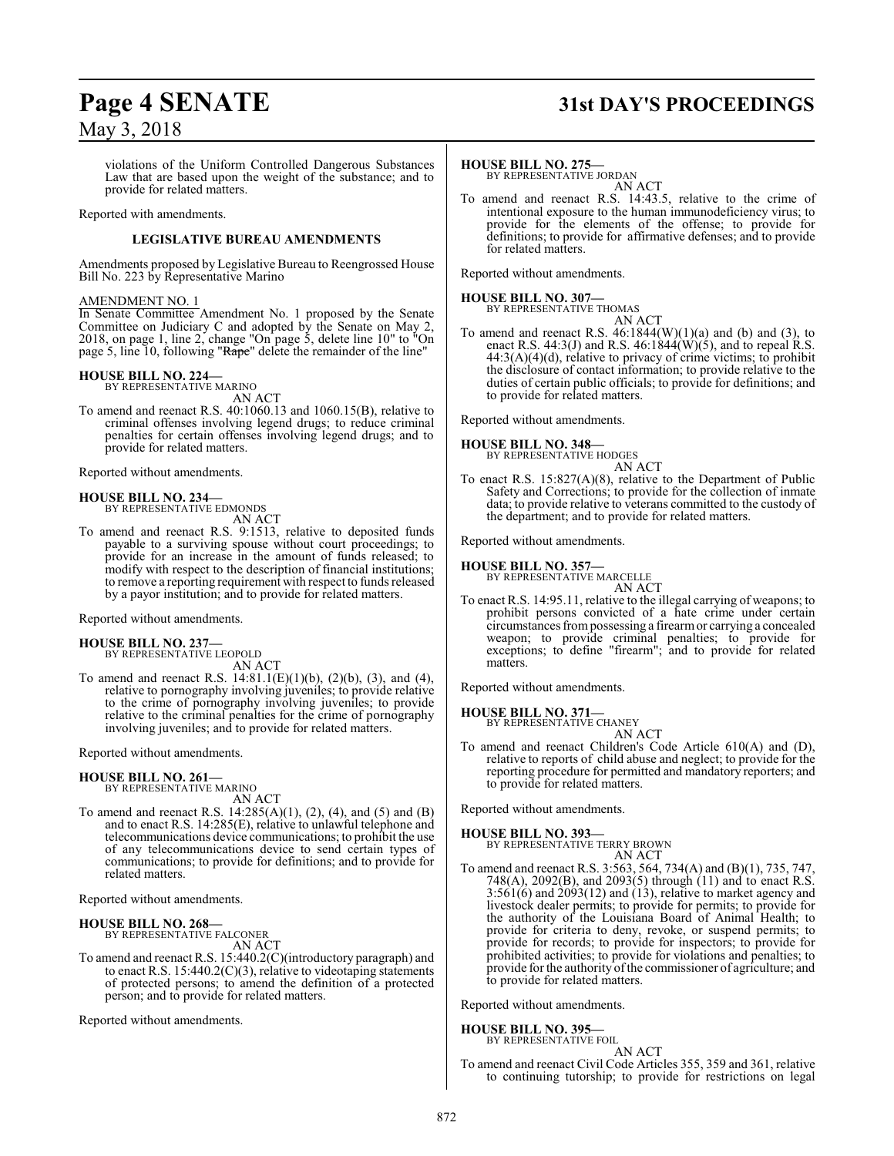## **Page 4 SENATE 31st DAY'S PROCEEDINGS**

violations of the Uniform Controlled Dangerous Substances Law that are based upon the weight of the substance; and to provide for related matters.

Reported with amendments.

#### **LEGISLATIVE BUREAU AMENDMENTS**

Amendments proposed by Legislative Bureau to Reengrossed House Bill No. 223 by Representative Marino

#### AMENDMENT NO. 1

In Senate Committee Amendment No. 1 proposed by the Senate Committee on Judiciary C and adopted by the Senate on May 2, 2018, on page 1, line 2, change "On page 5, delete line 10" to "On page 5, line 10, following "Rape" delete the remainder of the line"

### **HOUSE BILL NO. 224—** BY REPRESENTATIVE MARINO

AN ACT

To amend and reenact R.S. 40:1060.13 and 1060.15(B), relative to criminal offenses involving legend drugs; to reduce criminal penalties for certain offenses involving legend drugs; and to provide for related matters.

Reported without amendments.

#### **HOUSE BILL NO. 234—**

BY REPRESENTATIVE EDMONDS AN ACT

To amend and reenact R.S. 9:1513, relative to deposited funds payable to a surviving spouse without court proceedings; to provide for an increase in the amount of funds released; to modify with respect to the description of financial institutions; to remove a reporting requirement with respect to funds released by a payor institution; and to provide for related matters.

Reported without amendments.

#### **HOUSE BILL NO. 237—** BY REPRESENTATIVE LEOPOLD

AN ACT

To amend and reenact R.S.  $14:81.1(E)(1)(b)$ ,  $(2)(b)$ ,  $(3)$ , and  $(4)$ , relative to pornography involving juveniles; to provide relative to the crime of pornography involving juveniles; to provide relative to the criminal penalties for the crime of pornography involving juveniles; and to provide for related matters.

Reported without amendments.

#### **HOUSE BILL NO. 261—**

BY REPRESENTATIVE MARINO AN ACT

To amend and reenact R.S. 14:285(A)(1), (2), (4), and (5) and (B) and to enact R.S. 14:285(E), relative to unlawful telephone and telecommunications device communications; to prohibit the use of any telecommunications device to send certain types of communications; to provide for definitions; and to provide for related matters.

Reported without amendments.

#### **HOUSE BILL NO. 268—**

BY REPRESENTATIVE FALCONER AN ACT

To amend and reenact R.S. 15:440.2(C)(introductory paragraph) and to enact R.S. 15:440.2(C)(3), relative to videotaping statements of protected persons; to amend the definition of a protected person; and to provide for related matters.

Reported without amendments.

#### **HOUSE BILL NO. 275—**

BY REPRESENTATIVE JORDAN AN ACT

To amend and reenact R.S. 14:43.5, relative to the crime of intentional exposure to the human immunodeficiency virus; to provide for the elements of the offense; to provide for definitions; to provide for affirmative defenses; and to provide for related matters.

Reported without amendments.

#### **HOUSE BILL NO. 307—**

BY REPRESENTATIVE THOMAS

AN ACT To amend and reenact R.S.  $46:1844(W)(1)(a)$  and (b) and (3), to enact R.S. 44:3(J) and R.S. 46:1844(W)(5), and to repeal R.S.  $44:3(A)(4)(d)$ , relative to privacy of crime victims; to prohibit the disclosure of contact information; to provide relative to the duties of certain public officials; to provide for definitions; and to provide for related matters.

Reported without amendments.

## **HOUSE BILL NO. 348—** BY REPRESENTATIVE HODGES

AN ACT

To enact R.S. 15:827(A)(8), relative to the Department of Public Safety and Corrections; to provide for the collection of inmate data; to provide relative to veterans committed to the custody of the department; and to provide for related matters.

Reported without amendments.

#### **HOUSE BILL NO. 357—**

BY REPRESENTATIVE MARCELLE

AN ACT To enact R.S. 14:95.11, relative to the illegal carrying of weapons; to prohibit persons convicted of a hate crime under certain circumstances frompossessing a firearmor carrying a concealed weapon; to provide criminal penalties; to provide for exceptions; to define "firearm"; and to provide for related matters.

Reported without amendments.

#### **HOUSE BILL NO. 371—** BY REPRESENTATIVE CHANEY

AN ACT To amend and reenact Children's Code Article 610(A) and (D), relative to reports of child abuse and neglect; to provide for the reporting procedure for permitted and mandatory reporters; and to provide for related matters.

Reported without amendments.

**HOUSE BILL NO. 393—** BY REPRESENTATIVE TERRY BROWN AN ACT

To amend and reenact R.S. 3:563, 564, 734(A) and (B)(1), 735, 747, 748(A), 2092(B), and 2093(5) through (11) and to enact R.S.  $3:561(6)$  and  $2093(12)$  and  $(13)$ , relative to market agency and livestock dealer permits; to provide for permits; to provide for the authority of the Louisiana Board of Animal Health; to provide for criteria to deny, revoke, or suspend permits; to provide for records; to provide for inspectors; to provide for prohibited activities; to provide for violations and penalties; to provide for the authority of the commissioner of agriculture; and to provide for related matters.

Reported without amendments.

### **HOUSE BILL NO. 395—** BY REPRESENTATIVE FOIL

AN ACT

To amend and reenact Civil Code Articles 355, 359 and 361, relative to continuing tutorship; to provide for restrictions on legal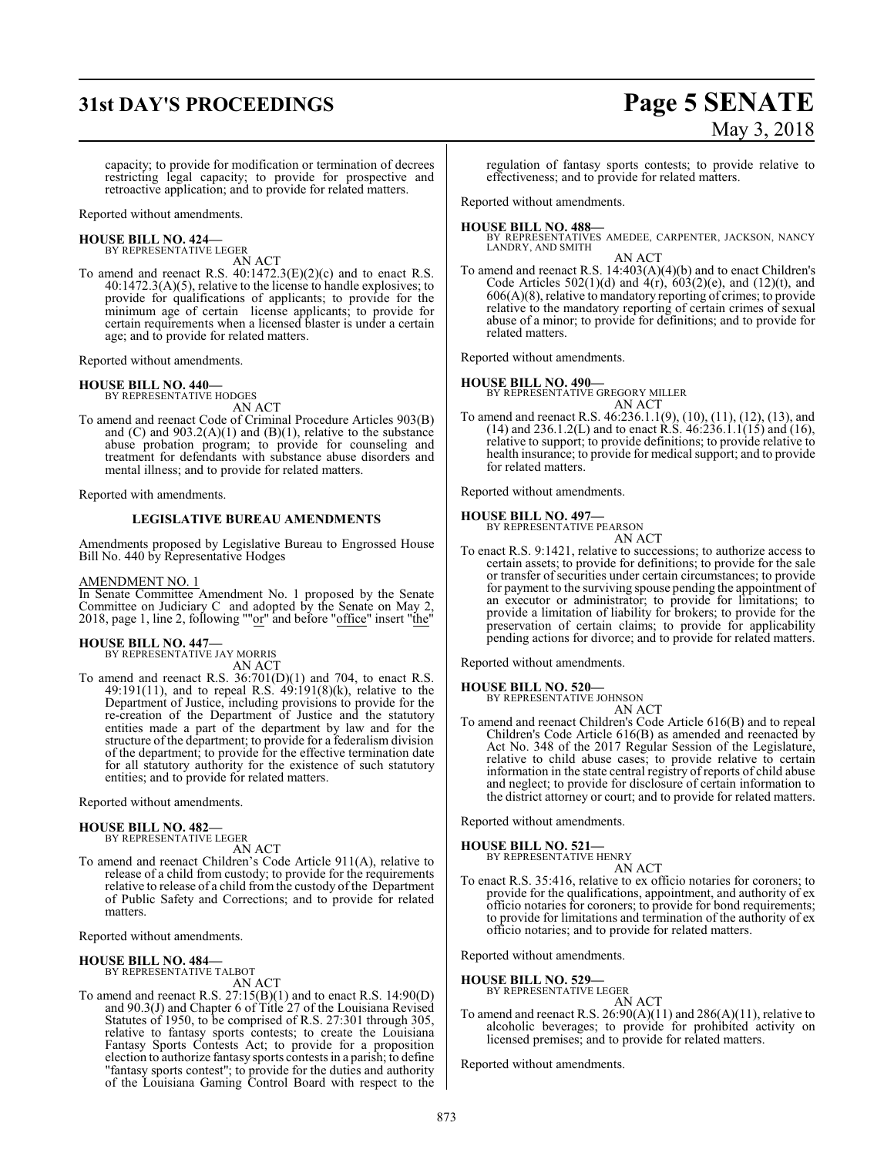## **31st DAY'S PROCEEDINGS Page 5 SENATE**

# May 3, 2018

capacity; to provide for modification or termination of decrees restricting legal capacity; to provide for prospective and retroactive application; and to provide for related matters.

Reported without amendments.

## **HOUSE BILL NO. 424—** BY REPRESENTATIVE LEGER

AN ACT

To amend and reenact R.S. 40:1472.3(E)(2)(c) and to enact R.S. 40:1472.3(A)(5), relative to the license to handle explosives; to provide for qualifications of applicants; to provide for the minimum age of certain license applicants; to provide for certain requirements when a licensed blaster is under a certain age; and to provide for related matters.

Reported without amendments.

#### **HOUSE BILL NO. 440—**

BY REPRESENTATIVE HODGES AN ACT

To amend and reenact Code of Criminal Procedure Articles 903(B) and (C) and 903.2(A)(1) and (B)(1), relative to the substance abuse probation program; to provide for counseling and treatment for defendants with substance abuse disorders and mental illness; and to provide for related matters.

Reported with amendments.

#### **LEGISLATIVE BUREAU AMENDMENTS**

Amendments proposed by Legislative Bureau to Engrossed House Bill No. 440 by Representative Hodges

#### AMENDMENT NO. 1

In Senate Committee Amendment No. 1 proposed by the Senate Committee on Judiciary C and adopted by the Senate on May 2, 2018, page 1, line 2, following ""or" and before "office" insert "the"

### **HOUSE BILL NO. 447—**

BY REPRESENTATIVE JAY MORRIS AN ACT

To amend and reenact R.S. 36:701(D)(1) and 704, to enact R.S. 49:191(11), and to repeal R.S. 49:191(8)(k), relative to the Department of Justice, including provisions to provide for the re-creation of the Department of Justice and the statutory entities made a part of the department by law and for the structure of the department; to provide for a federalism division of the department; to provide for the effective termination date for all statutory authority for the existence of such statutory entities; and to provide for related matters.

Reported without amendments.

#### **HOUSE BILL NO. 482—** BY REPRESENTATIVE LEGER

AN ACT

To amend and reenact Children's Code Article 911(A), relative to release of a child from custody; to provide for the requirements relative to release of a child from the custody of the Department of Public Safety and Corrections; and to provide for related matters.

Reported without amendments.

**HOUSE BILL NO. 484—** BY REPRESENTATIVE TALBOT AN ACT

To amend and reenact R.S.  $27:15(B)(1)$  and to enact R.S.  $14:90(D)$ and 90.3(J) and Chapter 6 of Title 27 of the Louisiana Revised Statutes of 1950, to be comprised of R.S. 27:301 through 305, relative to fantasy sports contests; to create the Louisiana Fantasy Sports Contests Act; to provide for a proposition election to authorize fantasy sports contests in a parish; to define "fantasy sports contest"; to provide for the duties and authority of the Louisiana Gaming Control Board with respect to the

regulation of fantasy sports contests; to provide relative to effectiveness; and to provide for related matters.

Reported without amendments.

#### **HOUSE BILL NO. 488—**

BY REPRESENTATIVES AMEDEE, CARPENTER, JACKSON, NANCY LANDRY, AND SMITH AN ACT

To amend and reenact R.S. 14:403(A)(4)(b) and to enact Children's Code Articles  $502(1)(d)$  and  $4(r)$ ,  $603(2)(e)$ , and  $(12)(t)$ , and 606(A)(8), relative to mandatory reporting of crimes; to provide relative to the mandatory reporting of certain crimes of sexual abuse of a minor; to provide for definitions; and to provide for related matters.

Reported without amendments.

#### **HOUSE BILL NO. 490—**

BY REPRESENTATIVE GREGORY MILLER AN ACT

To amend and reenact R.S. 46:236.1.1(9), (10), (11), (12), (13), and (14) and 236.1.2(L) and to enact R.S. 46:236.1.1(15) and (16), relative to support; to provide definitions; to provide relative to health insurance; to provide for medical support; and to provide for related matters.

Reported without amendments.

#### **HOUSE BILL NO. 497—**

BY REPRESENTATIVE PEARSON AN ACT

To enact R.S. 9:1421, relative to successions; to authorize access to certain assets; to provide for definitions; to provide for the sale or transfer of securities under certain circumstances; to provide for payment to the surviving spouse pending the appointment of an executor or administrator; to provide for limitations; to provide a limitation of liability for brokers; to provide for the preservation of certain claims; to provide for applicability pending actions for divorce; and to provide for related matters.

Reported without amendments.

## **HOUSE BILL NO. 520—** BY REPRESENTATIVE JOHNSON

AN ACT

To amend and reenact Children's Code Article 616(B) and to repeal Children's Code Article 616(B) as amended and reenacted by Act No. 348 of the 2017 Regular Session of the Legislature, relative to child abuse cases; to provide relative to certain information in the state central registry of reports of child abuse and neglect; to provide for disclosure of certain information to the district attorney or court; and to provide for related matters.

Reported without amendments.

#### **HOUSE BILL NO. 521—**

BY REPRESENTATIVE HENRY AN ACT

To enact R.S. 35:416, relative to ex officio notaries for coroners; to provide for the qualifications, appointment, and authority of ex officio notaries for coroners; to provide for bond requirements; to provide for limitations and termination of the authority of ex officio notaries; and to provide for related matters.

Reported without amendments.

### **HOUSE BILL NO. 529—** BY REPRESENTATIVE LEGER

AN ACT

To amend and reenact R.S.  $26:90(A)(11)$  and  $286(A)(11)$ , relative to alcoholic beverages; to provide for prohibited activity on licensed premises; and to provide for related matters.

Reported without amendments.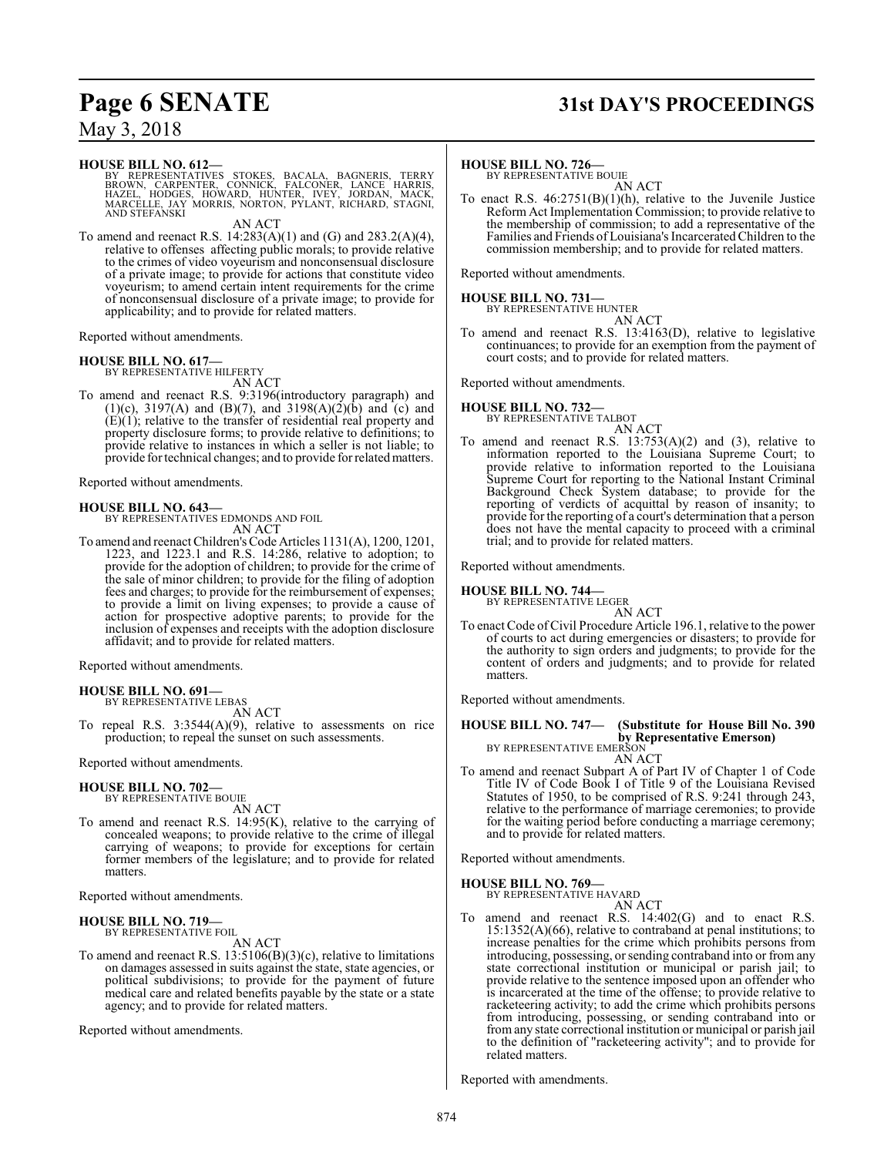### **Page 6 SENATE 31st DAY'S PROCEEDINGS**

May 3, 2018

#### **HOUSE BILL NO. 612—**

BY REPRESENTATIVES STOKES, BACALA, BAGNERIS, TERRY<br>BROWN, CARPENTER, CONNICK, FALCONER, LANCE HARRIS,<br>HAZEL, HODGES, HOWARD, HUNTER, IVEY, JORDAN, MACK,<br>MARCELLE, JAY MORRIS, NORTON, PYLANT, RICHARD, STAGNI,<br>AND STEFANSKI

AN ACT

To amend and reenact R.S. 14:283(A)(1) and (G) and 283.2(A)(4), relative to offenses affecting public morals; to provide relative to the crimes of video voyeurism and nonconsensual disclosure of a private image; to provide for actions that constitute video voyeurism; to amend certain intent requirements for the crime of nonconsensual disclosure of a private image; to provide for applicability; and to provide for related matters.

Reported without amendments.

**HOUSE BILL NO. 617—** BY REPRESENTATIVE HILFERTY AN ACT

To amend and reenact R.S. 9:3196(introductory paragraph) and (1)(c), 3197(A) and (B)(7), and 3198(A)(2)(b) and (c) and  $(E)(1)$ ; relative to the transfer of residential real property and property disclosure forms; to provide relative to definitions; to provide relative to instances in which a seller is not liable; to provide for technical changes; and to provide for relatedmatters.

Reported without amendments.

#### **HOUSE BILL NO. 643—**

BY REPRESENTATIVES EDMONDS AND FOIL AN ACT

To amend and reenact Children's Code Articles 1131(A), 1200, 1201, 1223, and 1223.1 and R.S. 14:286, relative to adoption; to provide for the adoption of children; to provide for the crime of the sale of minor children; to provide for the filing of adoption fees and charges; to provide for the reimbursement of expenses; to provide a limit on living expenses; to provide a cause of action for prospective adoptive parents; to provide for the inclusion of expenses and receipts with the adoption disclosure affidavit; and to provide for related matters.

Reported without amendments.

#### **HOUSE BILL NO. 691—** BY REPRESENTATIVE LEBAS

AN ACT

To repeal R.S. 3:3544(A)(9), relative to assessments on rice production; to repeal the sunset on such assessments.

Reported without amendments.

### **HOUSE BILL NO. 702—**

BY REPRESENTATIVE BOUIE AN ACT

To amend and reenact R.S. 14:95(K), relative to the carrying of concealed weapons; to provide relative to the crime of illegal carrying of weapons; to provide for exceptions for certain former members of the legislature; and to provide for related matters.

Reported without amendments.

#### **HOUSE BILL NO. 719—** BY REPRESENTATIVE FOIL

AN ACT

To amend and reenact R.S. 13:5106(B)(3)(c), relative to limitations on damages assessed in suits against the state, state agencies, or political subdivisions; to provide for the payment of future medical care and related benefits payable by the state or a state agency; and to provide for related matters.

Reported without amendments.

#### **HOUSE BILL NO. 726—**

BY REPRESENTATIVE BOUIE AN ACT

To enact R.S. 46:2751(B)(1)(h), relative to the Juvenile Justice Reform Act Implementation Commission; to provide relative to the membership of commission; to add a representative of the Families and Friends of Louisiana's IncarceratedChildren to the commission membership; and to provide for related matters.

Reported without amendments.

### **HOUSE BILL NO. 731—** BY REPRESENTATIVE HUNTER

AN ACT To amend and reenact R.S. 13:4163(D), relative to legislative continuances; to provide for an exemption from the payment of court costs; and to provide for related matters.

Reported without amendments.

#### **HOUSE BILL NO. 732—** BY REPRESENTATIVE TALBOT

AN ACT

To amend and reenact R.S.  $13:753(A)(2)$  and  $(3)$ , relative to information reported to the Louisiana Supreme Court; to provide relative to information reported to the Louisiana Supreme Court for reporting to the National Instant Criminal Background Check System database; to provide for the reporting of verdicts of acquittal by reason of insanity; to provide for the reporting of a court's determination that a person does not have the mental capacity to proceed with a criminal trial; and to provide for related matters.

Reported without amendments.

## **HOUSE BILL NO. 744—** BY REPRESENTATIVE LEGER

AN ACT To enact Code of Civil Procedure Article 196.1, relative to the power of courts to act during emergencies or disasters; to provide for the authority to sign orders and judgments; to provide for the content of orders and judgments; and to provide for related matters.

Reported without amendments.

**HOUSE BILL NO. 747— (Substitute for House Bill No. 390 by Representative Emerson)**<br>BY REPRESENTATIVE EMERSON

- AN ACT
- To amend and reenact Subpart A of Part IV of Chapter 1 of Code Title IV of Code Book I of Title 9 of the Louisiana Revised Statutes of 1950, to be comprised of R.S. 9:241 through 243, relative to the performance of marriage ceremonies; to provide for the waiting period before conducting a marriage ceremony; and to provide for related matters.

Reported without amendments.

#### **HOUSE BILL NO. 769—**

BY REPRESENTATIVE HAVARD AN ACT

To amend and reenact R.S. 14:402(G) and to enact R.S. 15:1352(A)(66), relative to contraband at penal institutions; to increase penalties for the crime which prohibits persons from introducing, possessing, or sending contraband into or from any state correctional institution or municipal or parish jail; to provide relative to the sentence imposed upon an offender who is incarcerated at the time of the offense; to provide relative to racketeering activity; to add the crime which prohibits persons from introducing, possessing, or sending contraband into or fromany state correctional institution or municipal or parish jail to the definition of "racketeering activity"; and to provide for related matters.

Reported with amendments.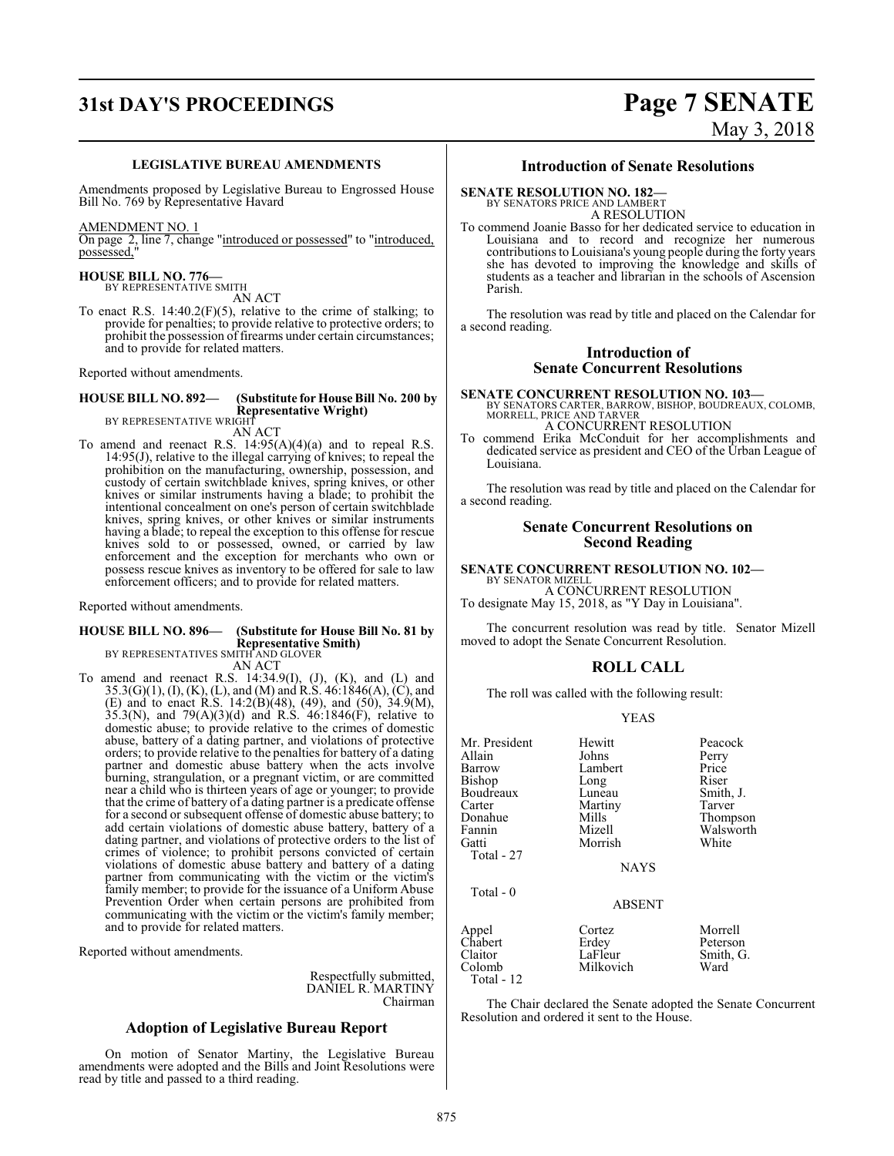## **31st DAY'S PROCEEDINGS Page 7 SENATE**

# May 3, 2018

#### **LEGISLATIVE BUREAU AMENDMENTS**

Amendments proposed by Legislative Bureau to Engrossed House Bill No. 769 by Representative Havard

#### AMENDMENT NO. 1

On page 2, line 7, change "introduced or possessed" to "introduced, possessed,"

### **HOUSE BILL NO. 776—** BY REPRESENTATIVE SMITH

AN ACT

To enact R.S.  $14:40.2(F)(5)$ , relative to the crime of stalking; to provide for penalties; to provide relative to protective orders; to prohibit the possession of firearms under certain circumstances; and to provide for related matters.

Reported without amendments.

### **HOUSE BILL NO. 892— (Substitute for House Bill No. 200 by Representative Wright)**<br>BY REPRESENTATIVE WRIGHT

AN ACT

To amend and reenact R.S. 14:95(A)(4)(a) and to repeal R.S. 14:95(J), relative to the illegal carrying of knives; to repeal the prohibition on the manufacturing, ownership, possession, and custody of certain switchblade knives, spring knives, or other knives or similar instruments having a blade; to prohibit the intentional concealment on one's person of certain switchblade knives, spring knives, or other knives or similar instruments having a blade; to repeal the exception to this offense for rescue knives sold to or possessed, owned, or carried by law enforcement and the exception for merchants who own or possess rescue knives as inventory to be offered for sale to law enforcement officers; and to provide for related matters.

Reported without amendments.

#### **HOUSE BILL NO. 896— (Substitute for House Bill No. 81 by Representative Smith)** BY REPRESENTATIVES SMITH AND GLOVER

AN ACT

To amend and reenact R.S.  $14:34.9(I)$ ,  $(J)$ ,  $(K)$ , and  $(L)$  and 35.3(G)(1), (I), (K), (L), and (M) and R.S. 46:1846(A), (C), and (E) and to enact R.S. 14:2(B)(48), (49), and (50), 34.9(M),  $35.3(N)$ , and  $79(A)(3)(d)$  and R.S.  $46:1846(F)$ , relative to domestic abuse; to provide relative to the crimes of domestic abuse, battery of a dating partner, and violations of protective orders; to provide relative to the penalties for battery of a dating partner and domestic abuse battery when the acts involve burning, strangulation, or a pregnant victim, or are committed near a child who is thirteen years of age or younger; to provide that the crime of battery of a dating partner is a predicate offense for a second or subsequent offense of domestic abuse battery; to add certain violations of domestic abuse battery, battery of a dating partner, and violations of protective orders to the list of crimes of violence; to prohibit persons convicted of certain violations of domestic abuse battery and battery of a dating partner from communicating with the victim or the victim's family member; to provide for the issuance of a Uniform Abuse Prevention Order when certain persons are prohibited from communicating with the victim or the victim's family member; and to provide for related matters.

Reported without amendments.

Respectfully submitted, DANIEL R. MARTINY Chairman

#### **Adoption of Legislative Bureau Report**

On motion of Senator Martiny, the Legislative Bureau amendments were adopted and the Bills and Joint Resolutions were read by title and passed to a third reading.

#### **Introduction of Senate Resolutions**

### **SENATE RESOLUTION NO. 182—**

BY SENATORS PRICE AND LAMBERT

A RESOLUTION To commend Joanie Basso for her dedicated service to education in Louisiana and to record and recognize her numerous contributions to Louisiana's young people during the forty years she has devoted to improving the knowledge and skills of students as a teacher and librarian in the schools of Ascension Parish.

The resolution was read by title and placed on the Calendar for a second reading.

#### **Introduction of Senate Concurrent Resolutions**

**SENATE CONCURRENT RESOLUTION NO. 103—** BY SENATORS CARTER, BARROW, BISHOP, BOUDREAUX, COLOMB, MORRELL, PRICE AND TARVER A CONCURRENT RESOLUTION

To commend Erika McConduit for her accomplishments and dedicated service as president and CEO of the Urban League of Louisiana.

The resolution was read by title and placed on the Calendar for a second reading.

#### **Senate Concurrent Resolutions on Second Reading**

### **SENATE CONCURRENT RESOLUTION NO. 102—**

BY SENATOR MIZELL A CONCURRENT RESOLUTION To designate May 15, 2018, as "Y Day in Louisiana".

The concurrent resolution was read by title. Senator Mizell moved to adopt the Senate Concurrent Resolution.

### **ROLL CALL**

The roll was called with the following result:

#### YEAS

| Mr. President<br>Allain | Hewitt<br>Johns | Peacock<br>Perry    |
|-------------------------|-----------------|---------------------|
| Barrow                  | Lambert         | Price               |
| Bishop                  | Long            | Riser               |
| Boudreaux               | Luneau          | Smith, J.           |
| Carter                  | Martiny         | Tarver              |
| Donahue                 | Mills           | Thompson            |
| Fannin                  | Mizell          | Walsworth           |
| Gatti                   | Morrish         | White               |
| Total - 27              |                 |                     |
|                         | <b>NAYS</b>     |                     |
| Total - 0               |                 |                     |
|                         | <b>ABSENT</b>   |                     |
| Appel<br>Chabert        | Cortez<br>Erdey | Morrell<br>Peterson |
| Claitor                 | LaFleur         | Smith, G.           |
| Colomb<br>Total - 12    | Milkovich       | Ward                |

The Chair declared the Senate adopted the Senate Concurrent Resolution and ordered it sent to the House.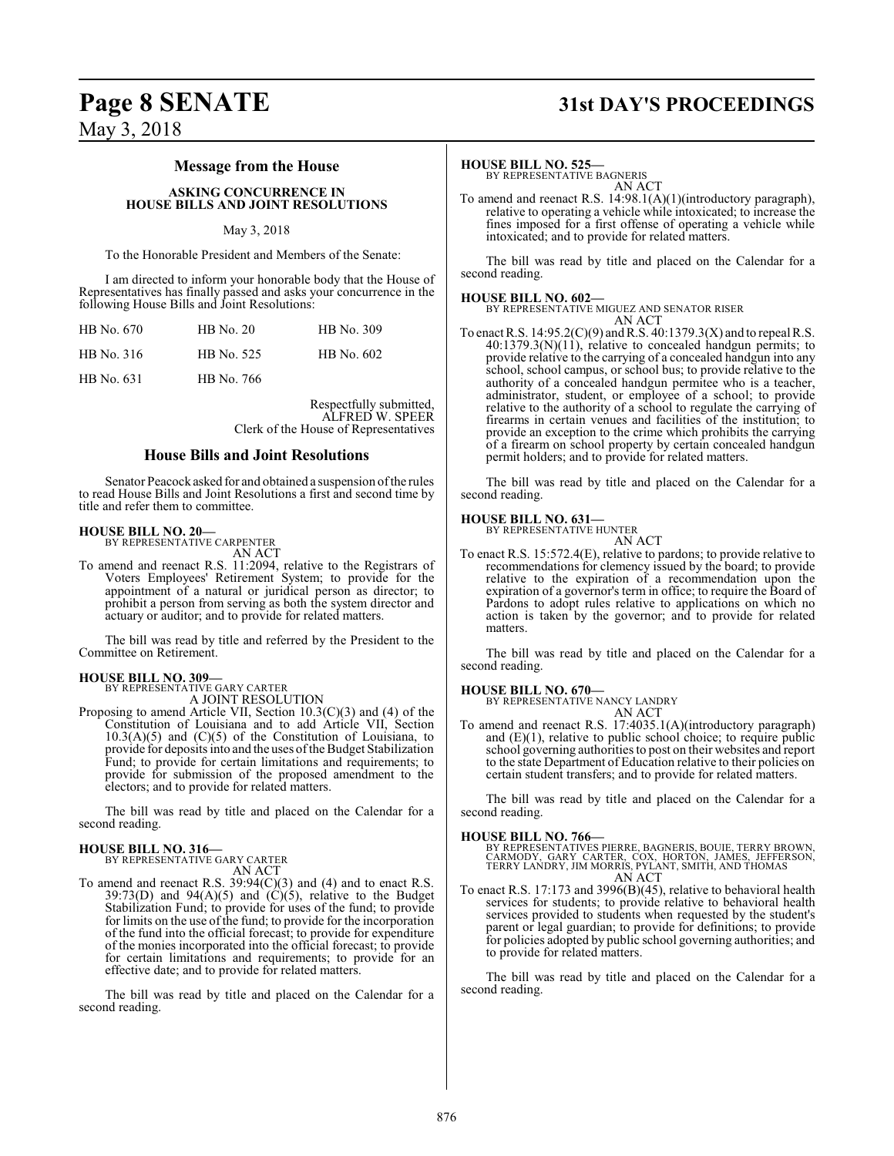### **Page 8 SENATE 31st DAY'S PROCEEDINGS**

### **Message from the House**

**ASKING CONCURRENCE IN HOUSE BILLS AND JOINT RESOLUTIONS**

#### May 3, 2018

To the Honorable President and Members of the Senate:

I am directed to inform your honorable body that the House of Representatives has finally passed and asks your concurrence in the following House Bills and Joint Resolutions:

| HB No. 670 | $HB$ No. 20 | HB No. 309 |
|------------|-------------|------------|
| HB No. 316 | HB No. 525  | HB No. 602 |
| HB No. 631 | HB No. 766  |            |

Respectfully submitted, ALFRED W. SPEER Clerk of the House of Representatives

#### **House Bills and Joint Resolutions**

Senator Peacock asked for and obtained a suspension ofthe rules to read House Bills and Joint Resolutions a first and second time by title and refer them to committee.

#### **HOUSE BILL NO. 20—**

BY REPRESENTATIVE CARPENTER AN ACT

To amend and reenact R.S. 11:2094, relative to the Registrars of Voters Employees' Retirement System; to provide for the appointment of a natural or juridical person as director; to prohibit a person from serving as both the system director and actuary or auditor; and to provide for related matters.

The bill was read by title and referred by the President to the Committee on Retirement.

#### **HOUSE BILL NO. 309—**

BY REPRESENTATIVE GARY CARTER A JOINT RESOLUTION

Proposing to amend Article VII, Section 10.3(C)(3) and (4) of the Constitution of Louisiana and to add Article VII, Section  $10.3(A)(5)$  and  $(C)(5)$  of the Constitution of Louisiana, to provide for deposits into and the uses ofthe Budget Stabilization Fund; to provide for certain limitations and requirements; to provide for submission of the proposed amendment to the electors; and to provide for related matters.

The bill was read by title and placed on the Calendar for a second reading.

#### **HOUSE BILL NO. 316—**

BY REPRESENTATIVE GARY CARTER AN ACT

To amend and reenact R.S. 39:94(C)(3) and (4) and to enact R.S. 39:73(D) and 94(A)(5) and  $(C)(5)$ , relative to the Budget Stabilization Fund; to provide for uses of the fund; to provide for limits on the use of the fund; to provide for the incorporation of the fund into the official forecast; to provide for expenditure of the monies incorporated into the official forecast; to provide for certain limitations and requirements; to provide for an effective date; and to provide for related matters.

The bill was read by title and placed on the Calendar for a second reading.

#### **HOUSE BILL NO. 525—**

BY REPRESENTATIVE BAGNERIS AN ACT

To amend and reenact R.S. 14:98.1(A)(1)(introductory paragraph), relative to operating a vehicle while intoxicated; to increase the fines imposed for a first offense of operating a vehicle while intoxicated; and to provide for related matters.

The bill was read by title and placed on the Calendar for a second reading.

**HOUSE BILL NO. 602—** BY REPRESENTATIVE MIGUEZ AND SENATOR RISER AN ACT

To enact R.S.  $14:95.2(C)(9)$  and R.S.  $40:1379.3(X)$  and to repeal R.S. 40:1379.3(N)(11), relative to concealed handgun permits; to provide relative to the carrying of a concealed handgun into any school, school campus, or school bus; to provide relative to the authority of a concealed handgun permitee who is a teacher, administrator, student, or employee of a school; to provide relative to the authority of a school to regulate the carrying of firearms in certain venues and facilities of the institution; to provide an exception to the crime which prohibits the carrying of a firearm on school property by certain concealed handgun permit holders; and to provide for related matters.

The bill was read by title and placed on the Calendar for a second reading.

#### **HOUSE BILL NO. 631—**

BY REPRESENTATIVE HUNTER AN ACT

To enact R.S. 15:572.4(E), relative to pardons; to provide relative to recommendations for clemency issued by the board; to provide relative to the expiration of a recommendation upon the expiration of a governor's term in office; to require the Board of Pardons to adopt rules relative to applications on which no action is taken by the governor; and to provide for related matters.

The bill was read by title and placed on the Calendar for a second reading.

**HOUSE BILL NO. 670—** BY REPRESENTATIVE NANCY LANDRY AN ACT

To amend and reenact R.S. 17:4035.1(A)(introductory paragraph) and (E)(1), relative to public school choice; to require public school governing authorities to post on their websites and report to the state Department of Education relative to their policies on certain student transfers; and to provide for related matters.

The bill was read by title and placed on the Calendar for a second reading.

#### **HOUSE BILL NO. 766—**

BY REPRESENTATIVES PIERRE, BAGNERIS, BOUIE, TERRY BROWN,<br>CARMODY, GARY CARTER, COX, HORTON, JAMES, JEFFERSON,<br>TERRY LANDRY, JIM MORRIS, PYLANT, SMITH, AND THOMAS AN ACT

To enact R.S. 17:173 and 3996(B)(45), relative to behavioral health services for students; to provide relative to behavioral health services provided to students when requested by the student's parent or legal guardian; to provide for definitions; to provide for policies adopted by public school governing authorities; and to provide for related matters.

The bill was read by title and placed on the Calendar for a second reading.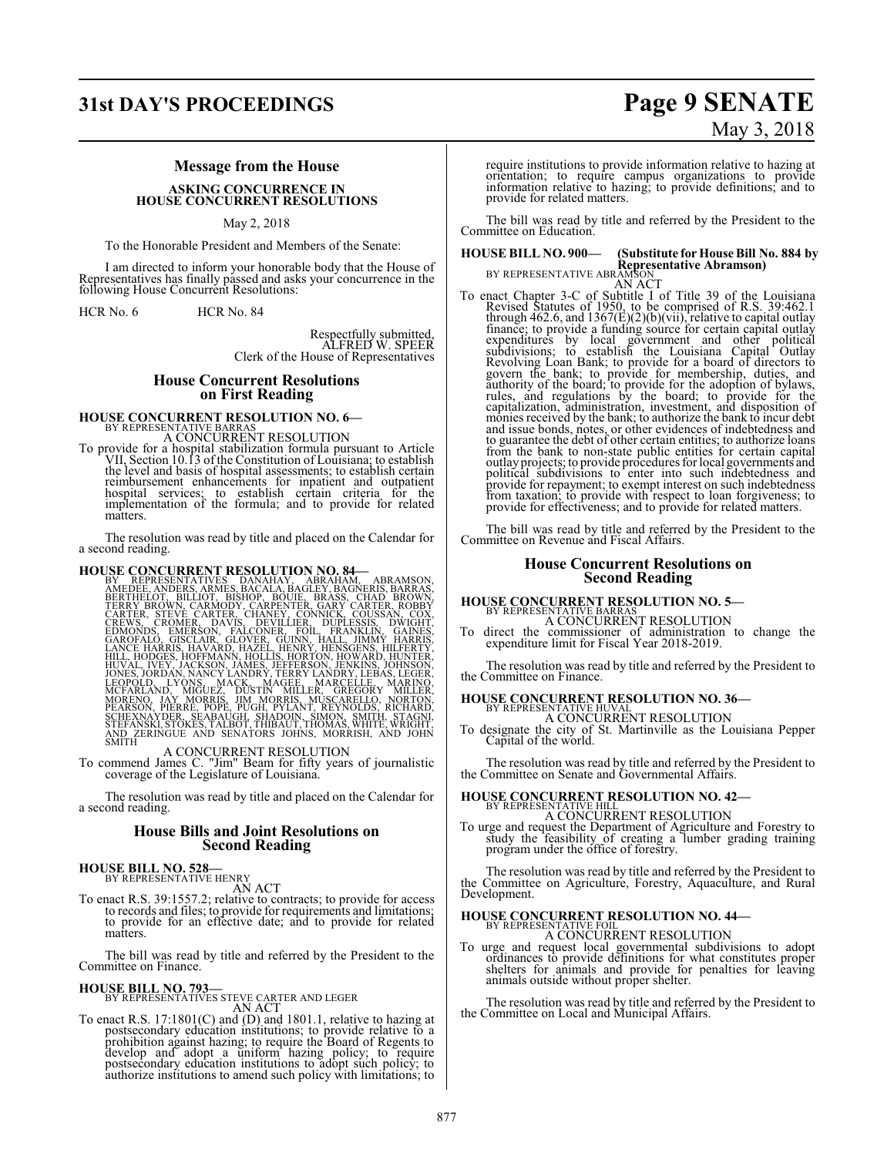## **31st DAY'S PROCEEDINGS Page 9 SENATE**

# May 3, 2018

#### **Message from the House**

**ASKING CONCURRENCE IN HOUSE CONCURRENT RESOLUTIONS**

May 2, 2018

To the Honorable President and Members of the Senate:

I am directed to inform your honorable body that the House of Representatives has finally passed and asks your concurrence in the following House Concurrent Resolutions:

HCR No. 6 HCR No. 84

Respectfully submitted, ALFRED W. SPEER Clerk of the House of Representatives

#### **House Concurrent Resolutions on First Reading**

### **HOUSE CONCURRENT RESOLUTION NO. 6-BY REPRESENTATIVE BARRAS** A CONCURRENT RESOLUTION

To provide for a hospital stabilization formula pursuant to Article<br>VII, Section 10.13 of the Constitution of Louisiana; to establish<br>the level and basis of hospital assessments; to establish certain<br>reimbursement enhancem matters.

The resolution was read by title and placed on the Calendar for a second reading.

HOUSE CONCURRENT RESOLUTION NO. 84—<br>BY REPRESENTATIVES DANAHAY, ABRAMSON, AMEDEE, ANDERS, BRAMS BACALA, BAGLEY, BAGNERIS, BARRAS,<br>FERRY BROWN, CARMODY, CARPENTER, GARY CARTER, ROBBY<br>CARTER, STEVE CARTER, CHAPTIC CONNICK, C

A CONCURRENT RESOLUTION To commend James C. "Jim" Beam for fifty years of journalistic coverage of the Legislature of Louisiana.

The resolution was read by title and placed on the Calendar for a second reading.

#### **House Bills and Joint Resolutions on Second Reading**

**HOUSE BILL NO. 528**—<br>RY REPRESENTATIVE HENRY

AN ACT To enact R.S. 39:1557.2; relative to contracts; to provide for access to records and files; to provide for requirements and limitations; to provide for an effective date; and to provide for related matters.

The bill was read by title and referred by the President to the Committee on Finance.

### **HOUSE BILL NO. 793—**<br>BY REPRESENTATIVES STEVE CARTER AND LEGER

AN ACT<br>To enact R.S. 17:1801(C) and (D) and 1801.1, relative to hazing at postsecondary education institutions; to provide relative to a<br>prohibition against hazing; to require the Board of Regents to<br>develop and adopt a uniform hazing policy; to require<br>postsecondary education institutions to ad require institutions to provide information relative to hazing at orientation; to require campus organizations to provide information relative to hazing; to provide definitions; and to provide for related matters.

The bill was read by title and referred by the President to the Committee on Education.

## **HOUSE BILL NO. 900— (Substitute for House Bill No. 884 by Representative Abramson)** BY REPRESENTATIVE ABRAMSON

AN ACT<br>AN ACT<br>AN ACT<br>To enact Chapter 3-C of Subtitle I of Title 39 of the Louisiana<br>Revised Statutes of 1950, to be comprised of R.S. 39:462.1<br>through 462.6, and 1367(E)(2)(b)(vii), relative to capital outlay<br>finance; to capitalization, administration, investment, and disposition of<br>monies received by the bank; to authorize the bank to incur debt<br>and issue bonds, notes, or other evidences of indebtedness and<br>to guarantee the debt of other provide for repayment; to exempt interest on such indebtedness from taxation; to provide with respect to loan forgiveness; to provide for effectiveness; and to provide for related matters.

The bill was read by title and referred by the President to the Committee on Revenue and Fiscal Affairs.

#### **House Concurrent Resolutions on Second Reading**

## **HOUSE CONCURRENT RESOLUTION NO. 5—** BY REPRESENTATIVE BARRAS

A CONCURRENT RESOLUTION To direct the commissioner of administration to change the expenditure limit for Fiscal Year 2018-2019.

The resolution was read by title and referred by the President to the Committee on Finance.

### **HOUSE CONCURRENT RESOLUTION NO. 36—** BY REPRESENT<u>ATIV</u>E HUVAL A CONCURRENT RESOLUTION

To designate the city of St. Martinville as the Louisiana Pepper Capital of the world.

The resolution was read by title and referred by the President to the Committee on Senate and Governmental Affairs.

### **HOUSE CONCURRENT RESOLUTION NO. 42–** BY REPRESENTATIVE HILL A CONCURRENT RESOLUTION

To urge and request the Department of Agriculture and Forestry to study the feasibility of creating a lumber grading training program under the office of forestry.

The resolution was read by title and referred by the President to the Committee on Agriculture, Forestry, Aquaculture, and Rural Development.

### **HOUSE CONCURRENT RESOLUTION NO. 44–**<br>BY REPRESENTATIVE FOIL

A CONCURRENT RESOLUTION

To urge and request local governmental subdivisions to adopt ordinances to provide definitions for what constitutes proper shelters for animals and provide for penalties for leaving animals outside without proper shelter.

The resolution was read by title and referred by the President to the Committee on Local and Municipal Affairs.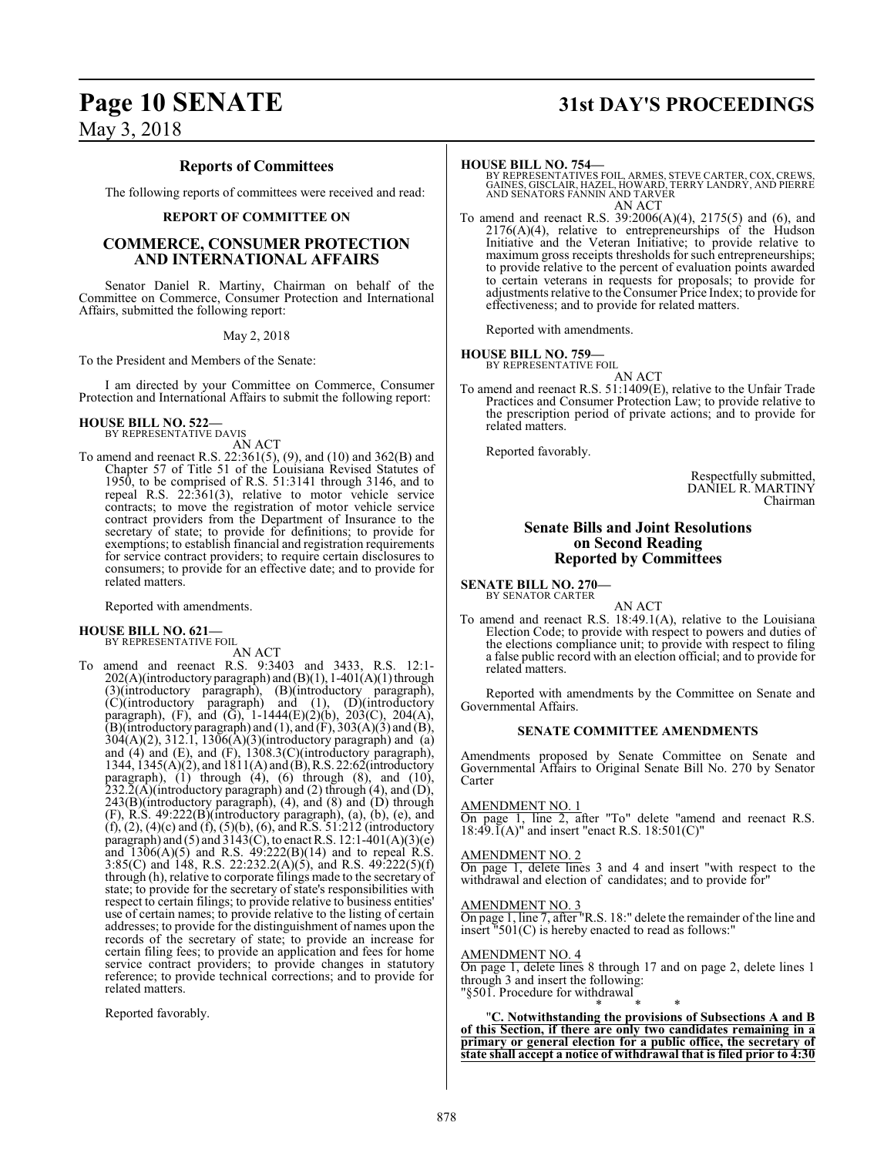### **Reports of Committees**

The following reports of committees were received and read:

#### **REPORT OF COMMITTEE ON**

#### **COMMERCE, CONSUMER PROTECTION AND INTERNATIONAL AFFAIRS**

Senator Daniel R. Martiny, Chairman on behalf of the Committee on Commerce, Consumer Protection and International Affairs, submitted the following report:

#### May 2, 2018

To the President and Members of the Senate:

I am directed by your Committee on Commerce, Consumer Protection and International Affairs to submit the following report:

### **HOUSE BILL NO. 522—** BY REPRESENTATIVE DAVIS

AN ACT

To amend and reenact R.S. 22:361(5), (9), and (10) and 362(B) and Chapter 57 of Title 51 of the Louisiana Revised Statutes of 1950, to be comprised of R.S. 51:3141 through 3146, and to repeal R.S. 22:361(3), relative to motor vehicle service contracts; to move the registration of motor vehicle service contract providers from the Department of Insurance to the secretary of state; to provide for definitions; to provide for exemptions; to establish financial and registration requirements for service contract providers; to require certain disclosures to consumers; to provide for an effective date; and to provide for related matters.

Reported with amendments.

#### **HOUSE BILL NO. 621—** BY REPRESENTATIVE FOIL

AN ACT

To amend and reenact R.S. 9:3403 and 3433, R.S. 12:1-  $202(A)$ (introductory paragraph) and (B)(1), 1-401(A)(1) through (3)(introductory paragraph), (B)(introductory paragraph), (C)(introductory paragraph) and (1), (D)(introductory paragraph), (F), and (G), 1-1444(E)(2)(b), 203(C), 204(A), (B)(introductory paragraph) and (1), and (F), 303(A)(3) and (B), 304(A)(2), 312.1, 1306(A)(3)(introductory paragraph) and (a) and (4) and (E), and (F), 1308.3(C)(introductory paragraph), 1344, 1345(A)(2), and 1811(A) and (B),R.S. 22:62(introductory paragraph), (1) through (4), (6) through (8), and (10),  $232.\overline{2}(\overline{A})$ (introductory paragraph) and (2) through (4), and (D), 243(B)(introductory paragraph), (4), and (8) and (D) through  $(F)$ , R.S. 49:222 $(B)$ (introductory paragraph), (a), (b), (e), and (f), (2), (4)(c) and (f), (5)(b), (6), and R.S. 51:212 (introductory paragraph) and (5) and  $3143(C)$ , to enact R.S.  $12:1-401(A)(3)(e)$ and  $1306(A)(5)$  and R.S.  $49:222(B)(14)$  and to repeal R.S. 3:85(C) and 148, R.S. 22:232.2(A)(5), and R.S. 49:222(5)(f) through (h), relative to corporate filings made to the secretary of state; to provide for the secretary of state's responsibilities with respect to certain filings; to provide relative to business entities' use of certain names; to provide relative to the listing of certain addresses; to provide for the distinguishment of names upon the records of the secretary of state; to provide an increase for certain filing fees; to provide an application and fees for home service contract providers; to provide changes in statutory reference; to provide technical corrections; and to provide for related matters.

Reported favorably.

#### **HOUSE BILL NO. 754—**

BY REPRESENTATIVES FOIL, ARMES, STEVE CARTER, COX, CREWS, GAINES, GISCLAIR, HAZEL, HOWARD, TERRY LANDRY, AND PIERRE AND SENATORS FANNIN AND TARVER AN ACT

To amend and reenact R.S. 39:2006(A)(4), 2175(5) and (6), and 2176(A)(4), relative to entrepreneurships of the Hudson Initiative and the Veteran Initiative; to provide relative to maximum gross receipts thresholds for such entrepreneurships; to provide relative to the percent of evaluation points awarded to certain veterans in requests for proposals; to provide for adjustments relative to the Consumer Price Index; to provide for effectiveness; and to provide for related matters.

Reported with amendments.

#### **HOUSE BILL NO. 759—**

BY REPRESENTATIVE FOIL

AN ACT To amend and reenact R.S. 51:1409(E), relative to the Unfair Trade Practices and Consumer Protection Law; to provide relative to the prescription period of private actions; and to provide for related matters.

Reported favorably.

Respectfully submitted, DANIEL R. MARTINY Chairman

#### **Senate Bills and Joint Resolutions on Second Reading Reported by Committees**

**SENATE BILL NO. 270—** BY SENATOR CARTER

AN ACT

To amend and reenact R.S. 18:49.1(A), relative to the Louisiana Election Code; to provide with respect to powers and duties of the elections compliance unit; to provide with respect to filing a false public record with an election official; and to provide for related matters.

Reported with amendments by the Committee on Senate and Governmental Affairs.

#### **SENATE COMMITTEE AMENDMENTS**

Amendments proposed by Senate Committee on Senate and Governmental Affairs to Original Senate Bill No. 270 by Senator Carter

#### AMENDMENT NO. 1

On page 1, line 2, after "To" delete "amend and reenact R.S. 18:49. $\tilde{I}(A)$ <sup>"</sup> and insert "enact R.S. 18:501(C)"

#### AMENDMENT NO. 2

On page 1, delete lines 3 and 4 and insert "with respect to the withdrawal and election of candidates; and to provide for"

#### AMENDMENT NO. 3

On page 1, line 7, after "R.S. 18:" delete the remainder of the line and insert  $\text{``}501\text{(C)}$  is hereby enacted to read as follows:"

#### AMENDMENT NO. 4

On page 1, delete lines 8 through 17 and on page 2, delete lines 1 through 3 and insert the following: "§501. Procedure for withdrawal

\* \* \*

"**C. Notwithstanding the provisions of Subsections A and B of this Section, if there are only two candidates remaining in a primary or general election for a public office, the secretary of state shall accept a notice of withdrawal that is filed prior to 4:30**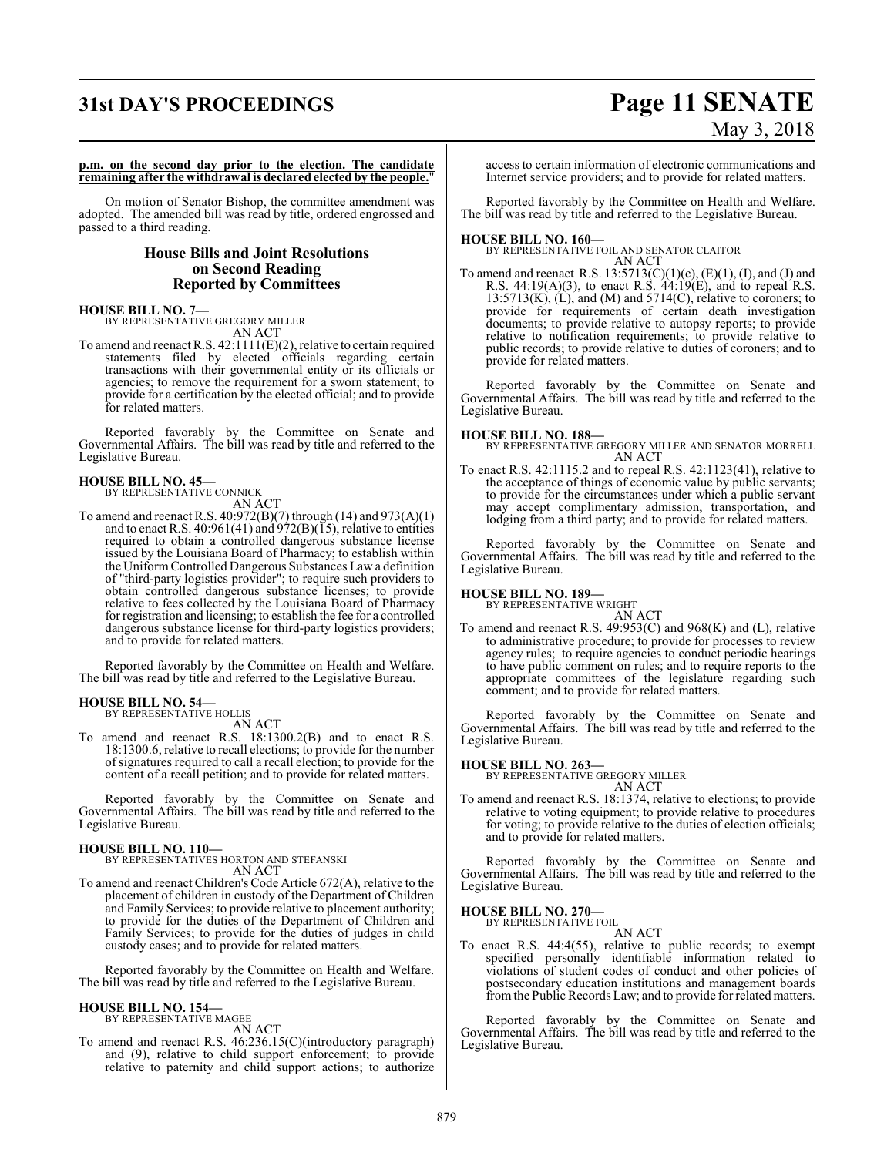## **31st DAY'S PROCEEDINGS Page 11 SENATE** May 3, 2018

**p.m. on the second day prior to the election. The candidate remaining after the withdrawal is declared elected by the people.**"

On motion of Senator Bishop, the committee amendment was adopted. The amended bill was read by title, ordered engrossed and passed to a third reading.

#### **House Bills and Joint Resolutions on Second Reading Reported by Committees**

**HOUSE BILL NO. 7—** BY REPRESENTATIVE GREGORY MILLER AN ACT

To amend and reenact R.S. 42:1111(E)(2), relative to certain required statements filed by elected officials regarding certain transactions with their governmental entity or its officials or agencies; to remove the requirement for a sworn statement; to provide for a certification by the elected official; and to provide for related matters.

Reported favorably by the Committee on Senate and Governmental Affairs. The bill was read by title and referred to the Legislative Bureau.

#### **HOUSE BILL NO. 45—** BY REPRESENTATIVE CONNICK

AN ACT

To amend and reenact R.S. 40:972(B)(7) through (14) and 973(A)(1) and to enact R.S. 40:961(41) and 972(B)( $\overline{15}$ ), relative to entities required to obtain a controlled dangerous substance license issued by the Louisiana Board of Pharmacy; to establish within the Uniform Controlled Dangerous Substances Law a definition of "third-party logistics provider"; to require such providers to obtain controlled dangerous substance licenses; to provide relative to fees collected by the Louisiana Board of Pharmacy for registration and licensing; to establish the fee for a controlled dangerous substance license for third-party logistics providers; and to provide for related matters.

Reported favorably by the Committee on Health and Welfare. The bill was read by title and referred to the Legislative Bureau.

## **HOUSE BILL NO. 54—** BY REPRESENTATIVE HOLLIS

AN ACT

To amend and reenact R.S. 18:1300.2(B) and to enact R.S. 18:1300.6, relative to recall elections; to provide for the number ofsignatures required to call a recall election; to provide for the content of a recall petition; and to provide for related matters.

Reported favorably by the Committee on Senate and Governmental Affairs. The bill was read by title and referred to the Legislative Bureau.

**HOUSE BILL NO. 110—** BY REPRESENTATIVES HORTON AND STEFANSKI AN ACT

To amend and reenact Children's Code Article 672(A), relative to the placement of children in custody of the Department of Children and Family Services; to provide relative to placement authority; to provide for the duties of the Department of Children and Family Services; to provide for the duties of judges in child custody cases; and to provide for related matters.

Reported favorably by the Committee on Health and Welfare. The bill was read by title and referred to the Legislative Bureau.

### **HOUSE BILL NO. 154—**

BY REPRESENTATIVE MAGEE AN ACT

To amend and reenact R.S. 46:236.15(C)(introductory paragraph) and (9), relative to child support enforcement; to provide relative to paternity and child support actions; to authorize

access to certain information of electronic communications and Internet service providers; and to provide for related matters.

Reported favorably by the Committee on Health and Welfare. The bill was read by title and referred to the Legislative Bureau.

**HOUSE BILL NO. 160—** BY REPRESENTATIVE FOIL AND SENATOR CLAITOR AN ACT

To amend and reenact R.S.  $13:5713(C)(1)(c)$ ,  $(E)(1)$ ,  $(I)$ , and  $(J)$  and R.S. 44:19(A)(3), to enact R.S. 44:19(E), and to repeal R.S.  $13:5713(K)$ ,  $(L)$ , and  $(M)$  and  $5714(C)$ , relative to coroners; to provide for requirements of certain death investigation documents; to provide relative to autopsy reports; to provide relative to notification requirements; to provide relative to public records; to provide relative to duties of coroners; and to provide for related matters.

Reported favorably by the Committee on Senate and Governmental Affairs. The bill was read by title and referred to the Legislative Bureau.

#### **HOUSE BILL NO. 188—**

BY REPRESENTATIVE GREGORY MILLER AND SENATOR MORRELL AN ACT

To enact R.S. 42:1115.2 and to repeal R.S. 42:1123(41), relative to the acceptance of things of economic value by public servants; to provide for the circumstances under which a public servant may accept complimentary admission, transportation, and lodging from a third party; and to provide for related matters.

Reported favorably by the Committee on Senate and Governmental Affairs. The bill was read by title and referred to the Legislative Bureau.

### **HOUSE BILL NO. 189—** BY REPRESENTATIVE WRIGHT

AN ACT

To amend and reenact R.S. 49:953(C) and 968(K) and (L), relative to administrative procedure; to provide for processes to review agency rules; to require agencies to conduct periodic hearings to have public comment on rules; and to require reports to the appropriate committees of the legislature regarding such comment; and to provide for related matters.

Reported favorably by the Committee on Senate and Governmental Affairs. The bill was read by title and referred to the Legislative Bureau.

### **HOUSE BILL NO. 263—** BY REPRESENTATIVE GREGORY MILLER

- AN ACT
- To amend and reenact R.S. 18:1374, relative to elections; to provide relative to voting equipment; to provide relative to procedures for voting; to provide relative to the duties of election officials; and to provide for related matters.

Reported favorably by the Committee on Senate and Governmental Affairs. The bill was read by title and referred to the Legislative Bureau.

#### **HOUSE BILL NO. 270—**

BY REPRESENTATIVE FOIL AN ACT

To enact R.S. 44:4(55), relative to public records; to exempt specified personally identifiable information related to violations of student codes of conduct and other policies of postsecondary education institutions and management boards fromthe Public Records Law; and to provide for related matters.

Reported favorably by the Committee on Senate and Governmental Affairs. The bill was read by title and referred to the Legislative Bureau.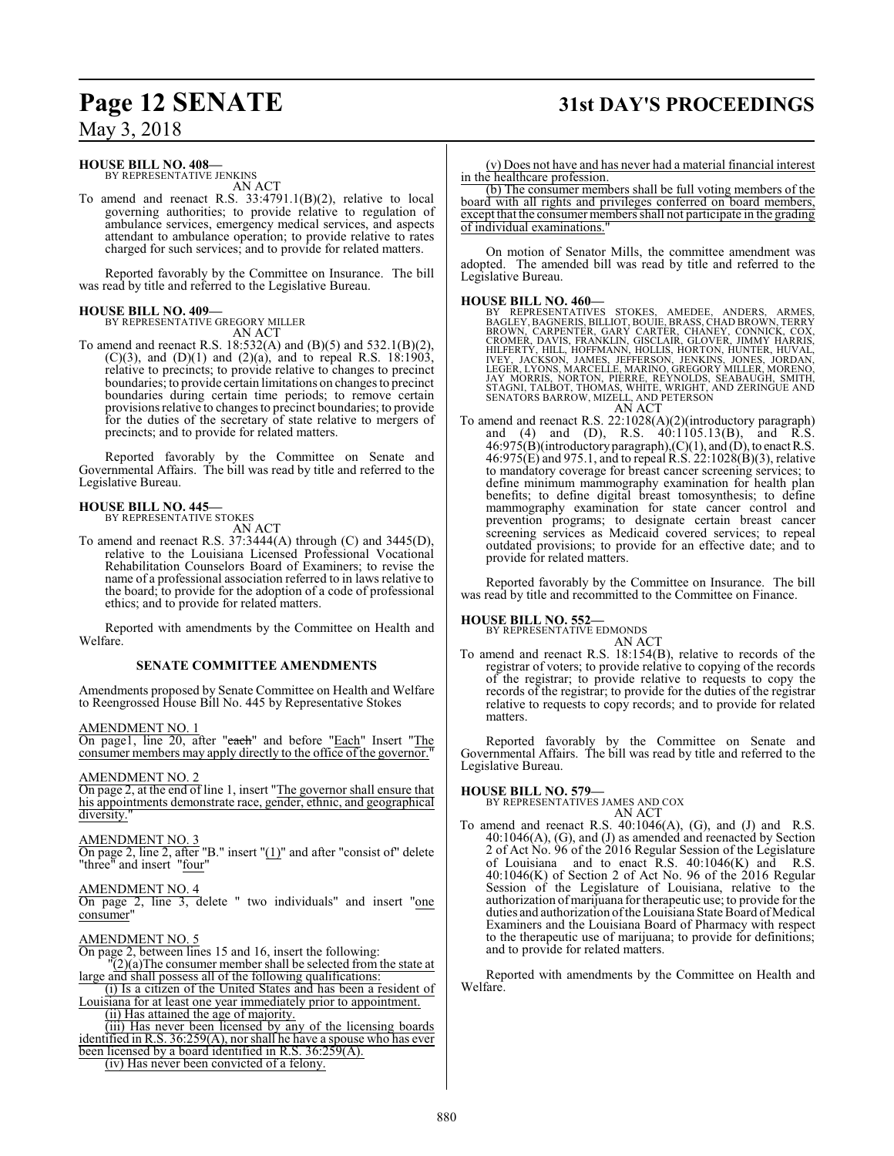### **Page 12 SENATE 31st DAY'S PROCEEDINGS**

### May 3, 2018

#### **HOUSE BILL NO. 408—**

BY REPRESENTATIVE JENKINS AN ACT

To amend and reenact R.S. 33:4791.1(B)(2), relative to local governing authorities; to provide relative to regulation of ambulance services, emergency medical services, and aspects attendant to ambulance operation; to provide relative to rates charged for such services; and to provide for related matters.

Reported favorably by the Committee on Insurance. The bill was read by title and referred to the Legislative Bureau.

#### **HOUSE BILL NO. 409—** BY REPRESENTATIVE GREGORY MILLER

AN ACT

To amend and reenact R.S. 18:532(A) and (B)(5) and 532.1(B)(2), (C)(3), and (D)(1) and (2)(a), and to repeal R.S. 18:1903, relative to precincts; to provide relative to changes to precinct boundaries; to provide certain limitations on changes to precinct boundaries during certain time periods; to remove certain provisions relative to changes to precinct boundaries; to provide for the duties of the secretary of state relative to mergers of precincts; and to provide for related matters.

Reported favorably by the Committee on Senate and Governmental Affairs. The bill was read by title and referred to the Legislative Bureau.

## **HOUSE BILL NO. 445—** BY REPRESENTATIVE STOKES

- AN ACT
- To amend and reenact R.S. 37:3444(A) through (C) and 3445(D), relative to the Louisiana Licensed Professional Vocational Rehabilitation Counselors Board of Examiners; to revise the name of a professional association referred to in laws relative to the board; to provide for the adoption of a code of professional ethics; and to provide for related matters.

Reported with amendments by the Committee on Health and Welfare.

#### **SENATE COMMITTEE AMENDMENTS**

Amendments proposed by Senate Committee on Health and Welfare to Reengrossed House Bill No. 445 by Representative Stokes

AMENDMENT NO. 1

On page1, line 20, after "each" and before "Each" Insert "The consumer members may apply directly to the office of the governor.

#### AMENDMENT NO. 2

On page 2, at the end of line 1, insert "The governor shall ensure that his appointments demonstrate race, gender, ethnic, and geographical diversity.

#### AMENDMENT NO. 3

On page 2, line 2, after "B." insert "(1)" and after "consist of" delete "three" and insert "four"

#### AMENDMENT NO. 4

On page 2, line 3, delete " two individuals" and insert "one consumer"

#### AMENDMENT NO. 5

On page 2, between lines 15 and 16, insert the following:

- $(2)(a)$ The consumer member shall be selected from the state at large and shall possess all of the following qualifications:
- (i) Is a citizen of the United States and has been a resident of Louisiana for at least one year immediately prior to appointment. (ii) Has attained the age of majority.
- (iii) Has never been licensed by any of the licensing boards identified in R.S. 36:259(A), nor shall he have a spouse who has ever been licensed by a board identified in R.S. 36:259(A).

(iv) Has never been convicted of a felony.

(b) The consumer members shall be full voting members of the board with all rights and privileges conferred on board members, except that the consumer members shall not participate in the grading of individual examinations."

On motion of Senator Mills, the committee amendment was adopted. The amended bill was read by title and referred to the Legislative Bureau.

- **HOUSE BILL NO. 460—**<br>BY REPRESENTATIVES STOKES, AMEDEE, ANDERS, ARMES,<br>BAGLEY, BAGNERIS, BILLIOT, BOUIE, BRASS, CHAD BROWN, TERRY<br>BROWN, CARPENTER, GARY CARTER, CHANEY, CONNICK, COX,<br>CROMER, DAVIS, FRANKLIN, GISCLAIR, GLO AN ACT
- To amend and reenact R.S. 22:1028(A)(2)(introductory paragraph) and (4) and (D), R.S. 40:1105.13(B), and R.S.  $46:975(B)$ (introductory paragraph),(C)(1), and (D), to enact R.S. 46:975(E) and 975.1, and to repeal  $R.S. 22:1028(B)(3)$ , relative to mandatory coverage for breast cancer screening services; to define minimum mammography examination for health plan benefits; to define digital breast tomosynthesis; to define mammography examination for state cancer control and prevention programs; to designate certain breast cancer screening services as Medicaid covered services; to repeal outdated provisions; to provide for an effective date; and to provide for related matters.

Reported favorably by the Committee on Insurance. The bill was read by title and recommitted to the Committee on Finance.

#### **HOUSE BILL NO. 552—**

BY REPRESENTATIVE EDMONDS AN ACT

To amend and reenact R.S. 18:154(B), relative to records of the registrar of voters; to provide relative to copying of the records of the registrar; to provide relative to requests to copy the records of the registrar; to provide for the duties of the registrar relative to requests to copy records; and to provide for related matters.

Reported favorably by the Committee on Senate and Governmental Affairs. The bill was read by title and referred to the Legislative Bureau.

**HOUSE BILL NO. 579—** BY REPRESENTATIVES JAMES AND COX AN ACT

To amend and reenact R.S.  $40:1046(A)$ , (G), and (J) and R.S. 40:1046(A), (G), and (J) as amended and reenacted by Section 2 of Act No. 96 of the 2016 Regular Session of the Legislature of Louisiana and to enact R.S. 40:1046(K) and R.S. 40:1046(K) of Section 2 of Act No. 96 of the 2016 Regular Session of the Legislature of Louisiana, relative to the authorization ofmarijuana for therapeutic use; to provide for the duties and authorization of the Louisiana State Board of Medical Examiners and the Louisiana Board of Pharmacy with respect to the therapeutic use of marijuana; to provide for definitions; and to provide for related matters.

Reported with amendments by the Committee on Health and Welfare.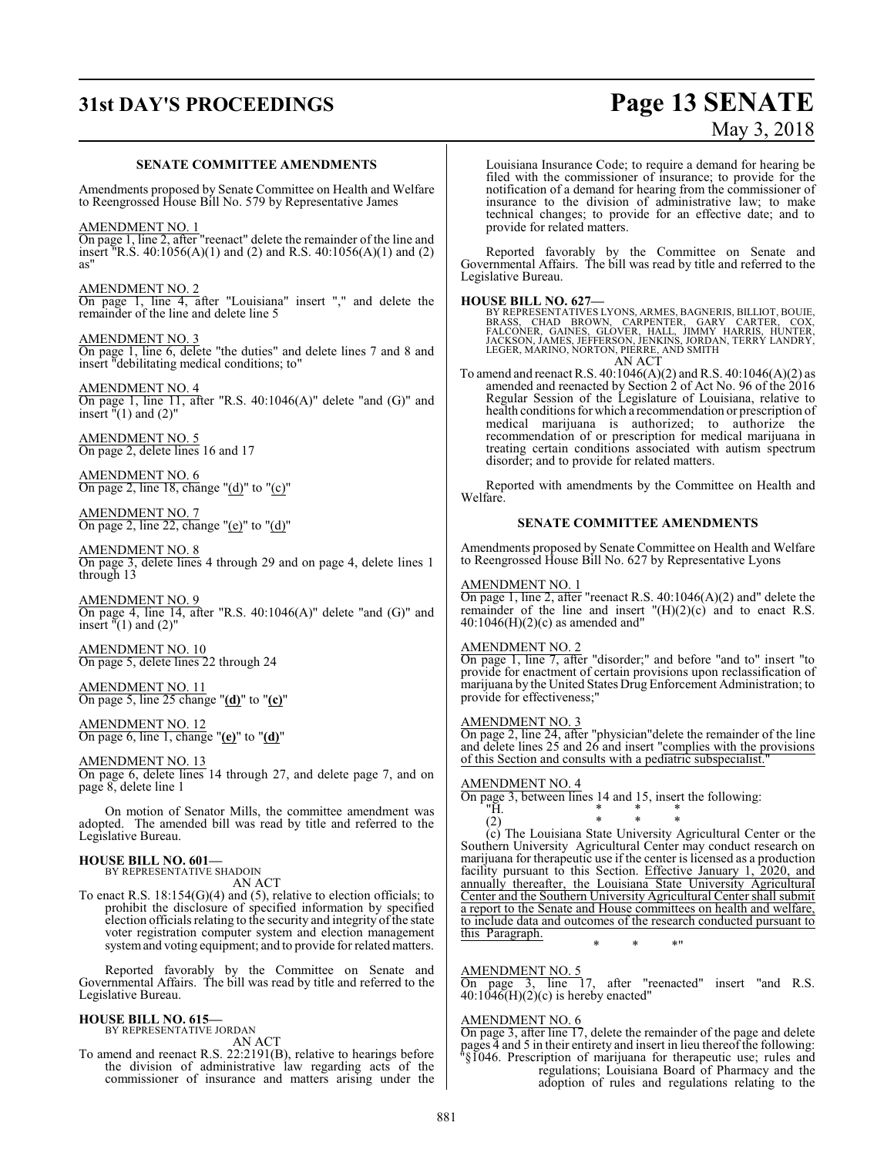## **31st DAY'S PROCEEDINGS Page 13 SENATE**

# May 3, 2018

#### **SENATE COMMITTEE AMENDMENTS**

Amendments proposed by Senate Committee on Health and Welfare to Reengrossed House Bill No. 579 by Representative James

AMENDMENT NO. 1 On page 1, line 2, after "reenact" delete the remainder of the line and insert <sup>"</sup>R.S. 40:1056(A)(1) and (2) and R.S. 40:1056(A)(1) and (2) as"

AMENDMENT NO. 2 On page 1, line 4, after "Louisiana" insert "," and delete the remainder of the line and delete line 5

AMENDMENT NO. 3 On page 1, line 6, delete "the duties" and delete lines 7 and 8 and insert "debilitating medical conditions; to"

AMENDMENT NO. 4 On page 1, line 11, after "R.S. 40:1046(A)" delete "and (G)" and insert  $\sqrt[n]{(1)}$  and  $(2)$ "

AMENDMENT NO. 5 On page 2, delete lines 16 and 17

AMENDMENT NO. 6 On page 2, line 18, change "(d)" to "(c)"

AMENDMENT NO. 7 On page 2, line 22, change "(e)" to "(d)"

AMENDMENT NO. 8 On page 3, delete lines 4 through 29 and on page 4, delete lines 1 through 13

AMENDMENT NO. 9 On page 4, line 14, after "R.S. 40:1046(A)" delete "and (G)" and insert  $\sqrt[n]{(1)}$  and  $(2)$ "

AMENDMENT NO. 10 On page 5, delete lines 22 through 24

AMENDMENT NO. 11 On page 5, line 25 change "**(d)**" to "**(c)**"

AMENDMENT NO. 12 On page 6, line 1, change "**(e)**" to "**(d)**"

AMENDMENT NO. 13 On page 6, delete lines 14 through 27, and delete page 7, and on page 8, delete line 1

On motion of Senator Mills, the committee amendment was adopted. The amended bill was read by title and referred to the Legislative Bureau.

### **HOUSE BILL NO. 601—** BY REPRESENTATIVE SHADOIN

AN ACT

To enact R.S. 18:154(G)(4) and (5), relative to election officials; to prohibit the disclosure of specified information by specified election officials relating to the security and integrity of the state voter registration computer system and election management system and voting equipment; and to provide for related matters.

Reported favorably by the Committee on Senate and Governmental Affairs. The bill was read by title and referred to the Legislative Bureau.

#### **HOUSE BILL NO. 615—** BY REPRESENTATIVE JORDAN

AN ACT

To amend and reenact R.S. 22:2191(B), relative to hearings before the division of administrative law regarding acts of the commissioner of insurance and matters arising under the Louisiana Insurance Code; to require a demand for hearing be filed with the commissioner of insurance; to provide for the notification of a demand for hearing from the commissioner of insurance to the division of administrative law; to make technical changes; to provide for an effective date; and to provide for related matters.

Reported favorably by the Committee on Senate and Governmental Affairs. The bill was read by title and referred to the Legislative Bureau.

#### **HOUSE BILL NO. 627—**

BY REPRESENTATIVES LYONS, ARMES, BAGNERIS, BILLIOT, BOUIE,<br>BRASS, CHAD BROWN, CARPENTER, GARY CARTER, COX,<br>FALCONER, GAINES, GLOVER, HALL, JIMMY HARRIS, HUNTER,<br>JACKSON, JAMES, JEFFERSON, JENKINS, JORDAN,

AN ACT

To amend and reenact R.S. 40:1046(A)(2) and R.S. 40:1046(A)(2) as amended and reenacted by Section 2 of Act No. 96 of the 2016 Regular Session of the Legislature of Louisiana, relative to health conditions for which a recommendation or prescription of medical marijuana is authorized; to authorize the recommendation of or prescription for medical marijuana in treating certain conditions associated with autism spectrum disorder; and to provide for related matters.

Reported with amendments by the Committee on Health and Welfare.

#### **SENATE COMMITTEE AMENDMENTS**

Amendments proposed by Senate Committee on Health and Welfare to Reengrossed House Bill No. 627 by Representative Lyons

#### AMENDMENT NO. 1

On page 1, line 2, after "reenact R.S. 40:1046(A)(2) and" delete the remainder of the line and insert  $H(H)(2)(c)$  and to enact R.S.  $40:1046(H)(2)(c)$  as amended and"

#### AMENDMENT NO. 2

On page 1, line 7, after "disorder;" and before "and to" insert "to provide for enactment of certain provisions upon reclassification of marijuana by the United States Drug Enforcement Administration; to provide for effectiveness;"

#### AMENDMENT NO. 3

On page 2, line 24, after "physician"delete the remainder of the line and delete lines 25 and 26 and insert "complies with the provisions of this Section and consults with a pediatric subspecialist."

#### AMENDMENT NO. 4

On page 3, between lines 14 and 15, insert the following: "H. "H. \* \* \*

(2) \* \* \* (c) The Louisiana State University Agricultural Center or the Southern University Agricultural Center may conduct research on marijuana for therapeutic use if the center is licensed as a production facility pursuant to this Section. Effective January 1, 2020, and annually thereafter, the Louisiana State University Agricultural Center and the Southern University Agricultural Center shall submit a report to the Senate and House committees on health and welfare, to include data and outcomes of the research conducted pursuant to this Paragraph.

#### AMENDMENT NO. 5

On page 3, line 17, after "reenacted" insert "and R.S.  $40:1046(H)(2)(c)$  is hereby enacted"

\* \* \*"

#### AMENDMENT NO. 6

On page 3, after line 17, delete the remainder of the page and delete pages 4 and 5 in their entirety and insert in lieu thereof the following: "§1046. Prescription of marijuana for therapeutic use; rules and regulations; Louisiana Board of Pharmacy and the adoption of rules and regulations relating to the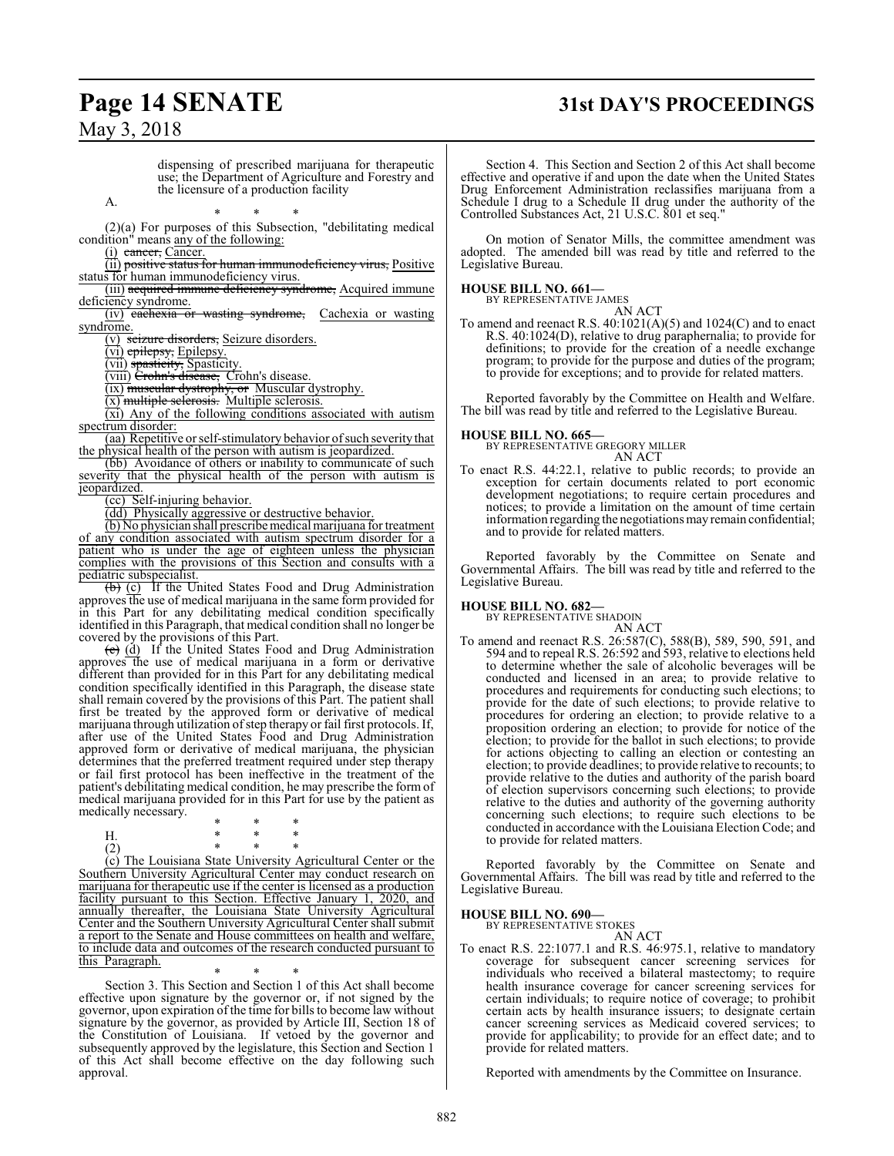## **Page 14 SENATE 31st DAY'S PROCEEDINGS**

May 3, 2018

dispensing of prescribed marijuana for therapeutic use; the Department of Agriculture and Forestry and the licensure of a production facility

A.

\* \* \* (2)(a) For purposes of this Subsection, "debilitating medical condition" means any of the following:

 $(i)$  cancer, Cancer.

(ii) positive status for human immunodeficiency virus, Positive status for human immunodeficiency virus.

(iii) acquired immune deficiency syndrome, Acquired immune deficiency syndrome.

(iv) cachexia or wasting syndrome, Cachexia or wasting syndrome.

(v) seizure disorders, Seizure disorders.

(vi) epilepsy, Epilepsy.

(vii) spasticity, Spasticity.

(viii) Crohn's disease, Crohn's disease.

(ix) muscular dystrophy, or Muscular dystrophy.

(x) multiple selerosis. Multiple sclerosis.

(xi) Any of the following conditions associated with autism spectrum disorder:

(aa) Repetitive or self-stimulatory behavior of such severity that the physical health of the person with autism is jeopardized.

(bb) Avoidance of others or inability to communicate of such severity that the physical health of the person with autism is jeopardized.

(cc) Self-injuring behavior.

(dd) Physically aggressive or destructive behavior.

(b) No physician shall prescribe medical marijuana for treatment of any condition associated with autism spectrum disorder for a patient who is under the age of eighteen unless the physician complies with the provisions of this Section and consults with a pediatric subspecialist.

(b) (c) If the United States Food and Drug Administration approves the use of medical marijuana in the same form provided for in this Part for any debilitating medical condition specifically identified in this Paragraph, that medical condition shall no longer be covered by the provisions of this Part.

(c) (d) If the United States Food and Drug Administration approves the use of medical marijuana in a form or derivative different than provided for in this Part for any debilitating medical condition specifically identified in this Paragraph, the disease state shall remain covered by the provisions of this Part. The patient shall first be treated by the approved form or derivative of medical marijuana through utilization ofstep therapy or fail first protocols. If, after use of the United States Food and Drug Administration approved form or derivative of medical marijuana, the physician determines that the preferred treatment required under step therapy or fail first protocol has been ineffective in the treatment of the patient's debilitating medical condition, he may prescribe the form of medical marijuana provided for in this Part for use by the patient as medically necessary.

\* \* \* H. \* \* \* (2) \* \* \*

(c) The Louisiana State University Agricultural Center or the Southern University Agricultural Center may conduct research on marijuana for therapeutic use if the center is licensed as a production facility pursuant to this Section. Effective January 1, 2020, and annually thereafter, the Louisiana State University Agricultural Center and the Southern University Agricultural Center shall submit a report to the Senate and House committees on health and welfare, to include data and outcomes of the research conducted pursuant to this Paragraph.

\* \* \* Section 3. This Section and Section 1 of this Act shall become effective upon signature by the governor or, if not signed by the governor, upon expiration of the time for bills to become law without signature by the governor, as provided by Article III, Section 18 of the Constitution of Louisiana. If vetoed by the governor and subsequently approved by the legislature, this Section and Section 1 of this Act shall become effective on the day following such approval.

Section 4. This Section and Section 2 of this Act shall become effective and operative if and upon the date when the United States Drug Enforcement Administration reclassifies marijuana from a Schedule I drug to a Schedule II drug under the authority of the Controlled Substances Act, 21 U.S.C. 801 et seq."

On motion of Senator Mills, the committee amendment was adopted. The amended bill was read by title and referred to the Legislative Bureau.

#### **HOUSE BILL NO. 661—**

BY REPRESENTATIVE JAMES

AN ACT

To amend and reenact R.S. 40:1021(A)(5) and 1024(C) and to enact R.S. 40:1024(D), relative to drug paraphernalia; to provide for definitions; to provide for the creation of a needle exchange program; to provide for the purpose and duties of the program; to provide for exceptions; and to provide for related matters.

Reported favorably by the Committee on Health and Welfare. The bill was read by title and referred to the Legislative Bureau.

**HOUSE BILL NO. 665—**

BY REPRESENTATIVE GREGORY MILLER AN ACT

To enact R.S. 44:22.1, relative to public records; to provide an exception for certain documents related to port economic development negotiations; to require certain procedures and notices; to provide a limitation on the amount of time certain information regarding the negotiations may remain confidential; and to provide for related matters.

Reported favorably by the Committee on Senate and Governmental Affairs. The bill was read by title and referred to the Legislative Bureau.

### **HOUSE BILL NO. 682—** BY REPRESENTATIVE SHADOIN

AN ACT

To amend and reenact R.S. 26:587(C), 588(B), 589, 590, 591, and 594 and to repeal R.S. 26:592 and 593, relative to elections held to determine whether the sale of alcoholic beverages will be conducted and licensed in an area; to provide relative to procedures and requirements for conducting such elections; to provide for the date of such elections; to provide relative to procedures for ordering an election; to provide relative to a proposition ordering an election; to provide for notice of the election; to provide for the ballot in such elections; to provide for actions objecting to calling an election or contesting an election; to provide deadlines; to provide relative to recounts; to provide relative to the duties and authority of the parish board of election supervisors concerning such elections; to provide relative to the duties and authority of the governing authority concerning such elections; to require such elections to be conducted in accordance with the Louisiana Election Code; and to provide for related matters.

Reported favorably by the Committee on Senate and Governmental Affairs. The bill was read by title and referred to the Legislative Bureau.

#### **HOUSE BILL NO. 690—**

BY REPRESENTATIVE STOKES AN ACT

To enact R.S. 22:1077.1 and R.S. 46:975.1, relative to mandatory coverage for subsequent cancer screening services for individuals who received a bilateral mastectomy; to require health insurance coverage for cancer screening services for certain individuals; to require notice of coverage; to prohibit certain acts by health insurance issuers; to designate certain cancer screening services as Medicaid covered services; to provide for applicability; to provide for an effect date; and to provide for related matters.

Reported with amendments by the Committee on Insurance.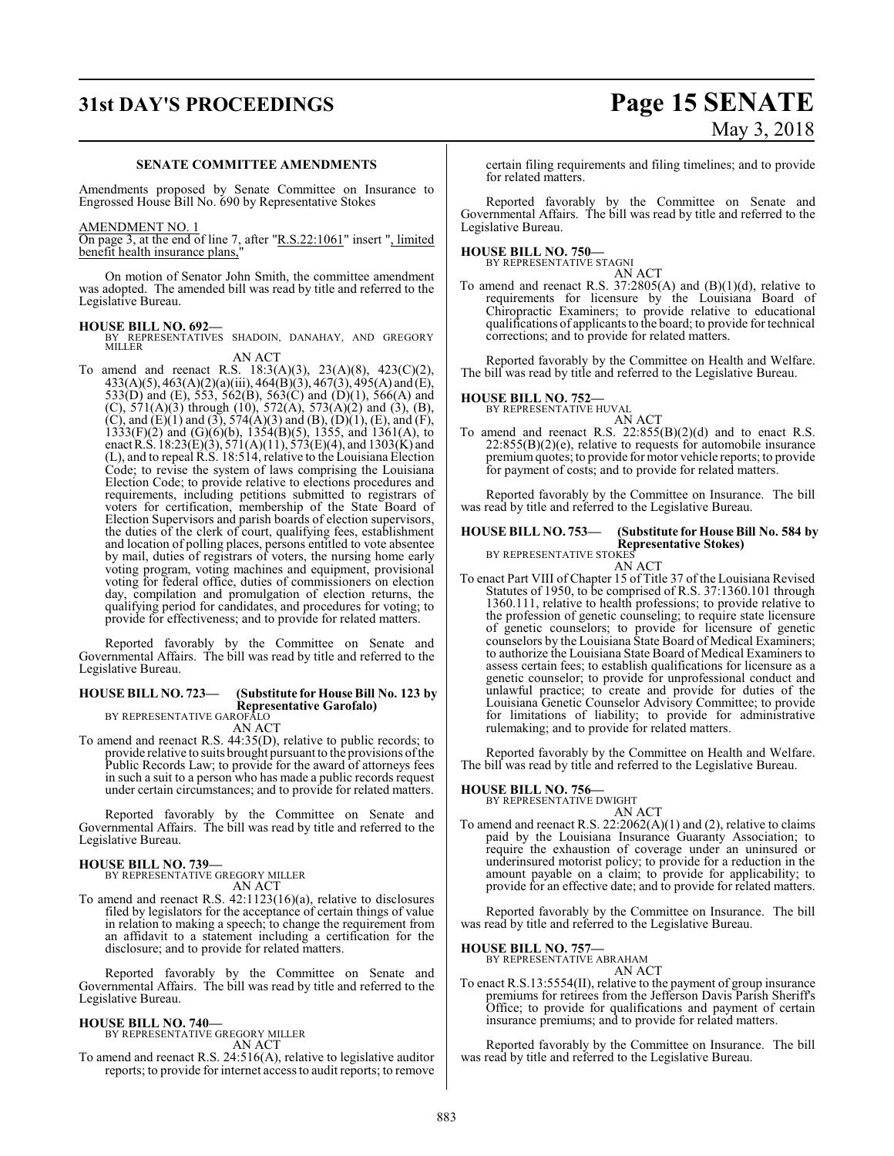## **31st DAY'S PROCEEDINGS Page 15 SENATE**

# May 3, 2018

#### **SENATE COMMITTEE AMENDMENTS**

Amendments proposed by Senate Committee on Insurance to Engrossed House Bill No. 690 by Representative Stokes

#### AMENDMENT NO. 1

On page 3, at the end of line 7, after "R.S.22:1061" insert ", limited benefit health insurance plans,

On motion of Senator John Smith, the committee amendment was adopted. The amended bill was read by title and referred to the Legislative Bureau.

**HOUSE BILL NO. 692—** BY REPRESENTATIVES SHADOIN, DANAHAY, AND GREGORY **MILLER** 

AN ACT To amend and reenact R.S. 18:3(A)(3), 23(A)(8), 423(C)(2), 433(A)(5), 463(A)(2)(a)(iii), 464(B)(3), 467(3), 495(A) and (E), 533(D) and (E), 553, 562(B), 563(C) and (D)(1), 566(A) and (C),  $571(A)(3)$  through (10),  $572(A)$ ,  $573(A)(2)$  and (3), (B), (C), and (E)(1) and (3),  $574(A)(3)$  and (B), (D)(1), (E), and (F),  $1333(F)(2)$  and  $(G)(6)(b)$ ,  $1354(B)(5)$ , 1355, and 1361(A), to enact R.S.  $18:23(E)(3), 571(A)(11), 573(E)(4),$  and  $1303(K)$  and (L), and to repeal R.S. 18:514, relative to the Louisiana Election Code; to revise the system of laws comprising the Louisiana Election Code; to provide relative to elections procedures and requirements, including petitions submitted to registrars of voters for certification, membership of the State Board of Election Supervisors and parish boards of election supervisors, the duties of the clerk of court, qualifying fees, establishment and location of polling places, persons entitled to vote absentee by mail, duties of registrars of voters, the nursing home early voting program, voting machines and equipment, provisional voting for federal office, duties of commissioners on election day, compilation and promulgation of election returns, the qualifying period for candidates, and procedures for voting; to provide for effectiveness; and to provide for related matters.

Reported favorably by the Committee on Senate and Governmental Affairs. The bill was read by title and referred to the Legislative Bureau.

### **HOUSE BILL NO. 723— (Substitute for House Bill No. 123 by Representative Garofalo)** BY REPRESENTATIVE GAROFALO

AN ACT

To amend and reenact R.S. 44:35(D), relative to public records; to provide relative to suits brought pursuant to the provisions of the Public Records Law; to provide for the award of attorneys fees in such a suit to a person who has made a public records request under certain circumstances; and to provide for related matters.

Reported favorably by the Committee on Senate and Governmental Affairs. The bill was read by title and referred to the Legislative Bureau.

### **HOUSE BILL NO. 739—** BY REPRESENTATIVE GREGORY MILLER

AN ACT

To amend and reenact R.S. 42:1123(16)(a), relative to disclosures filed by legislators for the acceptance of certain things of value in relation to making a speech; to change the requirement from an affidavit to a statement including a certification for the disclosure; and to provide for related matters.

Reported favorably by the Committee on Senate and Governmental Affairs. The bill was read by title and referred to the Legislative Bureau.

### **HOUSE BILL NO. 740—** BY REPRESENTATIVE GREGORY MILLER

AN ACT

To amend and reenact R.S. 24:516(A), relative to legislative auditor reports; to provide for internet access to audit reports; to remove

certain filing requirements and filing timelines; and to provide for related matters.

Reported favorably by the Committee on Senate and Governmental Affairs. The bill was read by title and referred to the Legislative Bureau.

### **HOUSE BILL NO. 750—** BY REPRESENTATIVE STAGNI

AN ACT

To amend and reenact R.S.  $37:2805(A)$  and  $(B)(1)(d)$ , relative to requirements for licensure by the Louisiana Board of Chiropractic Examiners; to provide relative to educational qualifications of applicants to the board; to provide for technical corrections; and to provide for related matters.

Reported favorably by the Committee on Health and Welfare. The bill was read by title and referred to the Legislative Bureau.

### **HOUSE BILL NO. 752—** BY REPRESENTATIVE HUVAL

AN ACT

To amend and reenact R.S.  $22:855(B)(2)(d)$  and to enact R.S. 22:855(B)(2)(e), relative to requests for automobile insurance premiumquotes; to provide for motor vehicle reports; to provide for payment of costs; and to provide for related matters.

Reported favorably by the Committee on Insurance. The bill was read by title and referred to the Legislative Bureau.

## **HOUSE BILL NO. 753— (Substitute for House Bill No. 584 by Representative Stokes)<br>BY REPRESENTATIVE STOKES<br>AN ACT**

To enact Part VIII of Chapter 15 of Title 37 of the Louisiana Revised Statutes of 1950, to be comprised of R.S. 37:1360.101 through 1360.111, relative to health professions; to provide relative to the profession of genetic counseling; to require state licensure of genetic counselors; to provide for licensure of genetic counselors by the Louisiana State Board of Medical Examiners; to authorize the Louisiana State Board of Medical Examiners to assess certain fees; to establish qualifications for licensure as a genetic counselor; to provide for unprofessional conduct and unlawful practice; to create and provide for duties of the Louisiana Genetic Counselor Advisory Committee; to provide for limitations of liability; to provide for administrative rulemaking; and to provide for related matters.

Reported favorably by the Committee on Health and Welfare. The bill was read by title and referred to the Legislative Bureau.

#### **HOUSE BILL NO. 756—**

BY REPRESENTATIVE DWIGHT

AN ACT To amend and reenact R.S. 22:2062(A)(1) and (2), relative to claims paid by the Louisiana Insurance Guaranty Association; to require the exhaustion of coverage under an uninsured or underinsured motorist policy; to provide for a reduction in the amount payable on a claim; to provide for applicability; to provide for an effective date; and to provide for related matters.

Reported favorably by the Committee on Insurance. The bill was read by title and referred to the Legislative Bureau.

### **HOUSE BILL NO. 757—** BY REPRESENTATIVE ABRAHAM

AN ACT

To enact R.S.13:5554(II), relative to the payment of group insurance premiums for retirees from the Jefferson Davis Parish Sheriff's Office; to provide for qualifications and payment of certain insurance premiums; and to provide for related matters.

Reported favorably by the Committee on Insurance. The bill was read by title and referred to the Legislative Bureau.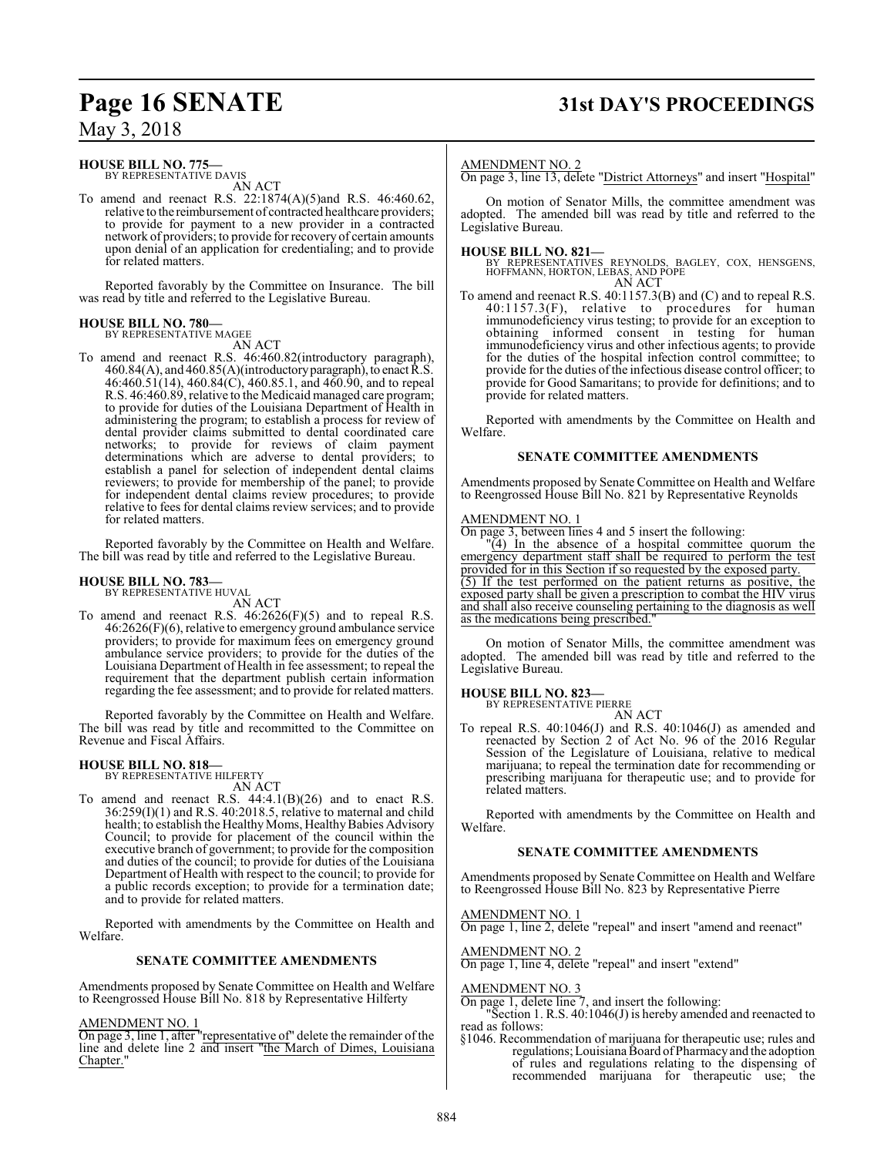## **Page 16 SENATE 31st DAY'S PROCEEDINGS**

May 3, 2018

### **HOUSE BILL NO. 775—**

BY REPRESENTATIVE DAVIS AN ACT

To amend and reenact R.S. 22:1874(A)(5)and R.S. 46:460.62, relative to the reimbursement of contracted healthcare providers; to provide for payment to a new provider in a contracted network of providers; to provide for recovery of certain amounts upon denial of an application for credentialing; and to provide for related matters.

Reported favorably by the Committee on Insurance. The bill was read by title and referred to the Legislative Bureau.

## **HOUSE BILL NO. 780—** BY REPRESENTATIVE MAGEE

AN ACT

To amend and reenact R.S. 46:460.82(introductory paragraph),  $460.84(A)$ , and  $460.85(A)$ (introductory paragraph), to enact  $\tilde{R}$ .S. 46:460.51(14), 460.84(C), 460.85.1, and 460.90, and to repeal R.S. 46:460.89, relative to the Medicaid managed care program; to provide for duties of the Louisiana Department of Health in administering the program; to establish a process for review of dental provider claims submitted to dental coordinated care networks; to provide for reviews of claim payment determinations which are adverse to dental providers; to establish a panel for selection of independent dental claims reviewers; to provide for membership of the panel; to provide for independent dental claims review procedures; to provide relative to fees for dental claims review services; and to provide for related matters.

Reported favorably by the Committee on Health and Welfare. The bill was read by title and referred to the Legislative Bureau.

#### **HOUSE BILL NO. 783—**

BY REPRESENTATIVE HUVAL AN ACT

To amend and reenact R.S. 46:2626(F)(5) and to repeal R.S.  $46.2626(F)(6)$ , relative to emergency ground ambulance service providers; to provide for maximum fees on emergency ground ambulance service providers; to provide for the duties of the Louisiana Department of Health in fee assessment; to repeal the requirement that the department publish certain information regarding the fee assessment; and to provide for related matters.

Reported favorably by the Committee on Health and Welfare. The bill was read by title and recommitted to the Committee on Revenue and Fiscal Affairs.

### **HOUSE BILL NO. 818—** BY REPRESENTATIVE HILFERTY

AN ACT

To amend and reenact R.S. 44:4.1(B)(26) and to enact R.S. 36:259(I)(1) and R.S. 40:2018.5, relative to maternal and child health; to establish the Healthy Moms, Healthy Babies Advisory Council; to provide for placement of the council within the executive branch of government; to provide for the composition and duties of the council; to provide for duties of the Louisiana Department of Health with respect to the council; to provide for a public records exception; to provide for a termination date; and to provide for related matters.

Reported with amendments by the Committee on Health and Welfare.

#### **SENATE COMMITTEE AMENDMENTS**

Amendments proposed by Senate Committee on Health and Welfare to Reengrossed House Bill No. 818 by Representative Hilferty

#### AMENDMENT NO. 1

On page 3, line 1, after "representative of" delete the remainder of the line and delete line 2 and insert "the March of Dimes, Louisiana Chapter."

#### AMENDMENT NO. 2

On page 3, line 13, delete "District Attorneys" and insert "Hospital"

On motion of Senator Mills, the committee amendment was adopted. The amended bill was read by title and referred to the Legislative Bureau.

**HOUSE BILL NO. 821—** BY REPRESENTATIVES REYNOLDS, BAGLEY, COX, HENSGENS, HOFFMANN, HORTON, LEBAS, AND POPE AN ACT

To amend and reenact R.S. 40:1157.3(B) and (C) and to repeal R.S.  $40:1157.3(F)$ , relative to procedures for human immunodeficiency virus testing; to provide for an exception to obtaining informed consent in testing for human immunodeficiency virus and other infectious agents; to provide for the duties of the hospital infection control committee; to provide for the duties of the infectious disease control officer; to provide for Good Samaritans; to provide for definitions; and to provide for related matters.

Reported with amendments by the Committee on Health and Welfare.

#### **SENATE COMMITTEE AMENDMENTS**

Amendments proposed by Senate Committee on Health and Welfare to Reengrossed House Bill No. 821 by Representative Reynolds

#### AMENDMENT NO. 1

On page 3, between lines 4 and 5 insert the following:

"(4) In the absence of a hospital committee quorum the emergency department staff shall be required to perform the test provided for in this Section if so requested by the exposed party. (5) If the test performed on the patient returns as positive, the exposed party shall be given a prescription to combat the HIV virus and shall also receive counseling pertaining to the diagnosis as well as the medications being prescribed."

On motion of Senator Mills, the committee amendment was adopted. The amended bill was read by title and referred to the Legislative Bureau.

**HOUSE BILL NO. 823—** BY REPRESENTATIVE PIERRE AN ACT

To repeal R.S. 40:1046(J) and R.S. 40:1046(J) as amended and reenacted by Section 2 of Act No. 96 of the 2016 Regular Session of the Legislature of Louisiana, relative to medical marijuana; to repeal the termination date for recommending or prescribing marijuana for therapeutic use; and to provide for related matters.

Reported with amendments by the Committee on Health and Welfare.

#### **SENATE COMMITTEE AMENDMENTS**

Amendments proposed by Senate Committee on Health and Welfare to Reengrossed House Bill No. 823 by Representative Pierre

#### AMENDMENT NO. 1

On page 1, line 2, delete "repeal" and insert "amend and reenact"

#### AMENDMENT NO. 2

On page 1, line 4, delete "repeal" and insert "extend"

#### AMENDMENT NO. 3

On page 1, delete line 7, and insert the following:

"Section 1. R.S. 40:1046(J) is hereby amended and reenacted to read as follows:

§1046. Recommendation of marijuana for therapeutic use; rules and regulations; Louisiana Board ofPharmacyand the adoption of rules and regulations relating to the dispensing of recommended marijuana for therapeutic use; the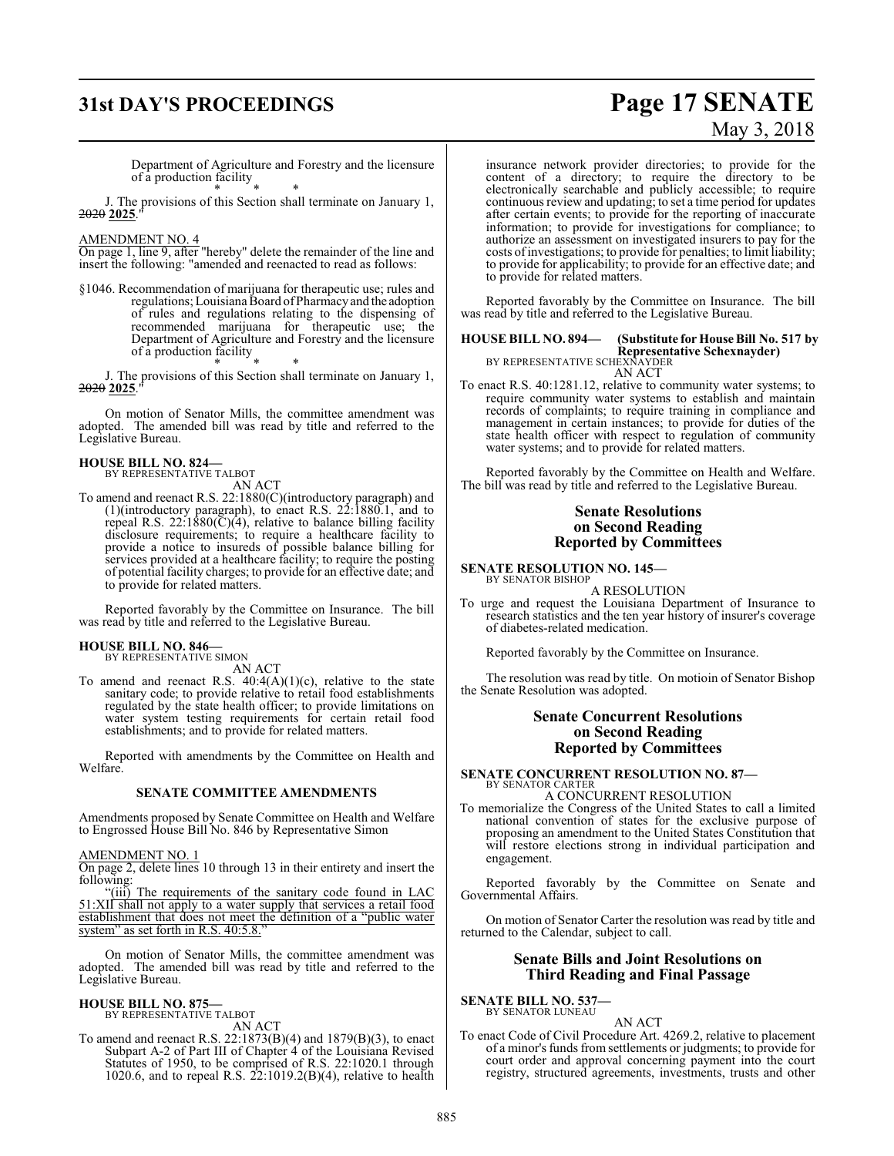## **31st DAY'S PROCEEDINGS Page 17 SENATE**

#### Department of Agriculture and Forestry and the licensure of a production facility

\* \* \* J. The provisions of this Section shall terminate on January 1, 2020 **2025**."

#### AMENDMENT NO. 4

On page 1, line 9, after "hereby" delete the remainder of the line and insert the following: "amended and reenacted to read as follows:

§1046. Recommendation of marijuana for therapeutic use; rules and regulations; Louisiana Board ofPharmacyand the adoption of rules and regulations relating to the dispensing of recommended marijuana for therapeutic use; the Department of Agriculture and Forestry and the licensure of a production facility \* \* \*

J. The provisions of this Section shall terminate on January 1, 2020 **2025**."

On motion of Senator Mills, the committee amendment was adopted. The amended bill was read by title and referred to the Legislative Bureau.

#### **HOUSE BILL NO. 824—**

BY REPRESENTATIVE TALBOT

- AN ACT
- To amend and reenact R.S. 22:1880(C)(introductory paragraph) and (1)(introductory paragraph), to enact R.S. 22:1880.1, and to repeal R.S.  $22:1880(\overline{C})(4)$ , relative to balance billing facility disclosure requirements; to require a healthcare facility to provide a notice to insureds of possible balance billing for services provided at a healthcare facility; to require the posting of potential facility charges; to provide for an effective date; and to provide for related matters.

Reported favorably by the Committee on Insurance. The bill was read by title and referred to the Legislative Bureau.

#### **HOUSE BILL NO. 846—**

BY REPRESENTATIVE SIMON AN ACT

To amend and reenact R.S.  $40:4(A)(1)(c)$ , relative to the state sanitary code; to provide relative to retail food establishments regulated by the state health officer; to provide limitations on water system testing requirements for certain retail food establishments; and to provide for related matters.

Reported with amendments by the Committee on Health and Welfare.

#### **SENATE COMMITTEE AMENDMENTS**

Amendments proposed by Senate Committee on Health and Welfare to Engrossed House Bill No. 846 by Representative Simon

#### AMENDMENT NO. 1

On page 2, delete lines 10 through 13 in their entirety and insert the following:

"(iii) The requirements of the sanitary code found in LAC 51:XII shall not apply to a water supply that services a retail food establishment that does not meet the definition of a "public water system" as set forth in R.S. 40:5.8."

On motion of Senator Mills, the committee amendment was adopted. The amended bill was read by title and referred to the Legislative Bureau.

#### **HOUSE BILL NO. 875—**

BY REPRESENTATIVE TALBOT AN ACT

To amend and reenact R.S. 22:1873(B)(4) and 1879(B)(3), to enact Subpart A-2 of Part III of Chapter 4 of the Louisiana Revised Statutes of 1950, to be comprised of R.S. 22:1020.1 through 1020.6, and to repeal R.S.  $22:1019.2(B)(4)$ , relative to health

### insurance network provider directories; to provide for the content of a directory; to require the directory to be electronically searchable and publicly accessible; to require continuous review and updating; to set a time period for updates

after certain events; to provide for the reporting of inaccurate information; to provide for investigations for compliance; to authorize an assessment on investigated insurers to pay for the costs ofinvestigations; to provide for penalties; to limit liability; to provide for applicability; to provide for an effective date; and to provide for related matters.

Reported favorably by the Committee on Insurance. The bill was read by title and referred to the Legislative Bureau.

## **HOUSE BILL NO. 894— (Substitute for House Bill No. 517 by Representative Schexnayder)**<br>BY REPRESENTATIVE SCHEXNAYDER<br>AN ACT

To enact R.S. 40:1281.12, relative to community water systems; to require community water systems to establish and maintain records of complaints; to require training in compliance and management in certain instances; to provide for duties of the state health officer with respect to regulation of community water systems; and to provide for related matters.

Reported favorably by the Committee on Health and Welfare. The bill was read by title and referred to the Legislative Bureau.

#### **Senate Resolutions on Second Reading Reported by Committees**

#### **SENATE RESOLUTION NO. 145—**

BY SENATOR BISHOP A RESOLUTION

To urge and request the Louisiana Department of Insurance to research statistics and the ten year history of insurer's coverage of diabetes-related medication.

Reported favorably by the Committee on Insurance.

The resolution was read by title. On motioin of Senator Bishop the Senate Resolution was adopted.

#### **Senate Concurrent Resolutions on Second Reading Reported by Committees**

**SENATE CONCURRENT RESOLUTION NO. 87—** BY SENATOR CARTER

### A CONCURRENT RESOLUTION

To memorialize the Congress of the United States to call a limited national convention of states for the exclusive purpose of proposing an amendment to the United States Constitution that will restore elections strong in individual participation and engagement.

Reported favorably by the Committee on Senate and Governmental Affairs.

On motion of Senator Carter the resolution was read by title and returned to the Calendar, subject to call.

#### **Senate Bills and Joint Resolutions on Third Reading and Final Passage**

**SENATE BILL NO. 537—** BY SENATOR LUNEAU

#### AN ACT

To enact Code of Civil Procedure Art. 4269.2, relative to placement of a minor's funds from settlements or judgments; to provide for court order and approval concerning payment into the court registry, structured agreements, investments, trusts and other

May 3, 2018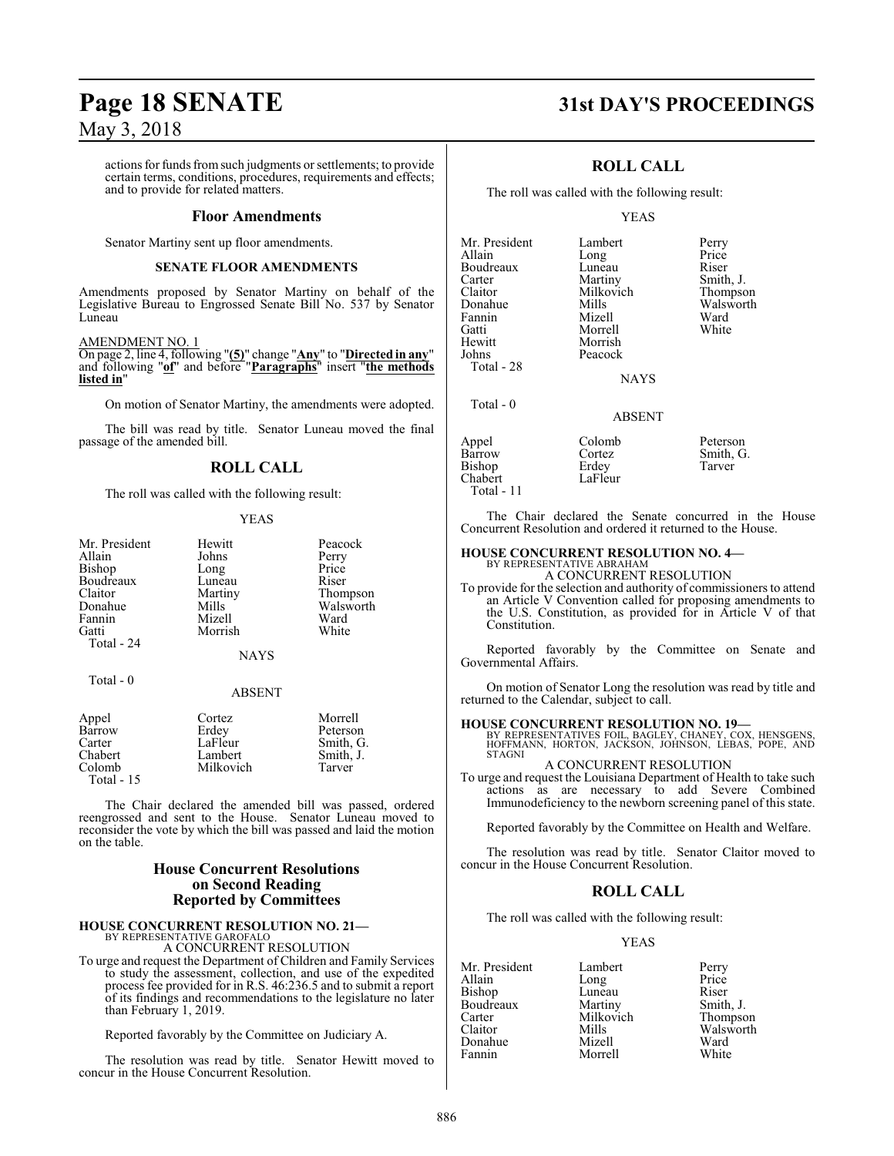actions for funds fromsuch judgments or settlements; to provide certain terms, conditions, procedures, requirements and effects; and to provide for related matters.

#### **Floor Amendments**

Senator Martiny sent up floor amendments.

#### **SENATE FLOOR AMENDMENTS**

Amendments proposed by Senator Martiny on behalf of the Legislative Bureau to Engrossed Senate Bill No. 537 by Senator Luneau

#### AMENDMENT NO. 1

On page 2, line 4, following "**(5)**" change "**Any**" to "**Directed in any**" and following "**of**" and before "**Paragraphs**" insert "**the methods listed in**"

On motion of Senator Martiny, the amendments were adopted.

The bill was read by title. Senator Luneau moved the final passage of the amended bill.

### **ROLL CALL**

The roll was called with the following result:

#### YEAS

| Mr. President | Hewitt        | Peacock   |
|---------------|---------------|-----------|
|               |               |           |
| Allain        | Johns         | Perry     |
| Bishop        | Long          | Price     |
| Boudreaux     | Luneau        | Riser     |
| Claitor       | Martiny       | Thompson  |
| Donahue       | Mills         | Walsworth |
| Fannin        | Mizell        | Ward      |
| Gatti         | Morrish       | White     |
| Total - 24    |               |           |
|               | <b>NAYS</b>   |           |
| Total - 0     |               |           |
|               | <b>ABSENT</b> |           |
| Annel         | Cortez        | Morrell   |

| Appel       | Cortez    | Morrell   |
|-------------|-----------|-----------|
| Barrow      | Erdey     | Peterson  |
| Carter      | LaFleur   | Smith, G. |
| Chabert     | Lambert   | Smith, J. |
| Colomb      | Milkovich | Tarver    |
| Total $-15$ |           |           |

The Chair declared the amended bill was passed, ordered reengrossed and sent to the House. Senator Luneau moved to reconsider the vote by which the bill was passed and laid the motion on the table.

### **House Concurrent Resolutions on Second Reading Reported by Committees**

### **HOUSE CONCURRENT RESOLUTION NO. 21—** BY REPRESENTATIVE GAROFALO

A CONCURRENT RESOLUTION

To urge and request the Department of Children and Family Services to study the assessment, collection, and use of the expedited process fee provided for in R.S. 46:236.5 and to submit a report of its findings and recommendations to the legislature no later than February 1, 2019.

Reported favorably by the Committee on Judiciary A.

The resolution was read by title. Senator Hewitt moved to concur in the House Concurrent Resolution.

### **Page 18 SENATE 31st DAY'S PROCEEDINGS**

### **ROLL CALL**

The roll was called with the following result:

Long

Peacock

#### YEAS

Mr. President Lambert Perry<br>Allain Long Price Boudreaux Luneau Riser<br>Carter Martiny Smith Carter Martiny Smith, J.<br>Claitor Milkovich Thompson Claitor Milkovich<br>Donahue Mills Donahue Mills Walsworth<br>
Fannin Mizell Ward Fannin Mizell Ward Gatti Morrell White Hewitt Morrish<br>Johns Peacock Total - 28

Total - 0

**NAYS** 

### ABSENT

| Colomb<br>Cortez<br>Erdey | Peterson<br>Smith, G.<br>Tarver |
|---------------------------|---------------------------------|
| LaFleur                   |                                 |
|                           |                                 |

The Chair declared the Senate concurred in the House Concurrent Resolution and ordered it returned to the House.

### **HOUSE CONCURRENT RESOLUTION NO. 4—**

BY REPRESENTATIVE ABRAHAM A CONCURRENT RESOLUTION

To provide for the selection and authority of commissioners to attend an Article V Convention called for proposing amendments to the U.S. Constitution, as provided for in Article V of that Constitution.

Reported favorably by the Committee on Senate and Governmental Affairs.

On motion of Senator Long the resolution was read by title and returned to the Calendar, subject to call.

**HOUSE CONCURRENT RESOLUTION NO. 19—** BY REPRESENTATIVES FOIL, BAGLEY, CHANEY, COX, HENSGENS, HOFFMANN, HORTON, JACKSON, JOHNSON, LEBAS, POPE, AND STAGNI

A CONCURRENT RESOLUTION To urge and request the Louisiana Department of Health to take such actions as are necessary to add Severe Combined Immunodeficiency to the newborn screening panel of this state.

Reported favorably by the Committee on Health and Welfare.

The resolution was read by title. Senator Claitor moved to concur in the House Concurrent Resolution.

### **ROLL CALL**

The roll was called with the following result:

Morrell

#### YEAS

Mr. President Lambert Perry<br>Allain Long Price Bishop Luneau Riser<br>Boudreaux Martiny Smith, J. Boudreaux Martiny Smith, J.<br>Carter Milkovich Thompson Carter Milkovich<br>Claitor Mills Donahue Mizell Ward

Long Price<br>
Luneau Riser Mills Walsworth<br>
Mizell Ward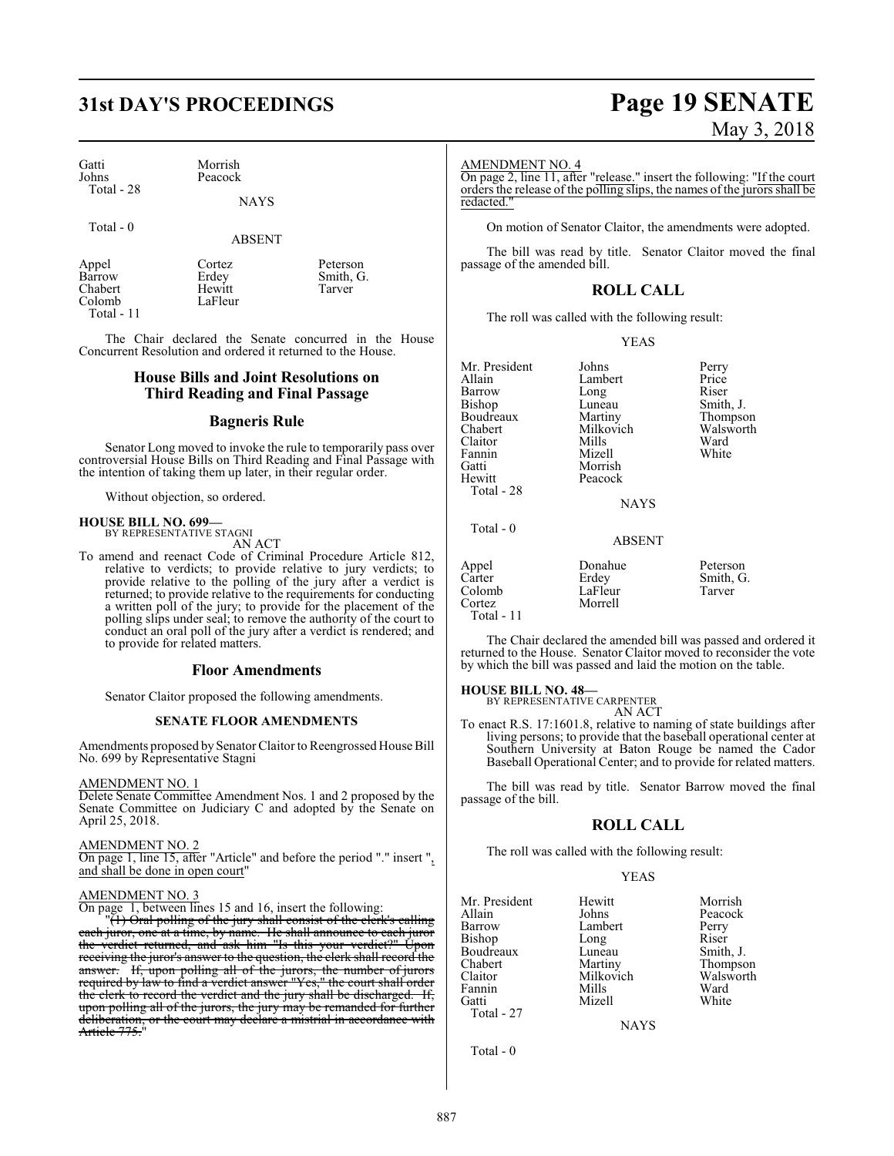Morrish Peacock

LaFleur

| Gatti      |  |
|------------|--|
| Johns      |  |
| Total - 28 |  |

Total - 0

ABSENT

Erdey Smith, G.<br>Hewitt Tarver

Appel Cortez Peterson<br>Barrow Erdey Smith, G Chabert<br>Colomb

Total - 11

The Chair declared the Senate concurred in the House Concurrent Resolution and ordered it returned to the House.

#### **House Bills and Joint Resolutions on Third Reading and Final Passage**

#### **Bagneris Rule**

Senator Long moved to invoke the rule to temporarily pass over controversial House Bills on Third Reading and Final Passage with the intention of taking them up later, in their regular order.

Without objection, so ordered.

#### **HOUSE BILL NO. 699—** BY REPRESENTATIVE STAGNI

AN ACT

To amend and reenact Code of Criminal Procedure Article 812, relative to verdicts; to provide relative to jury verdicts; to provide relative to the polling of the jury after a verdict is returned; to provide relative to the requirements for conducting a written poll of the jury; to provide for the placement of the polling slips under seal; to remove the authority of the court to conduct an oral poll of the jury after a verdict is rendered; and to provide for related matters.

#### **Floor Amendments**

Senator Claitor proposed the following amendments.

#### **SENATE FLOOR AMENDMENTS**

Amendments proposed by Senator Claitor to Reengrossed House Bill No. 699 by Representative Stagni

#### AMENDMENT NO. 1

Delete Senate Committee Amendment Nos. 1 and 2 proposed by the Senate Committee on Judiciary C and adopted by the Senate on April 25, 2018.

#### AMENDMENT NO. 2

On page 1, line 15, after "Article" and before the period "." insert ", and shall be done in open court"

#### AMENDMENT NO. 3

On page 1, between lines 15 and 16, insert the following:

"(1) Oral polling of the jury shall consist of the clerk's calling each juror, one at a time, by name. He shall announce to each juror the verdict returned, and ask him "Is this your verdict?" Upon receiving the juror's answer to the question, the clerk shall record the answer. If, upon polling all of the jurors, the number of jurors required by law to find a verdict answer "Yes," the court shall order the clerk to record the verdict and the jury shall be discharged. If, upon polling all of the jurors, the jury may be remanded for further deliberation, or the court may declare a mistrial in accordance with Article 775."

## **31st DAY'S PROCEEDINGS Page 19 SENATE** May 3, 2018

#### AMENDMENT NO. 4

On page 2, line 11, after "release." insert the following: "If the court orders the release of the polling slips, the names of the jurors shall be redacted."

On motion of Senator Claitor, the amendments were adopted.

The bill was read by title. Senator Claitor moved the final passage of the amended bill.

### **ROLL CALL**

The roll was called with the following result:

#### YEAS

| Johns         | Perry     |
|---------------|-----------|
| Lambert       | Price     |
| Long          | Riser     |
| Luneau        | Smith, J. |
| Martiny       | Thompson  |
| Milkovich     | Walsworth |
| Mills         | Ward      |
| Mizell        | White     |
| Morrish       |           |
| Peacock       |           |
|               |           |
| <b>NAYS</b>   |           |
|               |           |
| <b>ABSENT</b> |           |
| Donahue       | Peterson  |
| Erdey         | Smith, G. |
| LaFleur       | Tarver    |
| Morrell       |           |
|               |           |

The Chair declared the amended bill was passed and ordered it returned to the House. Senator Claitor moved to reconsider the vote by which the bill was passed and laid the motion on the table.

#### **HOUSE BILL NO. 48—**

Total - 11

BY REPRESENTATIVE CARPENTER AN ACT

To enact R.S. 17:1601.8, relative to naming of state buildings after living persons; to provide that the baseball operational center at Southern University at Baton Rouge be named the Cador Baseball Operational Center; and to provide for related matters.

The bill was read by title. Senator Barrow moved the final passage of the bill.

#### **ROLL CALL**

The roll was called with the following result:

#### YEAS

| Mr. President | Hewitt    | Morrish               |
|---------------|-----------|-----------------------|
| Allain        | Johns     | Peacock               |
| Barrow        | Lambert   | Perry                 |
| Bishop        | Long      | Riser                 |
| Boudreaux     | Luneau    | Smith, J.             |
| Chabert       | Martiny   | Thompson<br>Walsworth |
| Claitor       | Milkovich |                       |
| Fannin        | Mills     | Ward                  |
| Gatti         | Mizell    | White                 |
| Total - 27    |           |                       |

**NAYS** 

Total - 0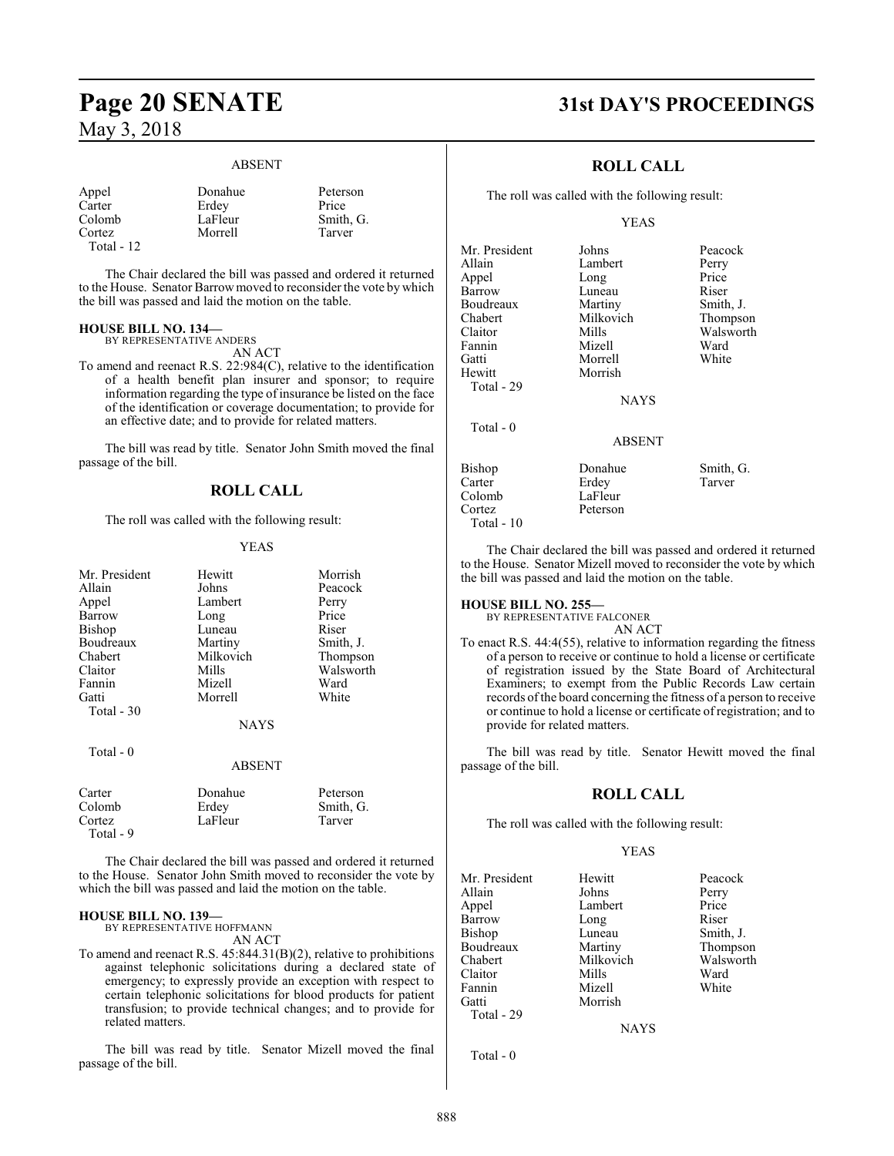### **Page 20 SENATE 31st DAY'S PROCEEDINGS** May 3, 2018

#### ABSENT

| Appel        | Donahue | Peter |
|--------------|---------|-------|
| Carter       | Erdev   | Price |
| Colomb       | LaFleur | Smitl |
| Cortez       | Morrell | Tarvo |
| Total - $12$ |         |       |

below Peterson<br>  $\frac{1}{\text{Area}}$ Fleur Smith, G.<br>
orrell Tarver

Tarver

The Chair declared the bill was passed and ordered it returned to the House. Senator Barrowmoved to reconsider the vote by which the bill was passed and laid the motion on the table.

#### **HOUSE BILL NO. 134—**

BY REPRESENTATIVE ANDERS

AN ACT

To amend and reenact R.S. 22:984(C), relative to the identification of a health benefit plan insurer and sponsor; to require information regarding the type of insurance be listed on the face of the identification or coverage documentation; to provide for an effective date; and to provide for related matters.

The bill was read by title. Senator John Smith moved the final passage of the bill.

### **ROLL CALL**

The roll was called with the following result:

#### YEAS

| Mr. President | Hewitt        | Morrish   |
|---------------|---------------|-----------|
| Allain        | Johns         | Peacock   |
| Appel         | Lambert       | Perry     |
| Barrow        | Long          | Price     |
| <b>Bishop</b> | Luneau        | Riser     |
| Boudreaux     | Martiny       | Smith, J. |
| Chabert       | Milkovich     | Thompson  |
| Claitor       | Mills         | Walsworth |
| Fannin        | Mizell        | Ward      |
| Gatti         | Morrell       | White     |
| Total - 30    |               |           |
|               | <b>NAYS</b>   |           |
| Total - 0     |               |           |
|               | <b>ABSENT</b> |           |
| Carter        | Donahue       | Peterson  |
| Colomb        | Erdey         | Smith, G. |
| Cortez        | LaFleur       | Tarver    |

The Chair declared the bill was passed and ordered it returned to the House. Senator John Smith moved to reconsider the vote by which the bill was passed and laid the motion on the table.

#### **HOUSE BILL NO. 139—**

Total - 9

BY REPRESENTATIVE HOFFMANN AN ACT

To amend and reenact R.S. 45:844.31(B)(2), relative to prohibitions against telephonic solicitations during a declared state of emergency; to expressly provide an exception with respect to certain telephonic solicitations for blood products for patient transfusion; to provide technical changes; and to provide for related matters.

The bill was read by title. Senator Mizell moved the final passage of the bill.

### **ROLL CALL**

The roll was called with the following result:

#### YEAS

| Mr. President | Johns         | Peacock   |
|---------------|---------------|-----------|
| Allain        | Lambert       | Perry     |
| Appel         | Long          | Price     |
| Barrow        | Luneau        | Riser     |
| Boudreaux     | Martiny       | Smith, J. |
| Chabert       | Milkovich     | Thompson  |
| Claitor       | Mills         | Walsworth |
| Fannin        | Mizell        | Ward      |
| Gatti         | Morrell       | White     |
| Hewitt        | Morrish       |           |
| Total - 29    |               |           |
|               | <b>NAYS</b>   |           |
| Total $-0$    |               |           |
|               | <b>ABSENT</b> |           |
| Bishop        | Donahue       | Smith, G. |
| Carter        | Erdey         | Tarver    |
| Colomb        | LaFleur       |           |
| Cortez        | Peterson      |           |
|               |               |           |

The Chair declared the bill was passed and ordered it returned to the House. Senator Mizell moved to reconsider the vote by which the bill was passed and laid the motion on the table.

#### **HOUSE BILL NO. 255—**

Total - 10

BY REPRESENTATIVE FALCONER AN ACT

To enact R.S. 44:4(55), relative to information regarding the fitness of a person to receive or continue to hold a license or certificate of registration issued by the State Board of Architectural Examiners; to exempt from the Public Records Law certain records ofthe board concerning the fitness of a person to receive or continue to hold a license or certificate of registration; and to provide for related matters.

The bill was read by title. Senator Hewitt moved the final passage of the bill.

#### **ROLL CALL**

The roll was called with the following result:

#### YEAS

| Mr. President | Hewitt        | Peacock   |
|---------------|---------------|-----------|
| Allain        | Johns         | Perry     |
| Appel         | Lambert       | Price     |
| Barrow        | Long          | Riser     |
| Bishop        | Luneau        | Smith, J. |
| Boudreaux     | Martiny       | Thompson  |
| Chabert       | Milkovich     | Walsworth |
| Claitor       | Mills         | Ward      |
| Fannin        | Mizell        | White     |
| Gatti         | Morrish       |           |
| Total - 29    |               |           |
|               | <b>BTATTO</b> |           |

NAYS

Total - 0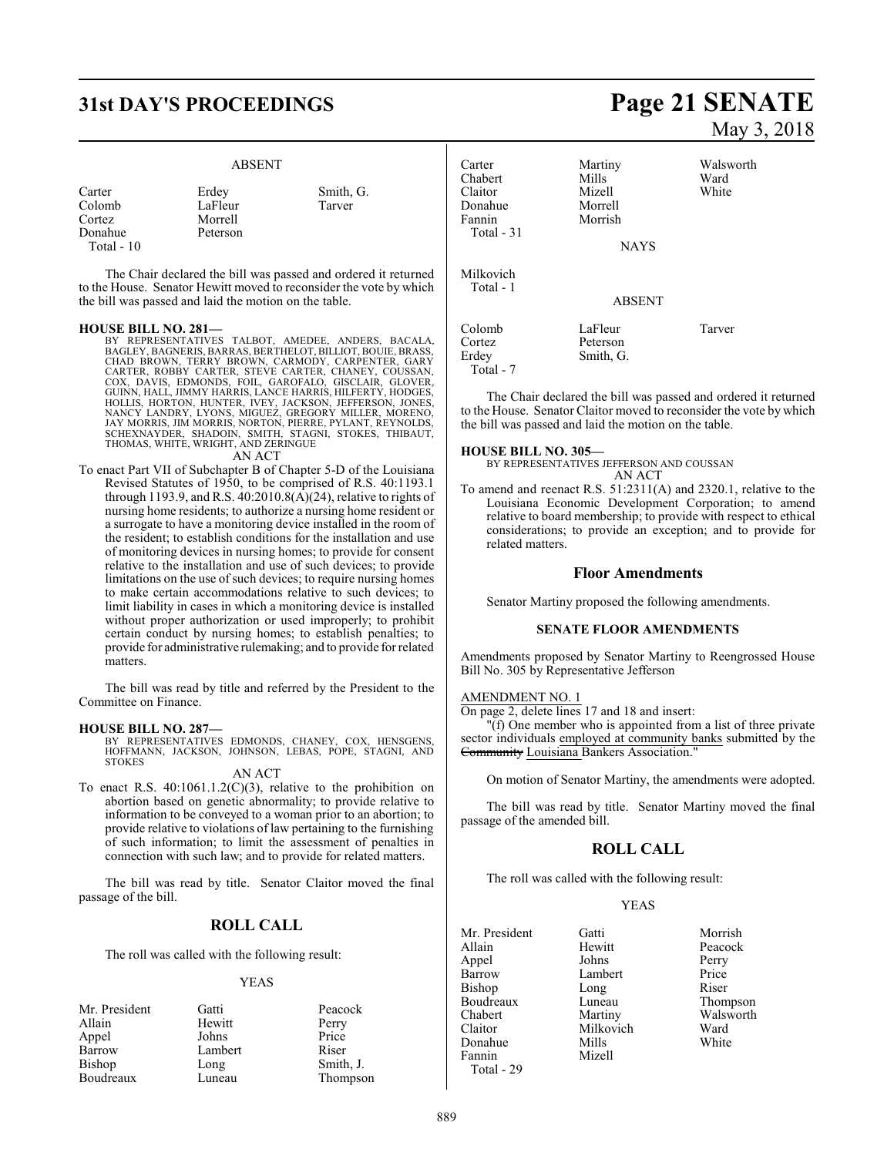## **31st DAY'S PROCEEDINGS Page 21 SENATE**

#### ABSENT

| Carter<br>Colomb<br>Cortez | Erdey<br>LaFleur<br>Morrell | Smith, G.<br>Tarver |
|----------------------------|-----------------------------|---------------------|
| Donahue                    | Peterson                    |                     |
| Total $-10$                |                             |                     |

The Chair declared the bill was passed and ordered it returned to the House. Senator Hewitt moved to reconsider the vote by which the bill was passed and laid the motion on the table.

- **HOUSE BILL NO. 281—** BY REPRESENTATIVES TALBOT, AMEDEE, ANDERS, BACALA, BAGLEY, BAGNERIS, BARRAS, BERTHELOT, BILLIOT, BOUIE, BRASS,<br>CHAD BROWN, TERRY BROWN, CARMODY, CARPENTER, GARY<br>CARTER, ROBBY CARTER, STEVE CARTER, CHANEY, COUSSAN,<br>COX, DAVIS, EDMONDS, FOIL, GAROFALO, GISCLAIR, GLOVER,<br>GUIN JAY MORRIS, JIM MORRIS, NORTON, PIERRE, PYLANT, REYNOLDS, SCHEXNAYDER, SHADOIN, SMITH, STAGNI, STOKES, THIBAUT, THOMAS, WHITE, WRIGHT, AND ZERINGUE AN ACT
- To enact Part VII of Subchapter B of Chapter 5-D of the Louisiana Revised Statutes of 1950, to be comprised of R.S. 40:1193.1 through 1193.9, and R.S.  $40:2010.8(\overrightarrow{A})$  (24), relative to rights of nursing home residents; to authorize a nursing home resident or a surrogate to have a monitoring device installed in the room of the resident; to establish conditions for the installation and use of monitoring devices in nursing homes; to provide for consent relative to the installation and use of such devices; to provide limitations on the use of such devices; to require nursing homes to make certain accommodations relative to such devices; to limit liability in cases in which a monitoring device is installed without proper authorization or used improperly; to prohibit certain conduct by nursing homes; to establish penalties; to provide for administrative rulemaking; and to provide for related matters.

The bill was read by title and referred by the President to the Committee on Finance.

#### **HOUSE BILL NO. 287—**

BY REPRESENTATIVES EDMONDS, CHANEY, COX, HENSGENS, HOFFMANN, JACKSON, JOHNSON, LEBAS, POPE, STAGNI, AND **STOKES** 

#### AN ACT

To enact R.S. 40:1061.1.2(C)(3), relative to the prohibition on abortion based on genetic abnormality; to provide relative to information to be conveyed to a woman prior to an abortion; to provide relative to violations of law pertaining to the furnishing of such information; to limit the assessment of penalties in connection with such law; and to provide for related matters.

The bill was read by title. Senator Claitor moved the final passage of the bill.

### **ROLL CALL**

The roll was called with the following result:

#### YEAS

| Mr. President | Gatti   | Peacock   |
|---------------|---------|-----------|
| Allain        | Hewitt  | Perry     |
| Appel         | Johns   | Price     |
| Barrow        | Lambert | Riser     |
| Bishop        | Long    | Smith, J. |
| Boudreaux     | Luneau  | Thompson  |

# May 3, 2018

| Carter                 | Martiny       | Walsworth |
|------------------------|---------------|-----------|
| Chabert                | Mills         | Ward      |
| Claitor                | Mizell        | White     |
| Donahue                | Morrell       |           |
| Fannin                 | Morrish       |           |
| Total $-31$            |               |           |
|                        | <b>NAYS</b>   |           |
| Milkovich<br>Total - 1 |               |           |
|                        | <b>ABSENT</b> |           |
| Colomb                 | LaFleur       | Tarver    |
| Cortez                 | Peterson      |           |
| Erdey                  | Smith, G.     |           |
| Total - 7              |               |           |

The Chair declared the bill was passed and ordered it returned to the House. Senator Claitor moved to reconsider the vote by which the bill was passed and laid the motion on the table.

#### **HOUSE BILL NO. 305—**

BY REPRESENTATIVES JEFFERSON AND COUSSAN AN ACT

To amend and reenact R.S. 51:2311(A) and 2320.1, relative to the Louisiana Economic Development Corporation; to amend relative to board membership; to provide with respect to ethical considerations; to provide an exception; and to provide for related matters.

#### **Floor Amendments**

Senator Martiny proposed the following amendments.

#### **SENATE FLOOR AMENDMENTS**

Amendments proposed by Senator Martiny to Reengrossed House Bill No. 305 by Representative Jefferson

#### AMENDMENT NO. 1

On page 2, delete lines 17 and 18 and insert:

"(f) One member who is appointed from a list of three private sector individuals employed at community banks submitted by the Community Louisiana Bankers Association."

On motion of Senator Martiny, the amendments were adopted.

The bill was read by title. Senator Martiny moved the final passage of the amended bill.

#### **ROLL CALL**

The roll was called with the following result:

#### YEAS

| Mr. President | Gatti     | Morrish   |
|---------------|-----------|-----------|
| Allain        | Hewitt    | Peacock   |
| Appel         | Johns     | Perry     |
| Barrow        | Lambert   | Price     |
| <b>Bishop</b> | Long      | Riser     |
| Boudreaux     | Luneau    | Thompson  |
| Chabert       | Martiny   | Walsworth |
| Claitor       | Milkovich | Ward      |
| Donahue       | Mills     | White     |
| Fannin        | Mizell    |           |
| Total - 29    |           |           |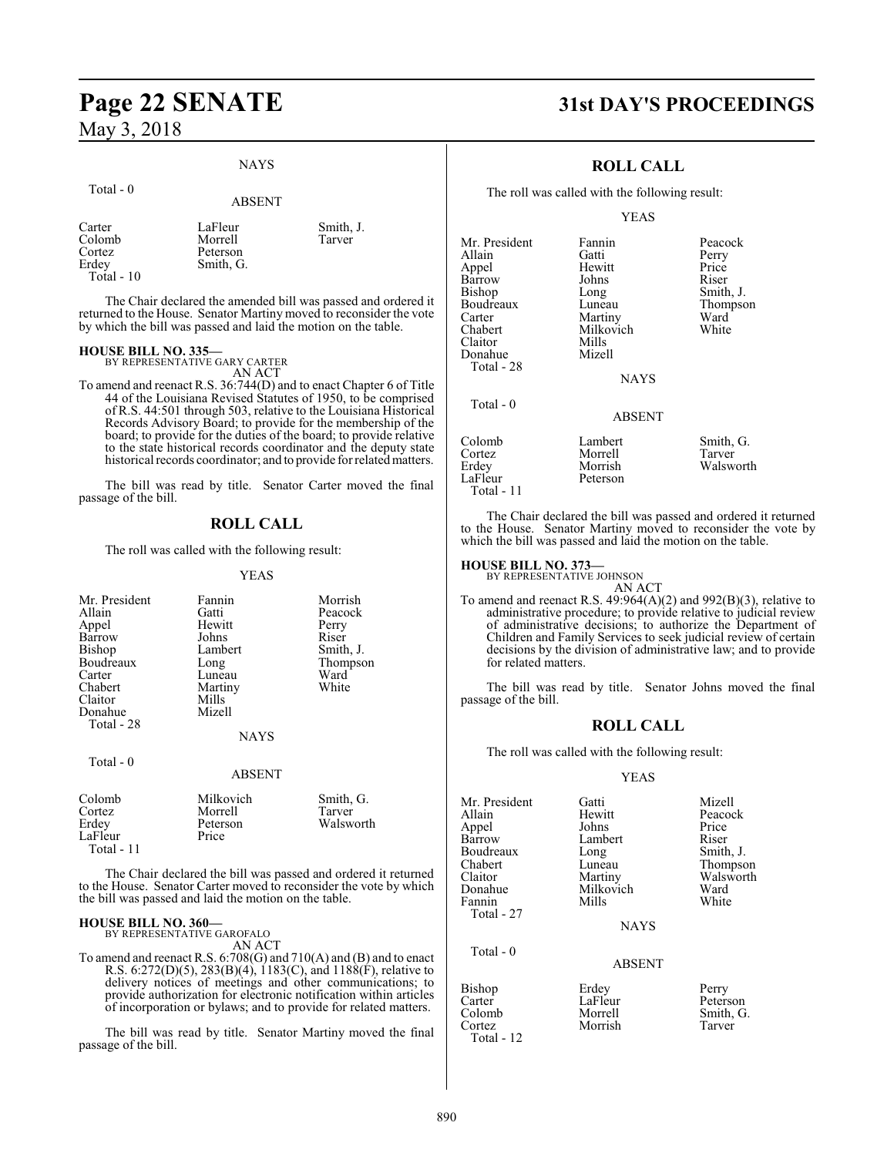### **Page 22 SENATE 31st DAY'S PROCEEDINGS** May 3, 2018

#### NAYS

#### Total - 0

ABSENT

| Carter      | LaFleur   | Smith, J. |
|-------------|-----------|-----------|
| Colomb      | Morrell   | Tarver    |
| Cortez      | Peterson  |           |
| Erdey       | Smith, G. |           |
| Total $-10$ |           |           |

The Chair declared the amended bill was passed and ordered it returned to the House. Senator Martiny moved to reconsider the vote by which the bill was passed and laid the motion on the table.

### **HOUSE BILL NO. 335—** BY REPRESENTATIVE GARY CARTER

AN ACT

To amend and reenact R.S. 36:744(D) and to enact Chapter 6 of Title 44 of the Louisiana Revised Statutes of 1950, to be comprised of R.S. 44:501 through 503, relative to the Louisiana Historical Records Advisory Board; to provide for the membership of the board; to provide for the duties of the board; to provide relative to the state historical records coordinator and the deputy state historical records coordinator; and to provide for related matters.

The bill was read by title. Senator Carter moved the final passage of the bill.

#### **ROLL CALL**

The roll was called with the following result:

#### YEAS

| Mr. President<br>Allain<br>Appel<br>Barrow<br>Bishop<br>Boudreaux<br>Carter<br>Chabert<br>Claitor<br>Donahue<br>Total - 28 | Fannin<br>Gatti<br>Hewitt<br>Johns<br>Lambert<br>Long<br>Luneau<br>Martiny<br>Mills<br>Mizell<br><b>NAYS</b> | Morrish<br>Peacock<br>Perry<br>Riser<br>Smith, J.<br>Thompson<br>Ward<br>White |
|----------------------------------------------------------------------------------------------------------------------------|--------------------------------------------------------------------------------------------------------------|--------------------------------------------------------------------------------|
| Total - 0                                                                                                                  | <b>ABSENT</b>                                                                                                |                                                                                |
| Colomb<br>Cortez<br>Erdey<br>LaFleur<br>Total - 11                                                                         | Milkovich<br>Morrell<br>Peterson<br>Price                                                                    | Smith, G.<br>Tarver<br>Walsworth                                               |

The Chair declared the bill was passed and ordered it returned to the House. Senator Carter moved to reconsider the vote by which the bill was passed and laid the motion on the table.

#### **HOUSE BILL NO. 360—**

BY REPRESENTATIVE GAROFALO AN ACT

To amend and reenact R.S. 6:708(G) and 710(A) and (B) and to enact R.S. 6:272(D)(5), 283(B)(4), 1183(C), and 1188(F), relative to delivery notices of meetings and other communications; to provide authorization for electronic notification within articles of incorporation or bylaws; and to provide for related matters.

The bill was read by title. Senator Martiny moved the final passage of the bill.

### **ROLL CALL**

The roll was called with the following result:

#### YEAS

| Mr. President<br>Allain<br>Appel<br>Barrow<br>Bishop<br>Boudreaux<br>Carter<br>Chabert<br>Claitor<br>Donahue | Fannin<br>Gatti<br>Hewitt<br>Johns<br>Long<br>Luneau<br>Martiny<br>Milkovich<br>Mills<br>Mizell | Peacock<br>Perry<br>Price<br>Riser<br>Smith, J.<br>Thompson<br>Ward<br>White |
|--------------------------------------------------------------------------------------------------------------|-------------------------------------------------------------------------------------------------|------------------------------------------------------------------------------|
| Total - 28                                                                                                   |                                                                                                 |                                                                              |
|                                                                                                              | <b>NAYS</b>                                                                                     |                                                                              |
| Total $-0$                                                                                                   |                                                                                                 |                                                                              |
|                                                                                                              | <b>ABSENT</b>                                                                                   |                                                                              |
| Colomb<br>Cortez<br>Erdey<br>LaFleur                                                                         | Lambert<br>Morrell<br>Morrish<br>Peterson                                                       | Smith, G.<br>Tarver<br>Walsworth                                             |

The Chair declared the bill was passed and ordered it returned to the House. Senator Martiny moved to reconsider the vote by which the bill was passed and laid the motion on the table.

#### **HOUSE BILL NO. 373—**

Total - 11

BY REPRESENTATIVE JOHNSON

AN ACT To amend and reenact R.S.  $49:964(A)(2)$  and  $992(B)(3)$ , relative to administrative procedure; to provide relative to judicial review of administrative decisions; to authorize the Department of Children and Family Services to seek judicial review of certain decisions by the division of administrative law; and to provide for related matters.

The bill was read by title. Senator Johns moved the final passage of the bill.

#### **ROLL CALL**

The roll was called with the following result:

#### YEAS

| Mr. President<br>Allain | Gatti<br>Hewitt | Mizell<br>Peacock |
|-------------------------|-----------------|-------------------|
| Appel                   | Johns           | Price             |
| Barrow                  | Lambert         | Riser             |
| Boudreaux               | Long            | Smith, J.         |
| Chabert                 | Luneau          | Thompson          |
| Claitor                 | Martiny         | Walsworth         |
| Donahue                 | Milkovich       | Ward              |
| Fannin                  | Mills           | White             |
| Total - 27              |                 |                   |
|                         | <b>NAYS</b>     |                   |
| Total $-0$              |                 |                   |
|                         | <b>ABSENT</b>   |                   |
| Bishop                  | Erdey           | Perry             |
| Carter                  | LaFleur         | Peterson          |
| Colomb                  | Morrell         | Smith, G.         |
| Cortez                  | Morrish         | Tarver            |

Cortez *Morrish* Total - 12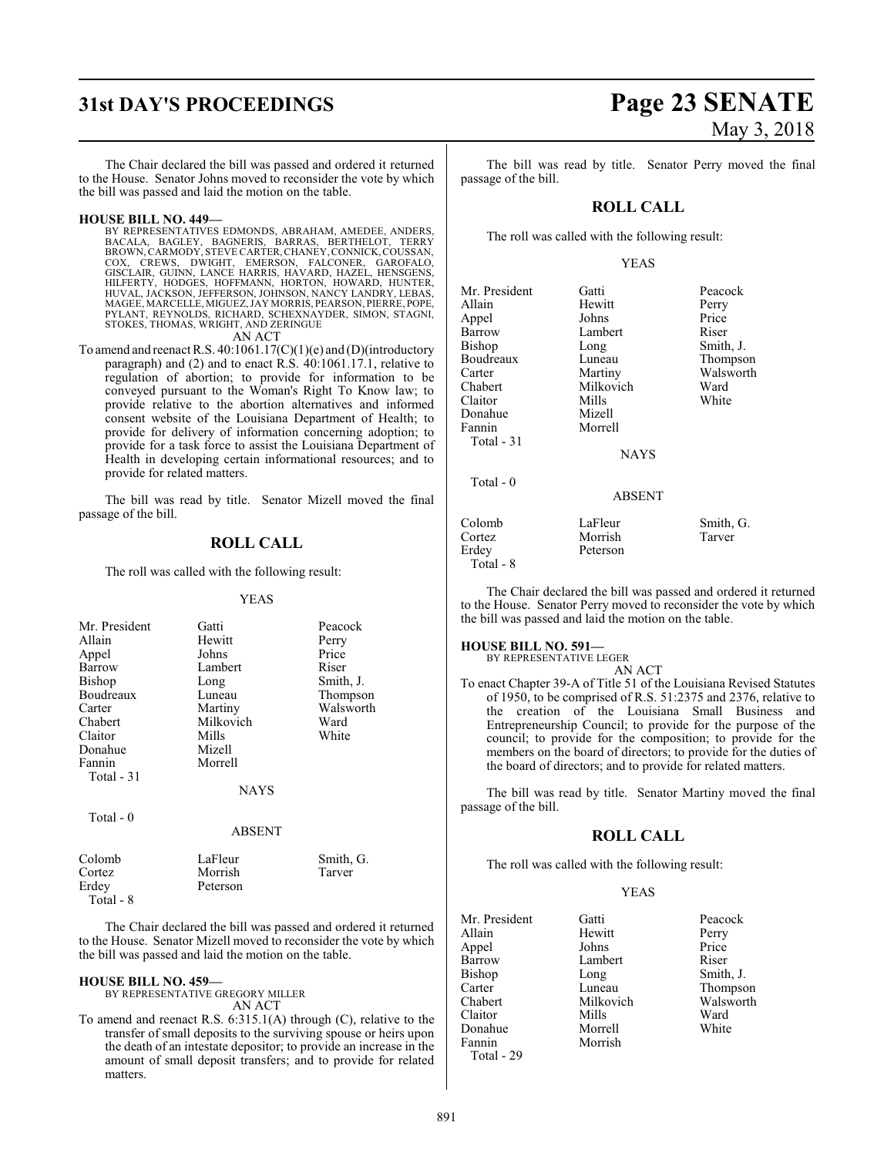## **31st DAY'S PROCEEDINGS Page 23 SENATE**

The Chair declared the bill was passed and ordered it returned to the House. Senator Johns moved to reconsider the vote by which the bill was passed and laid the motion on the table.

#### **HOUSE BILL NO. 449—**

BY REPRESENTATIVES EDMONDS, ABRAHAM, AMEDEE, ANDERS,<br>BACALA, BAGLEY, BAGNERIS, BARRAS, BERTHELOT, TERRY<br>BROWN,CARMODY,STEVECARTER,CHANEY,CONNICK,COUSSAN,<br>COX, CREWS, DWIGHT, EMERSON, FALCONER, GAROFALO,<br>GISCLAIR, HILFERTY, HODGES, HOFFMANN, HORTON, HOWARD, HUNTER, HUVAL, JACKSON, JEFFERSON, JOHNSON, NANCY LANDRY, LEBAS, MAGEE, MARCELLE, MIGUEZ, JAY MORRIS, PEARSON, PIERRE, POPE,<br>PYLANT, REYNOLDS, RICHARD, SCHEXNAYDER, SIMON, STAGNI,<br>STOKES, THOMAS, WRIGHT, AND ZERINGUE<br>AN ACT

To amend and reenact R.S. 40:1061.17(C)(1)(e) and (D)(introductory paragraph) and (2) and to enact R.S. 40:1061.17.1, relative to regulation of abortion; to provide for information to be conveyed pursuant to the Woman's Right To Know law; to provide relative to the abortion alternatives and informed consent website of the Louisiana Department of Health; to provide for delivery of information concerning adoption; to provide for a task force to assist the Louisiana Department of Health in developing certain informational resources; and to provide for related matters.

The bill was read by title. Senator Mizell moved the final passage of the bill.

### **ROLL CALL**

The roll was called with the following result:

#### YEAS

| Mr. President | Gatti         | Peacock   |
|---------------|---------------|-----------|
| Allain        | Hewitt        | Perry     |
| Appel         | Johns         | Price     |
| Barrow        | Lambert       | Riser     |
| <b>Bishop</b> | Long          | Smith, J. |
| Boudreaux     | Luneau        | Thompson  |
| Carter        | Martiny       | Walsworth |
| Chabert       | Milkovich     | Ward      |
| Claitor       | Mills         | White     |
| Donahue       | Mizell        |           |
| Fannin        | Morrell       |           |
| Total - 31    |               |           |
|               | <b>NAYS</b>   |           |
| Total - $0$   |               |           |
|               | <b>ABSENT</b> |           |
| Colomb        | LaFleur       | Smith, G. |
| Cortez        | Morrish       | Tarver    |

| Colomb    |  |
|-----------|--|
| Cortez    |  |
| Erdey     |  |
| Total - 8 |  |

The Chair declared the bill was passed and ordered it returned to the House. Senator Mizell moved to reconsider the vote by which the bill was passed and laid the motion on the table.

#### **HOUSE BILL NO. 459—**

BY REPRESENTATIVE GREGORY MILLER AN ACT

Peterson

To amend and reenact R.S. 6:315.1(A) through (C), relative to the transfer of small deposits to the surviving spouse or heirs upon the death of an intestate depositor; to provide an increase in the amount of small deposit transfers; and to provide for related matters.

The bill was read by title. Senator Perry moved the final passage of the bill.

#### **ROLL CALL**

The roll was called with the following result:

#### YEAS

| Mr. President | Gatti         | Peacock   |
|---------------|---------------|-----------|
| Allain        | Hewitt        | Perry     |
| Appel         | Johns         | Price     |
| Barrow        | Lambert       | Riser     |
| Bishop        | Long          | Smith, J. |
| Boudreaux     | Luneau        | Thompson  |
| Carter        | Martiny       | Walsworth |
| Chabert       | Milkovich     | Ward      |
| Claitor       | Mills         | White     |
| Donahue       | Mizell        |           |
| Fannin        | Morrell       |           |
| Total - 31    |               |           |
|               | <b>NAYS</b>   |           |
| Total $-0$    |               |           |
|               | <b>ABSENT</b> |           |
| Colomb        | LaFleur       | Smith, G. |
| Cortez        | Morrish       | Tarver    |
| Erdey         | Peterson      |           |
| Total - 8     |               |           |

The Chair declared the bill was passed and ordered it returned to the House. Senator Perry moved to reconsider the vote by which the bill was passed and laid the motion on the table.

#### **HOUSE BILL NO. 591—**

BY REPRESENTATIVE LEGER AN ACT

To enact Chapter 39-A of Title 51 of the Louisiana Revised Statutes of 1950, to be comprised of R.S. 51:2375 and 2376, relative to the creation of the Louisiana Small Business and Entrepreneurship Council; to provide for the purpose of the council; to provide for the composition; to provide for the members on the board of directors; to provide for the duties of the board of directors; and to provide for related matters.

The bill was read by title. Senator Martiny moved the final passage of the bill.

#### **ROLL CALL**

The roll was called with the following result:

#### YEAS

Mr. President Gatti Beacock<br>Allain Hewitt Perry Hewitt Perry<br>Johns Price Appel Johns Price Barrow Lambert<br>Bishop Long Bishop Long Smith, J.<br>Carter Luneau Thompso Carter Luneau Thompson<br>Chabert Milkovich Walsworth Claitor Mills Ward Donahue Morrell White Fannin Total - 29

Walsworth<br>Ward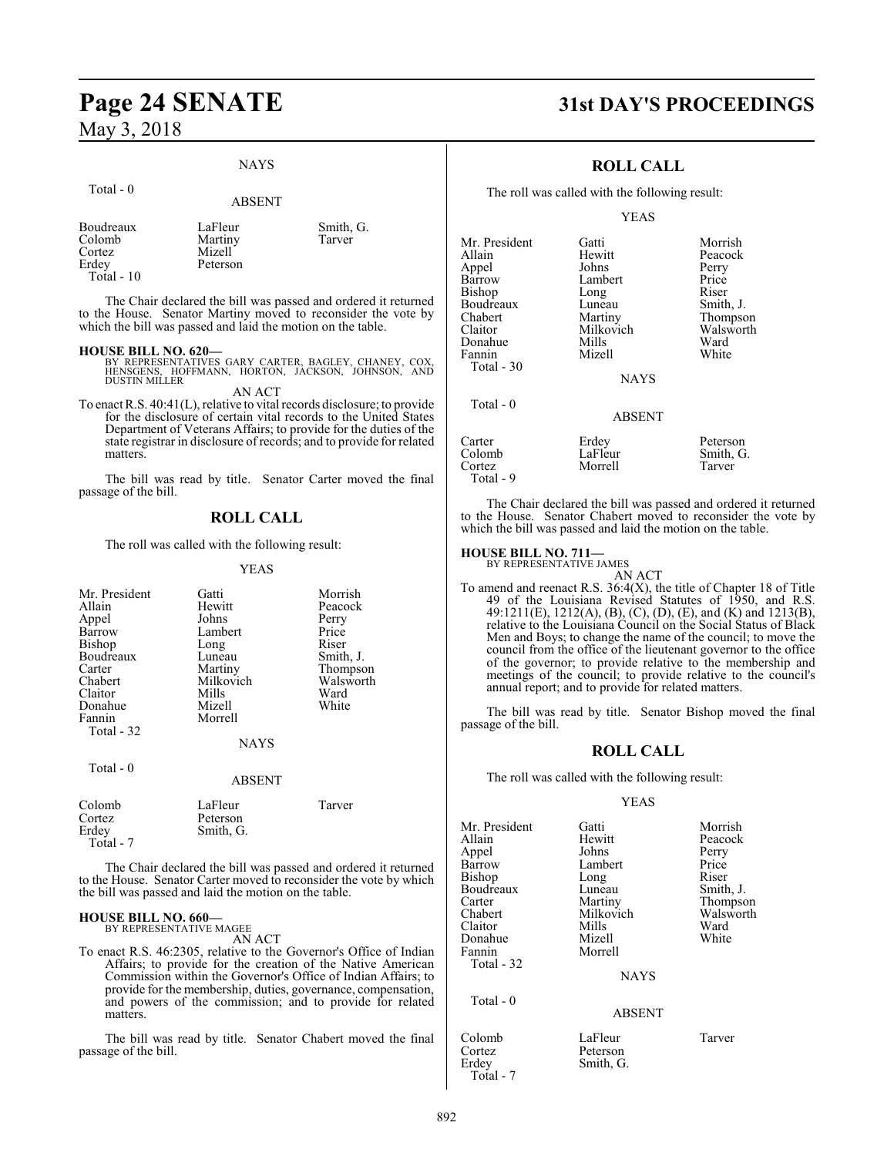#### NAYS

#### Total - 0 ABSENT Boudreaux LaFleur Smith, G.<br>Colomb Martiny Tarver Martiny Cortez Mizell Peterson

Total - 10

The Chair declared the bill was passed and ordered it returned to the House. Senator Martiny moved to reconsider the vote by which the bill was passed and laid the motion on the table.

**HOUSE BILL NO. 620—** BY REPRESENTATIVES GARY CARTER, BAGLEY, CHANEY, COX, HENSGENS, HOFFMANN, HORTON, JACKSON, JOHNSON, AND DUSTIN MILLER

AN ACT

To enact R.S. 40:41(L), relative to vital records disclosure; to provide for the disclosure of certain vital records to the United States Department of Veterans Affairs; to provide for the duties of the state registrar in disclosure of records; and to provide for related matters.

The bill was read by title. Senator Carter moved the final passage of the bill.

### **ROLL CALL**

The roll was called with the following result:

#### YEAS

| Mr. President<br>Allain<br>Appel<br>Barrow<br><b>Bishop</b><br>Boudreaux<br>Carter<br>Chabert<br>Claitor<br>Donahue<br>Fannin<br>Total - 32 | Gatti<br>Hewitt<br>Johns<br>Lambert<br>Long<br>Luneau<br>Martiny<br>Milkovich<br>Mills<br>Mizell<br>Morrell | Morrish<br>Peacock<br>Perry<br>Price<br>Riser<br>Smith, J.<br>Thompson<br>Walsworth<br>Ward<br>White |
|---------------------------------------------------------------------------------------------------------------------------------------------|-------------------------------------------------------------------------------------------------------------|------------------------------------------------------------------------------------------------------|
|                                                                                                                                             | <b>NAYS</b>                                                                                                 |                                                                                                      |
| Total $-0$                                                                                                                                  | <b>ABSENT</b>                                                                                               |                                                                                                      |
| Colomb<br>Cortez<br>Erdey                                                                                                                   | LaFleur<br>Peterson<br>Smith, G.                                                                            | Tarver                                                                                               |

The Chair declared the bill was passed and ordered it returned to the House. Senator Carter moved to reconsider the vote by which the bill was passed and laid the motion on the table.

#### **HOUSE BILL NO. 660—**

Total - 7

BY REPRESENTATIVE MAGEE AN ACT

To enact R.S. 46:2305, relative to the Governor's Office of Indian Affairs; to provide for the creation of the Native American Commission within the Governor's Office of Indian Affairs; to provide for the membership, duties, governance, compensation, and powers of the commission; and to provide for related matters.

The bill was read by title. Senator Chabert moved the final passage of the bill.

### **Page 24 SENATE 31st DAY'S PROCEEDINGS**

### **ROLL CALL**

The roll was called with the following result:

#### YEAS

| Mr. President | Gatti            | Morrish   |
|---------------|------------------|-----------|
| Allain        | Hewitt           | Peacock   |
| Appel         | Johns            | Perry     |
| Barrow        | Lambert          | Price     |
| Bishop        | Long             | Riser     |
| Boudreaux     | Luneau           | Smith, J. |
| Chabert       | Martiny          | Thompson  |
| Claitor       | Milkovich        | Walsworth |
| Donahue       | Mills            | Ward      |
| Fannin        | Mizell           | White     |
| Total $-30$   |                  |           |
|               | <b>NAYS</b>      |           |
|               |                  |           |
| Total $-0$    |                  |           |
|               | <b>ABSENT</b>    |           |
| Carter        |                  | Peterson  |
|               | Erdey<br>LaFleur |           |
| Colomb        |                  | Smith, G. |
| Cortez        | Morrell          | Tarver    |

The Chair declared the bill was passed and ordered it returned to the House. Senator Chabert moved to reconsider the vote by which the bill was passed and laid the motion on the table.

#### **HOUSE BILL NO. 711—**

Total - 9

BY REPRESENTATIVE JAMES AN ACT

To amend and reenact R.S. 36:4(X), the title of Chapter 18 of Title 49 of the Louisiana Revised Statutes of 1950, and R.S. 49:1211(E), 1212(A), (B), (C), (D), (E), and (K) and 1213(B), relative to the Louisiana Council on the Social Status of Black Men and Boys; to change the name of the council; to move the council from the office of the lieutenant governor to the office of the governor; to provide relative to the membership and meetings of the council; to provide relative to the council's annual report; and to provide for related matters.

The bill was read by title. Senator Bishop moved the final passage of the bill.

#### **ROLL CALL**

The roll was called with the following result:

#### YEAS

| Mr. President<br>Allain<br>Appel<br>Barrow<br>Bishop<br>Boudreaux<br>Carter<br>Chabert<br>Claitor<br>Donahue<br>Fannin | Gatti<br>Hewitt<br>Johns<br>Lambert<br>Long<br>Luneau<br>Martiny<br>Milkovich<br>Mills<br>Mizell<br>Morrell | Morrish<br>Peacock<br>Perry<br>Price<br>Riser<br>Smith, J.<br>Thompson<br>Walsworth<br>Ward<br>White |
|------------------------------------------------------------------------------------------------------------------------|-------------------------------------------------------------------------------------------------------------|------------------------------------------------------------------------------------------------------|
| Total - 32                                                                                                             | <b>NAYS</b>                                                                                                 |                                                                                                      |
| Total $-0$                                                                                                             | <b>ABSENT</b>                                                                                               |                                                                                                      |
| Colomb<br>Cortez                                                                                                       | LaFleur<br>Peterson                                                                                         | Tarver                                                                                               |

Erdey Smith, G.

Total - 7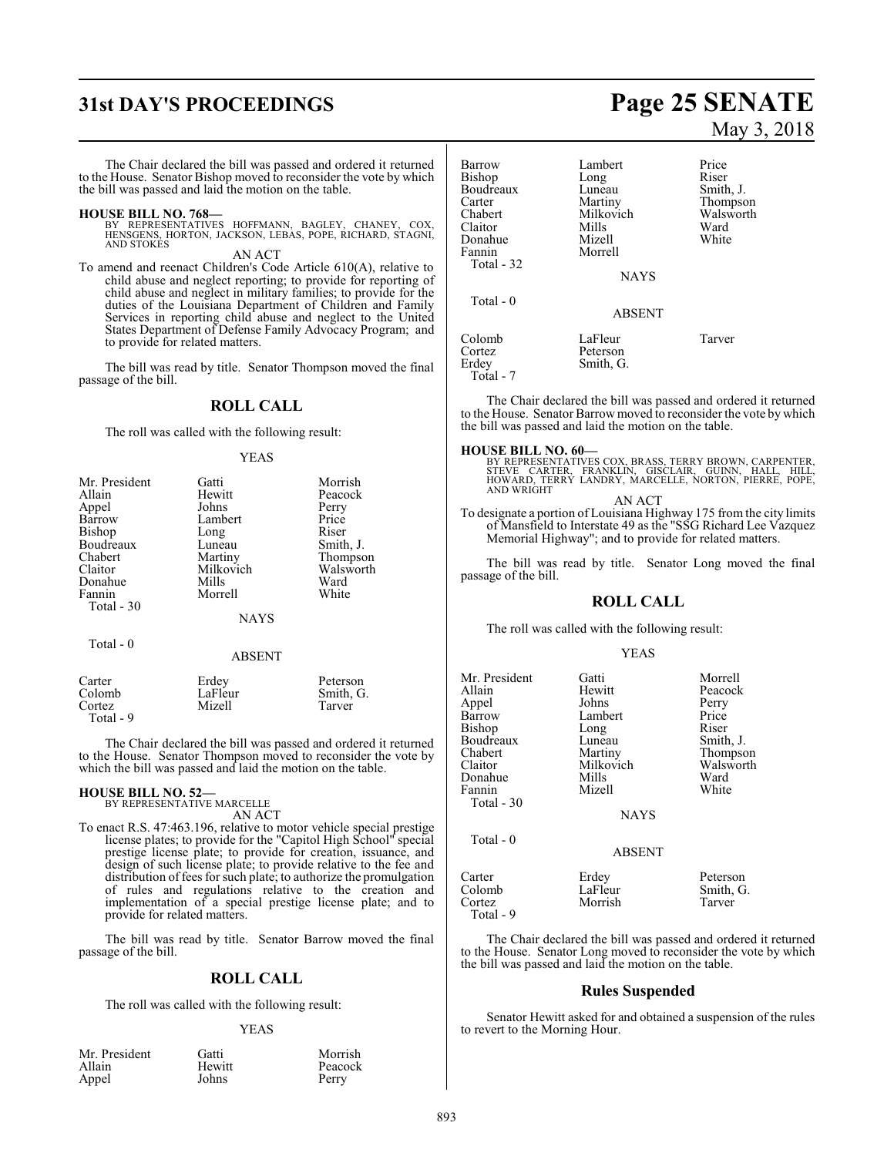## **31st DAY'S PROCEEDINGS Page 25 SENATE**

The Chair declared the bill was passed and ordered it returned to the House. Senator Bishop moved to reconsider the vote by which the bill was passed and laid the motion on the table.

#### **HOUSE BILL NO. 768—**

BY REPRESENTATIVES HOFFMANN, BAGLEY, CHANEY, COX,<br>HENSGENS, HORTON, JACKSON, LEBAS, POPE, RICHARD, STAGNI,<br>AND STOKES

AN ACT

To amend and reenact Children's Code Article 610(A), relative to child abuse and neglect reporting; to provide for reporting of child abuse and neglect in military families; to provide for the duties of the Louisiana Department of Children and Family Services in reporting child abuse and neglect to the United States Department of Defense Family Advocacy Program; and to provide for related matters.

The bill was read by title. Senator Thompson moved the final passage of the bill.

#### **ROLL CALL**

The roll was called with the following result:

#### YEAS

| Mr. President<br>Allain<br>Appel<br>Barrow<br>Bishop<br>Boudreaux<br>Chabert<br>Claitor<br>Donahue<br>Fannin<br>Total - 30 | Gatti<br>Hewitt<br>Johns<br>Lambert<br>Long<br>Luneau<br>Martiny<br>Milkovich<br>Mills<br>Morrell<br><b>NAYS</b> | Morrish<br>Peacock<br>Perry<br>Price<br>Riser<br>Smith, J.<br>Thompson<br>Walsworth<br>Ward<br>White |
|----------------------------------------------------------------------------------------------------------------------------|------------------------------------------------------------------------------------------------------------------|------------------------------------------------------------------------------------------------------|
|                                                                                                                            |                                                                                                                  |                                                                                                      |
| Total - 0                                                                                                                  |                                                                                                                  |                                                                                                      |

### ABSENT

| Carter    | Erdey   | Peterson  |
|-----------|---------|-----------|
| Colomb    | LaFleur | Smith, G. |
| Cortez    | Mizell  | Tarver    |
| Total - 9 |         |           |

The Chair declared the bill was passed and ordered it returned to the House. Senator Thompson moved to reconsider the vote by which the bill was passed and laid the motion on the table.

### **HOUSE BILL NO. 52—**

BY REPRESENTATIVE MARCELLE AN ACT

To enact R.S. 47:463.196, relative to motor vehicle special prestige license plates; to provide for the "Capitol High School" special prestige license plate; to provide for creation, issuance, and design of such license plate; to provide relative to the fee and distribution of fees for such plate; to authorize the promulgation of rules and regulations relative to the creation and implementation of a special prestige license plate; and to provide for related matters.

The bill was read by title. Senator Barrow moved the final passage of the bill.

#### **ROLL CALL**

The roll was called with the following result:

#### YEAS

| Mr. President | Gatti  | Morrish |
|---------------|--------|---------|
| Allain        | Hewitt | Peacock |
| Appel         | Johns  | Perry   |

# May 3, 2018

| <b>Barrow</b><br>Bishop<br>Boudreaux<br>Carter<br>Chabert<br>Claitor<br>Donahue<br>Fannin<br>Total - 32 | Lambert<br>Long<br>Luneau<br>Martiny<br>Milkovich<br>Mills<br>Mizell<br>Morrell | Price<br>Riser<br>Smith, J.<br>Thompson<br>Walsworth<br>Ward<br>White |
|---------------------------------------------------------------------------------------------------------|---------------------------------------------------------------------------------|-----------------------------------------------------------------------|
|                                                                                                         | <b>NAYS</b>                                                                     |                                                                       |
| Total $-0$                                                                                              | <b>ABSENT</b>                                                                   |                                                                       |
| Colomb<br>Cortez<br>Erdev<br>Total - 7                                                                  | LaFleur<br>Peterson<br>Smith, G.                                                | Tarver                                                                |

The Chair declared the bill was passed and ordered it returned to the House. Senator Barrow moved to reconsider the vote by which the bill was passed and laid the motion on the table.

**HOUSE BILL NO. 60—**<br>BY REPRESENTATIVES COX, BRASS, TERRY BROWN, CARPENTER,<br>STEVE CARTER, FRANKLIN, GISCLAIR, GUINN, HALL, HILL,<br>HOWARD, TERRY LANDRY, MARCELLE, NORTON, PIERRE, POPE,<br>AND WRIGHT

AN ACT

To designate a portion of Louisiana Highway 175 from the city limits of Mansfield to Interstate 49 as the "SSG Richard Lee Vazquez Memorial Highway"; and to provide for related matters.

The bill was read by title. Senator Long moved the final passage of the bill.

### **ROLL CALL**

The roll was called with the following result:

#### YEAS

Mr. President Gatti Morrell<br>
Allain Hewitt Peacocl Hewitt Peacock<br>Johns Perry Appel Johns Perry Lambert Price<br>
Long Riser Bishop Long Riser<br>Boudreaux Luneau Smith, J. Boudreaux Luneau<br>Chabert Martiny Chabert Martiny Thompson<br>Claitor Milkovich Walsworth Milkovich Walsworth<br>
Mills Ward Donahue Mills Ward<br>Tannin Mizell White Fannin Total - 30 **NAYS**  Total - 0 ABSENT Carter Erdey Peterson<br>Colomb LaFleur Smith, G

Morrish

Colomb LaFleur Smith, G.

The Chair declared the bill was passed and ordered it returned to the House. Senator Long moved to reconsider the vote by which the bill was passed and laid the motion on the table.

#### **Rules Suspended**

Senator Hewitt asked for and obtained a suspension of the rules to revert to the Morning Hour.

Total - 9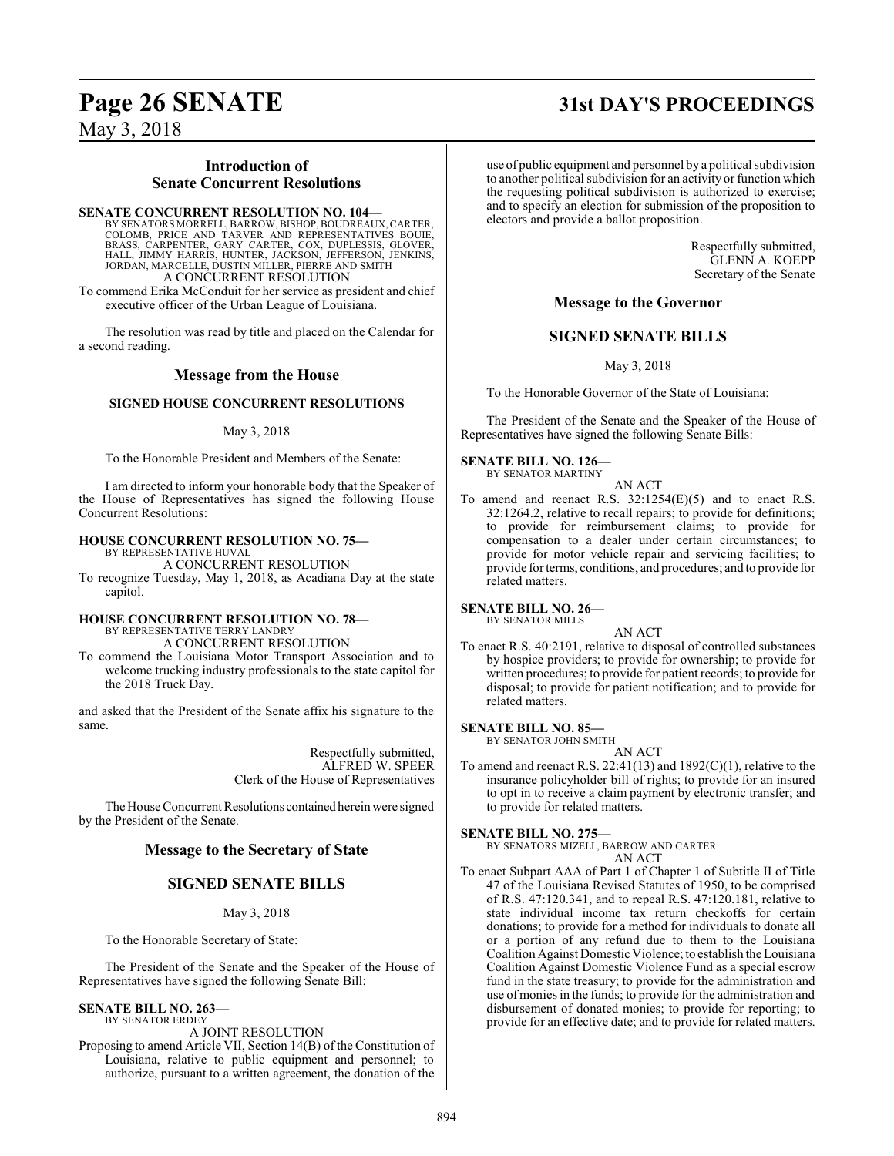### **Introduction of Senate Concurrent Resolutions**

**SENATE CONCURRENT RESOLUTION NO. 104—**

BY SENATORS MORRELL, BARROW, BISHOP, BOUDREAUX, CARTER, COLOMB, PRICE AND TARVER AND REPRESENTATIVES BOUIE,<br>BRASS, CARPENTER, GARY CARTER, COX, DUPLESSIS, GLOVER,<br>HALL, JIMMY HARRIS, HUNTER, JACKSON, JEFFERSON, JENKINS,<br>JORDAN, MARCELLE, DUSTIN MILLER, PIERRE AND SMITH A CONCURRENT RESOLUTION To commend Erika McConduit for her service as president and chief

executive officer of the Urban League of Louisiana.

The resolution was read by title and placed on the Calendar for a second reading.

### **Message from the House**

#### **SIGNED HOUSE CONCURRENT RESOLUTIONS**

May 3, 2018

To the Honorable President and Members of the Senate:

I am directed to inform your honorable body that the Speaker of the House of Representatives has signed the following House Concurrent Resolutions:

#### **HOUSE CONCURRENT RESOLUTION NO. 75—**

BY REPRESENTATIVE HUVAL A CONCURRENT RESOLUTION

To recognize Tuesday, May 1, 2018, as Acadiana Day at the state capitol.

#### **HOUSE CONCURRENT RESOLUTION NO. 78—** BY REPRESENTATIVE TERRY LANDRY

A CONCURRENT RESOLUTION

To commend the Louisiana Motor Transport Association and to welcome trucking industry professionals to the state capitol for the 2018 Truck Day.

and asked that the President of the Senate affix his signature to the same.

> Respectfully submitted, ALFRED W. SPEER Clerk of the House of Representatives

The House Concurrent Resolutions contained herein were signed by the President of the Senate.

### **Message to the Secretary of State**

### **SIGNED SENATE BILLS**

May 3, 2018

To the Honorable Secretary of State:

The President of the Senate and the Speaker of the House of Representatives have signed the following Senate Bill:

#### **SENATE BILL NO. 263—**

BY SENATOR ERDEY

A JOINT RESOLUTION

Proposing to amend Article VII, Section 14(B) of the Constitution of Louisiana, relative to public equipment and personnel; to authorize, pursuant to a written agreement, the donation of the

### **Page 26 SENATE 31st DAY'S PROCEEDINGS**

use of public equipment and personnel by a political subdivision to another political subdivision for an activity or function which the requesting political subdivision is authorized to exercise; and to specify an election for submission of the proposition to electors and provide a ballot proposition.

> Respectfully submitted, GLENN A. KOEPP Secretary of the Senate

### **Message to the Governor**

### **SIGNED SENATE BILLS**

May 3, 2018

To the Honorable Governor of the State of Louisiana:

The President of the Senate and the Speaker of the House of Representatives have signed the following Senate Bills:

### **SENATE BILL NO. 126—**

BY SENATOR MARTINY

- AN ACT
- To amend and reenact R.S. 32:1254(E)(5) and to enact R.S. 32:1264.2, relative to recall repairs; to provide for definitions; to provide for reimbursement claims; to provide for compensation to a dealer under certain circumstances; to provide for motor vehicle repair and servicing facilities; to provide for terms, conditions, and procedures; and to provide for related matters.

**SENATE BILL NO. 26—** BY SENATOR MILLS

AN ACT

To enact R.S. 40:2191, relative to disposal of controlled substances by hospice providers; to provide for ownership; to provide for written procedures; to provide for patient records; to provide for disposal; to provide for patient notification; and to provide for related matters.

**SENATE BILL NO. 85—**

BY SENATOR JOHN SMITH AN ACT

To amend and reenact R.S.  $22:41(13)$  and  $1892(C)(1)$ , relative to the insurance policyholder bill of rights; to provide for an insured to opt in to receive a claim payment by electronic transfer; and to provide for related matters.

### **SENATE BILL NO. 275—**

BY SENATORS MIZELL, BARROW AND CARTER AN ACT

To enact Subpart AAA of Part 1 of Chapter 1 of Subtitle II of Title 47 of the Louisiana Revised Statutes of 1950, to be comprised of R.S. 47:120.341, and to repeal R.S. 47:120.181, relative to state individual income tax return checkoffs for certain donations; to provide for a method for individuals to donate all or a portion of any refund due to them to the Louisiana Coalition Against Domestic Violence; to establish the Louisiana Coalition Against Domestic Violence Fund as a special escrow fund in the state treasury; to provide for the administration and use ofmonies in the funds; to provide for the administration and disbursement of donated monies; to provide for reporting; to provide for an effective date; and to provide for related matters.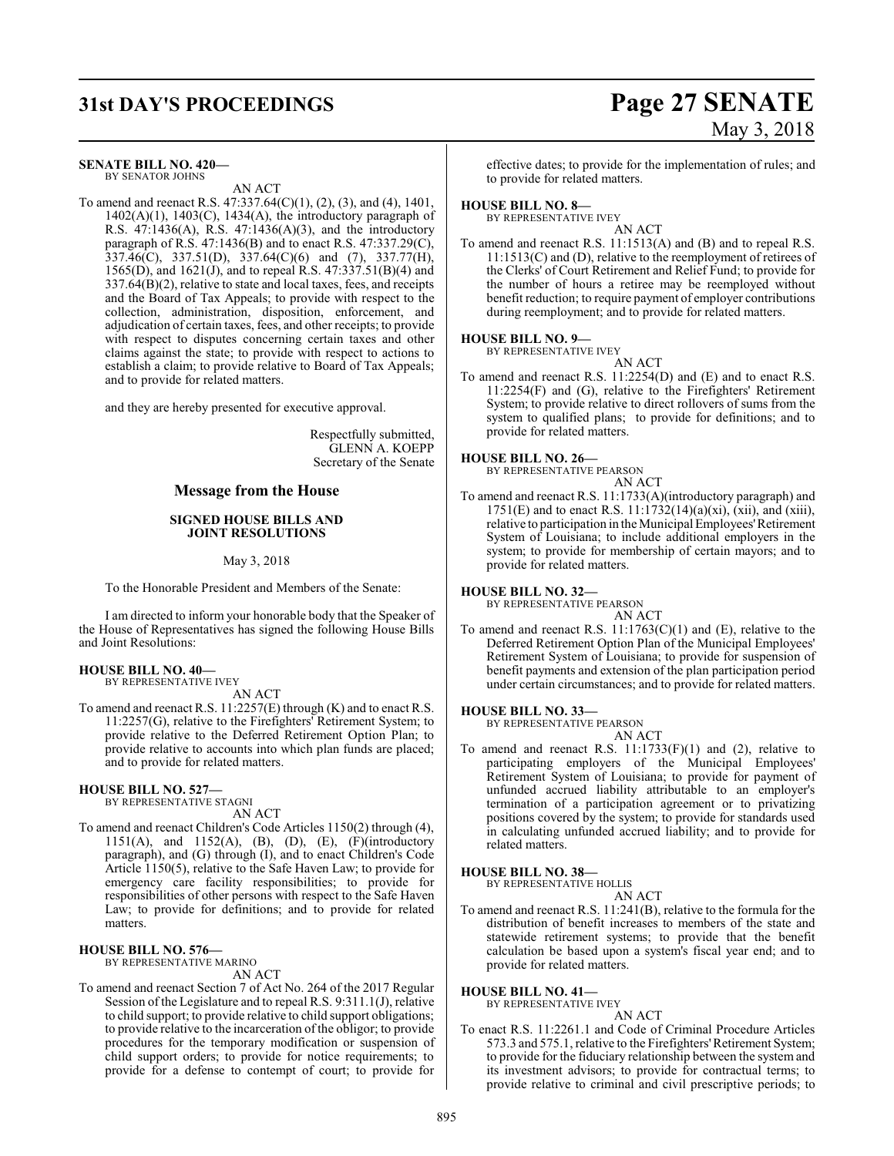## **31st DAY'S PROCEEDINGS Page 27 SENATE**

# May 3, 2018

**SENATE BILL NO. 420—** BY SENATOR JOHNS

AN ACT

To amend and reenact R.S. 47:337.64(C)(1), (2), (3), and (4), 1401,  $1402(A)(1)$ ,  $1403(C)$ ,  $1434(A)$ , the introductory paragraph of R.S. 47:1436(A), R.S. 47:1436(A)(3), and the introductory paragraph of R.S. 47:1436(B) and to enact R.S. 47:337.29(C), 337.46(C), 337.51(D), 337.64(C)(6) and (7), 337.77(H), 1565(D), and 1621(J), and to repeal R.S. 47:337.51(B)(4) and 337.64(B)(2), relative to state and local taxes, fees, and receipts and the Board of Tax Appeals; to provide with respect to the collection, administration, disposition, enforcement, and adjudication of certain taxes, fees, and other receipts; to provide with respect to disputes concerning certain taxes and other claims against the state; to provide with respect to actions to establish a claim; to provide relative to Board of Tax Appeals; and to provide for related matters.

and they are hereby presented for executive approval.

Respectfully submitted, GLENN A. KOEPP Secretary of the Senate

### **Message from the House**

#### **SIGNED HOUSE BILLS AND JOINT RESOLUTIONS**

May 3, 2018

To the Honorable President and Members of the Senate:

I am directed to inform your honorable body that the Speaker of the House of Representatives has signed the following House Bills and Joint Resolutions:

#### **HOUSE BILL NO. 40—** BY REPRESENTATIVE IVEY

AN ACT

To amend and reenact R.S. 11:2257(E) through (K) and to enact R.S. 11:2257(G), relative to the Firefighters' Retirement System; to provide relative to the Deferred Retirement Option Plan; to provide relative to accounts into which plan funds are placed; and to provide for related matters.

#### **HOUSE BILL NO. 527—**

BY REPRESENTATIVE STAGNI AN ACT

To amend and reenact Children's Code Articles 1150(2) through (4), 1151(A), and 1152(A), (B), (D), (E), (F)(introductory paragraph), and (G) through (I), and to enact Children's Code Article 1150(5), relative to the Safe Haven Law; to provide for emergency care facility responsibilities; to provide for responsibilities of other persons with respect to the Safe Haven Law; to provide for definitions; and to provide for related matters.

#### **HOUSE BILL NO. 576—**

BY REPRESENTATIVE MARINO

AN ACT

To amend and reenact Section 7 of Act No. 264 of the 2017 Regular Session of the Legislature and to repeal R.S. 9:311.1(J), relative to child support; to provide relative to child support obligations; to provide relative to the incarceration of the obligor; to provide procedures for the temporary modification or suspension of child support orders; to provide for notice requirements; to provide for a defense to contempt of court; to provide for

effective dates; to provide for the implementation of rules; and to provide for related matters.

### **HOUSE BILL NO. 8—**

BY REPRESENTATIVE IVEY AN ACT

To amend and reenact R.S. 11:1513(A) and (B) and to repeal R.S. 11:1513(C) and (D), relative to the reemployment of retirees of the Clerks' of Court Retirement and Relief Fund; to provide for the number of hours a retiree may be reemployed without benefit reduction; to require payment of employer contributions during reemployment; and to provide for related matters.

#### **HOUSE BILL NO. 9—**

BY REPRESENTATIVE IVEY

AN ACT To amend and reenact R.S. 11:2254(D) and (E) and to enact R.S. 11:2254(F) and (G), relative to the Firefighters' Retirement System; to provide relative to direct rollovers of sums from the system to qualified plans; to provide for definitions; and to provide for related matters.

#### **HOUSE BILL NO. 26—**

BY REPRESENTATIVE PEARSON

#### AN ACT

To amend and reenact R.S. 11:1733(A)(introductory paragraph) and 1751(E) and to enact R.S. 11:1732(14)(a)(xi), (xii), and (xiii), relative to participation in the Municipal Employees'Retirement System of Louisiana; to include additional employers in the system; to provide for membership of certain mayors; and to provide for related matters.

#### **HOUSE BILL NO. 32—**

BY REPRESENTATIVE PEARSON AN ACT

To amend and reenact R.S. 11:1763(C)(1) and (E), relative to the Deferred Retirement Option Plan of the Municipal Employees' Retirement System of Louisiana; to provide for suspension of benefit payments and extension of the plan participation period under certain circumstances; and to provide for related matters.

#### **HOUSE BILL NO. 33—**

BY REPRESENTATIVE PEARSON AN ACT

To amend and reenact R.S.  $11:1733(F)(1)$  and (2), relative to participating employers of the Municipal Employees' Retirement System of Louisiana; to provide for payment of unfunded accrued liability attributable to an employer's termination of a participation agreement or to privatizing positions covered by the system; to provide for standards used in calculating unfunded accrued liability; and to provide for related matters.

#### **HOUSE BILL NO. 38—**

BY REPRESENTATIVE HOLLIS

AN ACT To amend and reenact R.S. 11:241(B), relative to the formula for the distribution of benefit increases to members of the state and statewide retirement systems; to provide that the benefit calculation be based upon a system's fiscal year end; and to provide for related matters.

#### **HOUSE BILL NO. 41—**

BY REPRESENTATIVE IVEY

#### AN ACT

To enact R.S. 11:2261.1 and Code of Criminal Procedure Articles 573.3 and 575.1, relative to the Firefighters'Retirement System; to provide for the fiduciary relationship between the system and its investment advisors; to provide for contractual terms; to provide relative to criminal and civil prescriptive periods; to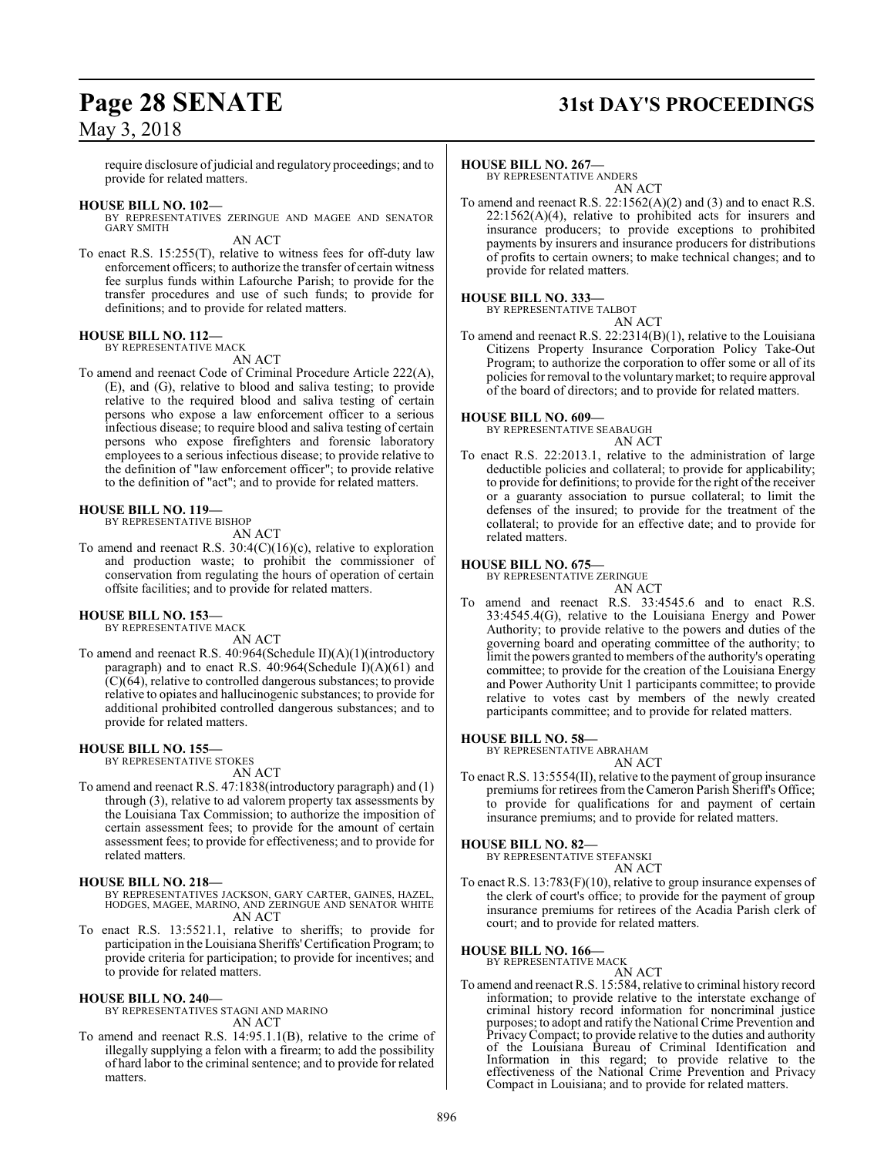## **Page 28 SENATE 31st DAY'S PROCEEDINGS**

require disclosure of judicial and regulatory proceedings; and to provide for related matters.

#### **HOUSE BILL NO. 102—**

BY REPRESENTATIVES ZERINGUE AND MAGEE AND SENATOR GARY SMITH

AN ACT

To enact R.S. 15:255(T), relative to witness fees for off-duty law enforcement officers; to authorize the transfer of certain witness fee surplus funds within Lafourche Parish; to provide for the transfer procedures and use of such funds; to provide for definitions; and to provide for related matters.

#### **HOUSE BILL NO. 112—**

BY REPRESENTATIVE MACK AN ACT

To amend and reenact Code of Criminal Procedure Article 222(A), (E), and (G), relative to blood and saliva testing; to provide relative to the required blood and saliva testing of certain persons who expose a law enforcement officer to a serious infectious disease; to require blood and saliva testing of certain persons who expose firefighters and forensic laboratory employees to a serious infectious disease; to provide relative to the definition of "law enforcement officer"; to provide relative to the definition of "act"; and to provide for related matters.

#### **HOUSE BILL NO. 119—**

BY REPRESENTATIVE BISHOP

```
AN ACT
```
To amend and reenact R.S. 30:4(C)(16)(c), relative to exploration and production waste; to prohibit the commissioner of conservation from regulating the hours of operation of certain offsite facilities; and to provide for related matters.

#### **HOUSE BILL NO. 153—**

BY REPRESENTATIVE MACK AN ACT

To amend and reenact R.S. 40:964(Schedule II)(A)(1)(introductory paragraph) and to enact R.S. 40:964(Schedule I)(A)(61) and (C)(64), relative to controlled dangerous substances; to provide relative to opiates and hallucinogenic substances; to provide for additional prohibited controlled dangerous substances; and to provide for related matters.

#### **HOUSE BILL NO. 155—**

BY REPRESENTATIVE STOKES

#### AN ACT

To amend and reenact R.S. 47:1838(introductory paragraph) and (1) through (3), relative to ad valorem property tax assessments by the Louisiana Tax Commission; to authorize the imposition of certain assessment fees; to provide for the amount of certain assessment fees; to provide for effectiveness; and to provide for related matters.

#### **HOUSE BILL NO. 218—**

BY REPRESENTATIVES JACKSON, GARY CARTER, GAINES, HAZEL, HODGES, MAGEE, MARINO, AND ZERINGUE AND SENATOR WHITE AN ACT

To enact R.S. 13:5521.1, relative to sheriffs; to provide for participation in the Louisiana Sheriffs'Certification Program; to provide criteria for participation; to provide for incentives; and to provide for related matters.

#### **HOUSE BILL NO. 240—**

BY REPRESENTATIVES STAGNI AND MARINO AN ACT

To amend and reenact R.S. 14:95.1.1(B), relative to the crime of illegally supplying a felon with a firearm; to add the possibility of hard labor to the criminal sentence; and to provide for related matters.

#### **HOUSE BILL NO. 267—**

BY REPRESENTATIVE ANDERS AN ACT

To amend and reenact R.S. 22:1562(A)(2) and (3) and to enact R.S.  $22:1562(A)(4)$ , relative to prohibited acts for insurers and insurance producers; to provide exceptions to prohibited payments by insurers and insurance producers for distributions of profits to certain owners; to make technical changes; and to provide for related matters.

#### **HOUSE BILL NO. 333—** BY REPRESENTATIVE TALBOT

AN ACT

To amend and reenact R.S. 22:2314(B)(1), relative to the Louisiana Citizens Property Insurance Corporation Policy Take-Out Program; to authorize the corporation to offer some or all of its policies for removal to the voluntarymarket; to require approval of the board of directors; and to provide for related matters.

#### **HOUSE BILL NO. 609—**

BY REPRESENTATIVE SEABAUGH AN ACT

To enact R.S. 22:2013.1, relative to the administration of large deductible policies and collateral; to provide for applicability; to provide for definitions; to provide for the right of the receiver or a guaranty association to pursue collateral; to limit the defenses of the insured; to provide for the treatment of the collateral; to provide for an effective date; and to provide for related matters.

#### **HOUSE BILL NO. 675—**

BY REPRESENTATIVE ZERINGUE

AN ACT To amend and reenact R.S. 33:4545.6 and to enact R.S. 33:4545.4(G), relative to the Louisiana Energy and Power Authority; to provide relative to the powers and duties of the governing board and operating committee of the authority; to limit the powers granted to members of the authority's operating committee; to provide for the creation of the Louisiana Energy and Power Authority Unit 1 participants committee; to provide relative to votes cast by members of the newly created participants committee; and to provide for related matters.

#### **HOUSE BILL NO. 58—**

BY REPRESENTATIVE ABRAHAM AN ACT

To enact R.S. 13:5554(II), relative to the payment of group insurance premiums for retirees from the Cameron Parish Sheriff's Office; to provide for qualifications for and payment of certain insurance premiums; and to provide for related matters.

**HOUSE BILL NO. 82—**

BY REPRESENTATIVE STEFANSKI AN ACT

To enact R.S. 13:783(F)(10), relative to group insurance expenses of the clerk of court's office; to provide for the payment of group insurance premiums for retirees of the Acadia Parish clerk of court; and to provide for related matters.

#### **HOUSE BILL NO. 166—**

BY REPRESENTATIVE MACK AN ACT

To amend and reenact R.S. 15:584, relative to criminal history record information; to provide relative to the interstate exchange of criminal history record information for noncriminal justice purposes; to adopt and ratify the National Crime Prevention and Privacy Compact; to provide relative to the duties and authority of the Louisiana Bureau of Criminal Identification and Information in this regard; to provide relative to the effectiveness of the National Crime Prevention and Privacy Compact in Louisiana; and to provide for related matters.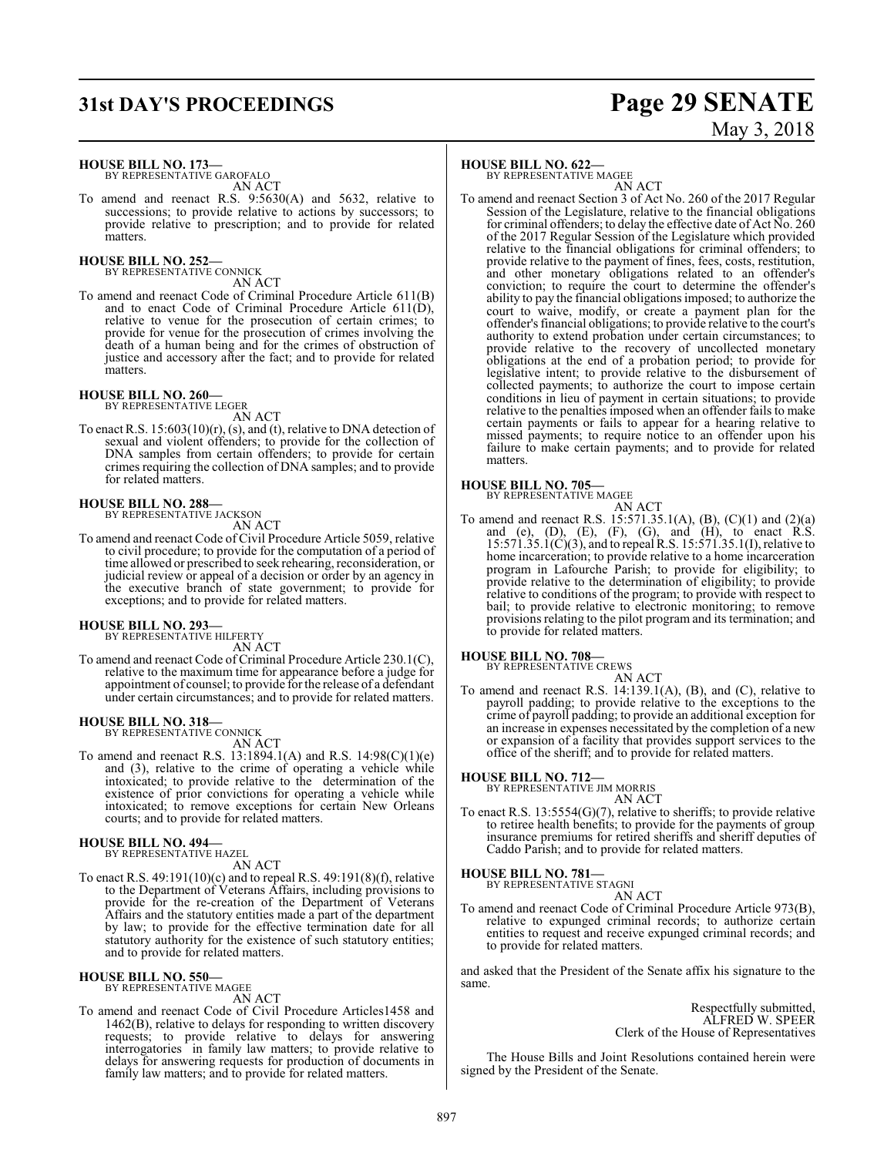## **31st DAY'S PROCEEDINGS Page 29 SENATE**

#### **HOUSE BILL NO. 173—**

BY REPRESENTATIVE GAROFALO AN ACT

To amend and reenact R.S. 9:5630(A) and 5632, relative to successions; to provide relative to actions by successors; to provide relative to prescription; and to provide for related matters.

#### **HOUSE BILL NO. 252—** BY REPRESENTATIVE CONNICK

AN ACT

To amend and reenact Code of Criminal Procedure Article 611(B) and to enact Code of Criminal Procedure Article 611(D), relative to venue for the prosecution of certain crimes; to provide for venue for the prosecution of crimes involving the death of a human being and for the crimes of obstruction of justice and accessory after the fact; and to provide for related matters.

### **HOUSE BILL NO. 260—** BY REPRESENTATIVE LEGER

AN ACT

To enact R.S.  $15:603(10)(r)$ , (s), and (t), relative to DNA detection of sexual and violent offenders; to provide for the collection of DNA samples from certain offenders; to provide for certain crimes requiring the collection of DNA samples; and to provide for related matters.

## **HOUSE BILL NO. 288—** BY REPRESENTATIVE JACKSON

- AN ACT
- To amend and reenact Code of Civil Procedure Article 5059, relative to civil procedure; to provide for the computation of a period of time allowed or prescribed to seek rehearing, reconsideration, or judicial review or appeal of a decision or order by an agency in the executive branch of state government; to provide for exceptions; and to provide for related matters.

## **HOUSE BILL NO. 293—** BY REPRESENTATIVE HILFERTY

AN ACT

To amend and reenact Code of Criminal Procedure Article 230.1(C), relative to the maximum time for appearance before a judge for appointment of counsel; to provide for the release of a defendant under certain circumstances; and to provide for related matters.

## **HOUSE BILL NO. 318—** BY REPRESENTATIVE CONNICK

AN ACT

To amend and reenact R.S. 13:1894.1(A) and R.S. 14:98(C)(1)(e) and (3), relative to the crime of operating a vehicle while intoxicated; to provide relative to the determination of the existence of prior convictions for operating a vehicle while intoxicated; to remove exceptions for certain New Orleans courts; and to provide for related matters.

#### **HOUSE BILL NO. 494—**

BY REPRESENTATIVE HAZEL

AN ACT

To enact R.S. 49:191(10)(c) and to repeal R.S. 49:191(8)(f), relative to the Department of Veterans Affairs, including provisions to provide for the re-creation of the Department of Veterans Affairs and the statutory entities made a part of the department by law; to provide for the effective termination date for all statutory authority for the existence of such statutory entities; and to provide for related matters.

#### **HOUSE BILL NO. 550—** BY REPRESENTATIVE MAGEE

AN ACT

To amend and reenact Code of Civil Procedure Articles1458 and 1462(B), relative to delays for responding to written discovery requests; to provide relative to delays for answering interrogatories in family law matters; to provide relative to delays for answering requests for production of documents in family law matters; and to provide for related matters.

#### **HOUSE BILL NO. 622—**

BY REPRESENTATIVE MAGEE

AN ACT To amend and reenact Section 3 of Act No. 260 of the 2017 Regular Session of the Legislature, relative to the financial obligations for criminal offenders; to delay the effective date of Act No. 260 of the 2017 Regular Session of the Legislature which provided relative to the financial obligations for criminal offenders; to provide relative to the payment of fines, fees, costs, restitution, and other monetary obligations related to an offender's conviction; to require the court to determine the offender's ability to pay the financial obligations imposed; to authorize the court to waive, modify, or create a payment plan for the offender's financial obligations; to provide relative to the court's authority to extend probation under certain circumstances; to provide relative to the recovery of uncollected monetary obligations at the end of a probation period; to provide for legislative intent; to provide relative to the disbursement of collected payments; to authorize the court to impose certain conditions in lieu of payment in certain situations; to provide relative to the penalties imposed when an offender fails to make certain payments or fails to appear for a hearing relative to missed payments; to require notice to an offender upon his failure to make certain payments; and to provide for related matters.

#### **HOUSE BILL NO. 705—**

BY REPRESENTATIVE MAGEE

AN ACT To amend and reenact R.S. 15:571.35.1(A), (B), (C)(1) and (2)(a) and (e),  $(D)$ ,  $(E)$ ,  $(F)$ ,  $(G)$ , and  $(H)$ , to enact R.S. 15:571.35.1(C)(3), and to repeal R.S. 15:571.35.1(I), relative to home incarceration; to provide relative to a home incarceration program in Lafourche Parish; to provide for eligibility; to provide relative to the determination of eligibility; to provide relative to conditions of the program; to provide with respect to bail; to provide relative to electronic monitoring; to remove provisions relating to the pilot program and its termination; and to provide for related matters.

### **HOUSE BILL NO. 708—** BY REPRESENTATIVE CREWS

AN ACT

To amend and reenact R.S. 14:139.1(A), (B), and (C), relative to payroll padding; to provide relative to the exceptions to the crime of payroll padding; to provide an additional exception for an increase in expenses necessitated by the completion of a new or expansion of a facility that provides support services to the office of the sheriff; and to provide for related matters.

**HOUSE BILL NO. 712—** BY REPRESENTATIVE JIM MORRIS

AN ACT

To enact R.S. 13:5554(G)(7), relative to sheriffs; to provide relative to retiree health benefits; to provide for the payments of group insurance premiums for retired sheriffs and sheriff deputies of Caddo Parish; and to provide for related matters.

**HOUSE BILL NO. 781—**

BY REPRESENTATIVE STAGNI AN ACT

To amend and reenact Code of Criminal Procedure Article 973(B), relative to expunged criminal records; to authorize certain entities to request and receive expunged criminal records; and to provide for related matters.

and asked that the President of the Senate affix his signature to the same.

> Respectfully submitted, ALFRED W. SPEER Clerk of the House of Representatives

The House Bills and Joint Resolutions contained herein were signed by the President of the Senate.

# May 3, 2018